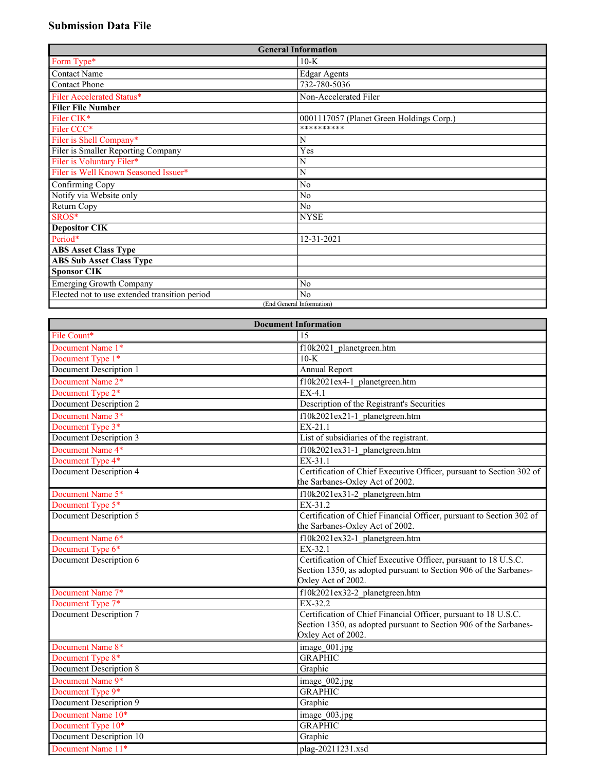# **Submission Data File**

| <b>General Information</b>                    |                                          |  |
|-----------------------------------------------|------------------------------------------|--|
| Form Type*                                    | $10-K$                                   |  |
| <b>Contact Name</b>                           | <b>Edgar Agents</b>                      |  |
| <b>Contact Phone</b>                          | 732-780-5036                             |  |
| Filer Accelerated Status*                     | Non-Accelerated Filer                    |  |
| <b>Filer File Number</b>                      |                                          |  |
| Filer CIK*                                    | 0001117057 (Planet Green Holdings Corp.) |  |
| Filer CCC*                                    | **********                               |  |
| Filer is Shell Company*                       | N                                        |  |
| Filer is Smaller Reporting Company            | Yes                                      |  |
| Filer is Voluntary Filer*                     | N                                        |  |
| Filer is Well Known Seasoned Issuer*          | N                                        |  |
| Confirming Copy                               | N <sub>o</sub>                           |  |
| Notify via Website only                       | No                                       |  |
| Return Copy                                   | N <sub>o</sub>                           |  |
| SROS*                                         | <b>NYSE</b>                              |  |
| <b>Depositor CIK</b>                          |                                          |  |
| Period*                                       | 12-31-2021                               |  |
| <b>ABS Asset Class Type</b>                   |                                          |  |
| <b>ABS Sub Asset Class Type</b>               |                                          |  |
| <b>Sponsor CIK</b>                            |                                          |  |
| <b>Emerging Growth Company</b>                | No                                       |  |
| Elected not to use extended transition period | N <sub>o</sub>                           |  |
| (End General Information)                     |                                          |  |

| <b>Document Information</b>    |                                                                      |  |
|--------------------------------|----------------------------------------------------------------------|--|
| File Count*<br>15              |                                                                      |  |
| Document Name 1*               | f10k2021 planetgreen.htm                                             |  |
| Document Type 1*               | $10-K$                                                               |  |
| <b>Document Description 1</b>  | <b>Annual Report</b>                                                 |  |
| Document Name 2*               | f10k2021ex4-1 planetgreen.htm                                        |  |
| Document Type 2*               | $\overline{EX-4.1}$                                                  |  |
| <b>Document Description 2</b>  | Description of the Registrant's Securities                           |  |
| Document Name 3*               | f10k2021ex21-1 planetgreen.htm                                       |  |
| Document Type 3*               | $EX-21.1$                                                            |  |
| <b>Document Description 3</b>  | List of subsidiaries of the registrant.                              |  |
| Document Name 4*               | f10k2021ex31-1 planetgreen.htm                                       |  |
| Document Type 4*               | EX-31.1                                                              |  |
| <b>Document Description 4</b>  | Certification of Chief Executive Officer, pursuant to Section 302 of |  |
|                                | the Sarbanes-Oxley Act of 2002.                                      |  |
| Document Name 5*               | $f10k2021ex31-2$ planetgreen.htm                                     |  |
| Document Type 5 <sup>*</sup>   | EX-31.2                                                              |  |
| Document Description 5         | Certification of Chief Financial Officer, pursuant to Section 302 of |  |
|                                | the Sarbanes-Oxley Act of 2002.                                      |  |
| Document Name 6*               | f10k2021ex32-1 planetgreen.htm                                       |  |
| Document Type 6*               | EX-32.1                                                              |  |
| Document Description 6         | Certification of Chief Executive Officer, pursuant to 18 U.S.C.      |  |
|                                | Section 1350, as adopted pursuant to Section 906 of the Sarbanes-    |  |
|                                | Oxley Act of 2002.                                                   |  |
| Document Name 7*               | f10k2021ex32-2 planetgreen.htm                                       |  |
| Document Type 7*               | EX-32.2                                                              |  |
| <b>Document Description 7</b>  | Certification of Chief Financial Officer, pursuant to 18 U.S.C.      |  |
|                                | Section 1350, as adopted pursuant to Section 906 of the Sarbanes-    |  |
|                                | Oxley Act of 2002.                                                   |  |
| Document Name 8*               | image_001.jpg                                                        |  |
| Document Type 8*               | <b>GRAPHIC</b>                                                       |  |
| <b>Document Description 8</b>  | Graphic                                                              |  |
| Document Name 9*               | image 002.jpg                                                        |  |
| Document Type 9*               | <b>GRAPHIC</b>                                                       |  |
| Document Description 9         | Graphic                                                              |  |
| Document Name 10*              | image 003.jpg                                                        |  |
| Document Type 10*              | <b>GRAPHIC</b>                                                       |  |
| <b>Document Description 10</b> | Graphic                                                              |  |
| Document Name 11*              | plag-20211231.xsd                                                    |  |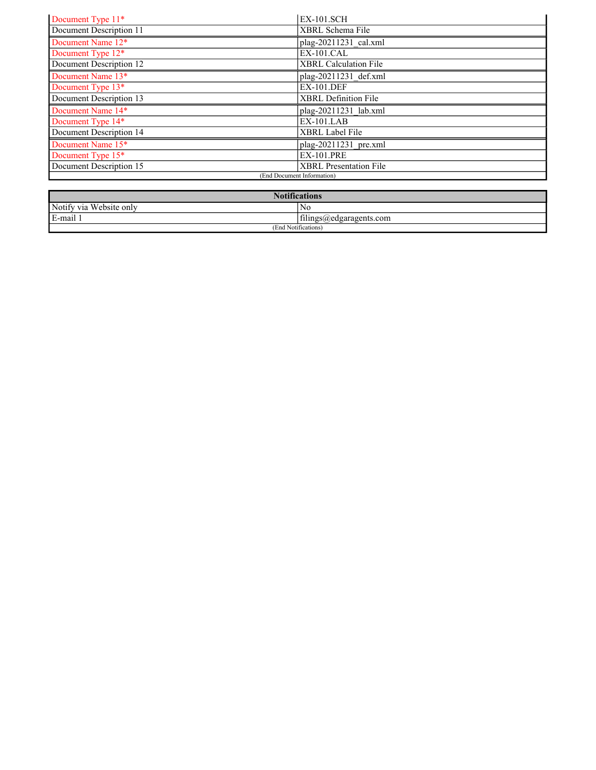| Document Type 11*             | $EX-101$ .SCH                 |
|-------------------------------|-------------------------------|
| Document Description 11       | XBRL Schema File              |
| Document Name 12*             | plag-20211231 cal.xml         |
| Document Type 12*             | $EX-101.CAL$                  |
| Document Description 12       | <b>XBRL</b> Calculation File  |
| Document Name 13*             | plag-20211231 def.xml         |
| Document Type 13*             | $EX-101.DEF$                  |
| Document Description 13       | <b>XBRL Definition File</b>   |
| Document Name 14*             | $plag-20211231$ lab.xml       |
| Document Type 14*             | $EX-101.LAB$                  |
| Document Description 14       | <b>XBRL Label File</b>        |
| Document Name 15 <sup>*</sup> | $plag-20211231$ pre.xml       |
| Document Type 15*             | <b>EX-101.PRE</b>             |
| Document Description 15       | <b>XBRL</b> Presentation File |
|                               | (End Document Information)    |

| <b>Notifications</b>    |                         |  |
|-------------------------|-------------------------|--|
| Notify via Website only | No                      |  |
| E-mail 1                | filings@edgaragents.com |  |
| (End Notifications)     |                         |  |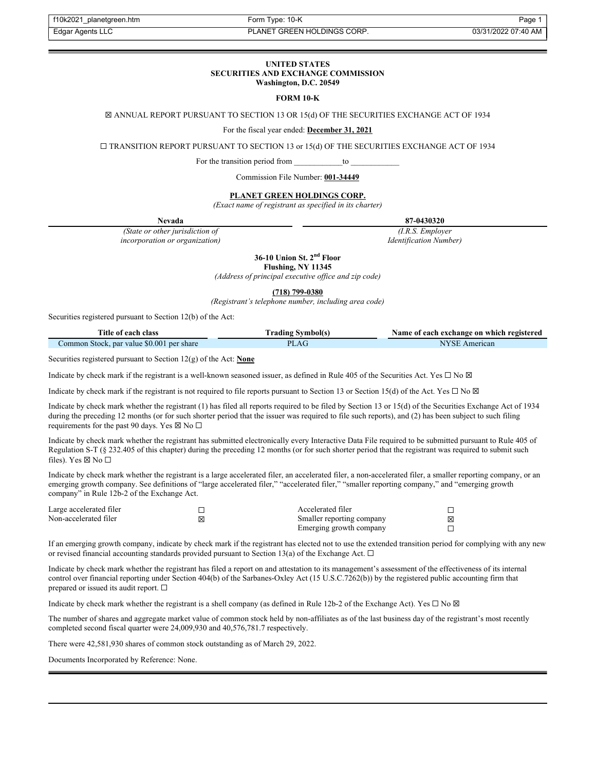| f10k2021<br>planetgreen.htm | <b>Type: 10-K</b><br>-orm                  | Page                |
|-----------------------------|--------------------------------------------|---------------------|
| Edgar Agents LLC            | GREEN HOLDINGS CORP.<br><b>LANET</b><br>ום | 03/31/2022 07:40 AM |

#### **UNITED STATES SECURITIES AND EXCHANGE COMMISSION Washington, D.C. 20549**

#### **FORM 10-K**

☒ ANNUAL REPORT PURSUANT TO SECTION 13 OR 15(d) OF THE SECURITIES EXCHANGE ACT OF 1934

For the fiscal year ended: **December 31, 2021**

☐ TRANSITION REPORT PURSUANT TO SECTION 13 or 15(d) OF THE SECURITIES EXCHANGE ACT OF 1934

For the transition period from to

Commission File Number: **001-34449**

#### **PLANET GREEN HOLDINGS CORP.**

*(Exact name of registrant as specified in its charter)*

*(State or other jurisdiction of (I.R.S. Employer incorporation or organization) Identification Number)* 

**Nevada 87-0430320** 

**36-10 Union St. 2nd Floor Flushing, NY 11345** 

*(Address of principal executive office and zip code)* 

**(718) 799-0380**

*(Registrant's telephone number, including area code)* 

Securities registered pursuant to Section 12(b) of the Act:

| Title of each class                       | <b>Trading Symbol(s)</b>  | Name of each exchange on which registered |
|-------------------------------------------|---------------------------|-------------------------------------------|
| Common Stock, par value \$0.001 per share | $\mathbf{p}_{\text{LAC}}$ | <b>NV</b><br>SE<br>American               |

Securities registered pursuant to Section 12(g) of the Act: **None**

Indicate by check mark if the registrant is a well-known seasoned issuer, as defined in Rule 405 of the Securities Act. Yes  $\Box$  No  $\boxtimes$ 

Indicate by check mark if the registrant is not required to file reports pursuant to Section 13 or Section 15(d) of the Act. Yes  $\Box$  No  $\boxtimes$ 

Indicate by check mark whether the registrant (1) has filed all reports required to be filed by Section 13 or 15(d) of the Securities Exchange Act of 1934 during the preceding 12 months (or for such shorter period that the issuer was required to file such reports), and (2) has been subject to such filing requirements for the past 90 days. Yes  $\boxtimes$  No  $\Box$ 

Indicate by check mark whether the registrant has submitted electronically every Interactive Data File required to be submitted pursuant to Rule 405 of Regulation S-T (§ 232.405 of this chapter) during the preceding 12 months (or for such shorter period that the registrant was required to submit such files). Yes ⊠ No □

Indicate by check mark whether the registrant is a large accelerated filer, an accelerated filer, a non-accelerated filer, a smaller reporting company, or an emerging growth company. See definitions of "large accelerated filer," "accelerated filer," "smaller reporting company," and "emerging growth company" in Rule 12b-2 of the Exchange Act.

| Large accelerated filer |   | Accelerated filer         |   |
|-------------------------|---|---------------------------|---|
| Non-accelerated filer   | ⋉ | Smaller reporting company | 冈 |
|                         |   | Emerging growth company   |   |

If an emerging growth company, indicate by check mark if the registrant has elected not to use the extended transition period for complying with any new or revised financial accounting standards provided pursuant to Section 13(a) of the Exchange Act.  $\Box$ 

Indicate by check mark whether the registrant has filed a report on and attestation to its management's assessment of the effectiveness of its internal control over financial reporting under Section 404(b) of the Sarbanes-Oxley Act (15 U.S.C.7262(b)) by the registered public accounting firm that prepared or issued its audit report. □

Indicate by check mark whether the registrant is a shell company (as defined in Rule 12b-2 of the Exchange Act). Yes  $\Box$  No  $\boxtimes$ 

The number of shares and aggregate market value of common stock held by non-affiliates as of the last business day of the registrant's most recently completed second fiscal quarter were 24,009,930 and 40,576,781.7 respectively.

There were 42,581,930 shares of common stock outstanding as of March 29, 2022.

Documents Incorporated by Reference: None.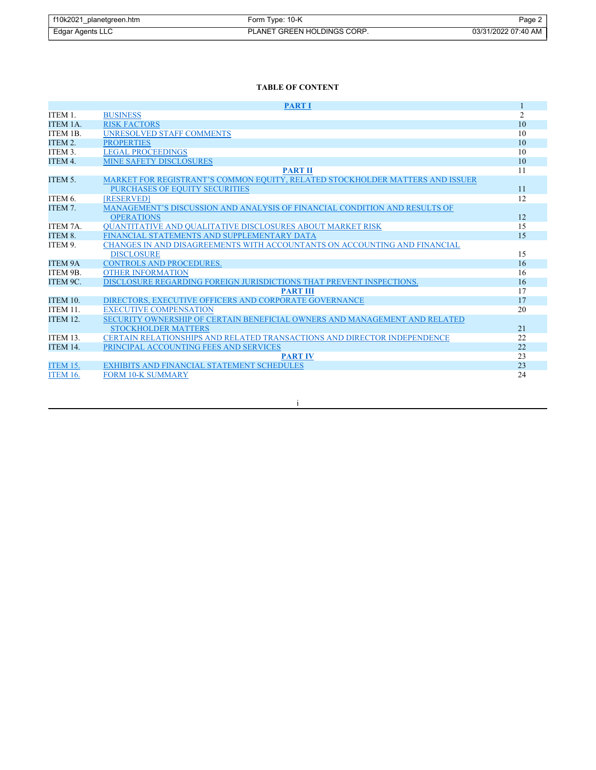| f10k2021 planetgreen.htm | Form Type: 10-K             | Page 2              |
|--------------------------|-----------------------------|---------------------|
| Edgar Agents LLC         | PLANET GREEN HOLDINGS CORP. | 03/31/2022 07:40 AM |

## **TABLE OF CONTENT**

|                 | <b>PART I</b>                                                                 |                |
|-----------------|-------------------------------------------------------------------------------|----------------|
| ITEM 1.         | <b>BUSINESS</b>                                                               | $\overline{2}$ |
| ITEM 1A.        | <b>RISK FACTORS</b>                                                           | 10             |
| ITEM 1B.        | <b>UNRESOLVED STAFF COMMENTS</b>                                              | 10             |
| ITEM 2.         | <b>PROPERTIES</b>                                                             | 10             |
| ITEM 3.         | <b>LEGAL PROCEEDINGS</b>                                                      | 10             |
| ITEM 4.         | <b>MINE SAFETY DISCLOSURES</b>                                                | 10             |
|                 | <b>PART II</b>                                                                | 11             |
| ITEM 5.         | MARKET FOR REGISTRANT'S COMMON EOUITY, RELATED STOCKHOLDER MATTERS AND ISSUER |                |
|                 | <b>PURCHASES OF EOUITY SECURITIES</b>                                         | 11             |
| ITEM 6.         | <b>TRESERVEDI</b>                                                             | 12             |
| ITEM 7.         | MANAGEMENT'S DISCUSSION AND ANALYSIS OF FINANCIAL CONDITION AND RESULTS OF    |                |
|                 | <b>OPERATIONS</b>                                                             | 12             |
| ITEM 7A.        | <b>QUANTITATIVE AND QUALITATIVE DISCLOSURES ABOUT MARKET RISK</b>             | 15             |
| ITEM 8.         | FINANCIAL STATEMENTS AND SUPPLEMENTARY DATA                                   | 15             |
| ITEM 9.         | CHANGES IN AND DISAGREEMENTS WITH ACCOUNTANTS ON ACCOUNTING AND FINANCIAL     |                |
|                 | <b>DISCLOSURE</b>                                                             | 15             |
| <b>ITEM 9A</b>  | <b>CONTROLS AND PROCEDURES.</b>                                               | 16             |
| ITEM 9B.        | <b>OTHER INFORMATION</b>                                                      | 16             |
| ITEM 9C.        | DISCLOSURE REGARDING FOREIGN JURISDICTIONS THAT PREVENT INSPECTIONS.          | 16             |
|                 | <b>PART III</b>                                                               | 17             |
| <b>ITEM 10.</b> | DIRECTORS, EXECUTIVE OFFICERS AND CORPORATE GOVERNANCE                        | 17             |
| <b>ITEM 11.</b> | <b>EXECUTIVE COMPENSATION</b>                                                 | 20             |
| <b>ITEM 12.</b> | SECURITY OWNERSHIP OF CERTAIN BENEFICIAL OWNERS AND MANAGEMENT AND RELATED    |                |
|                 | <b>STOCKHOLDER MATTERS</b>                                                    | 21             |
| ITEM 13.        | CERTAIN RELATIONSHIPS AND RELATED TRANSACTIONS AND DIRECTOR INDEPENDENCE      | 22             |
| <b>ITEM 14.</b> | PRINCIPAL ACCOUNTING FEES AND SERVICES                                        | 22             |
|                 | <b>PART IV</b>                                                                | 23             |
| <b>ITEM 15.</b> | <b>EXHIBITS AND FINANCIAL STATEMENT SCHEDULES</b>                             | 23             |
| <b>ITEM 16.</b> | <b>FORM 10-K SUMMARY</b>                                                      | 24             |
|                 |                                                                               |                |

i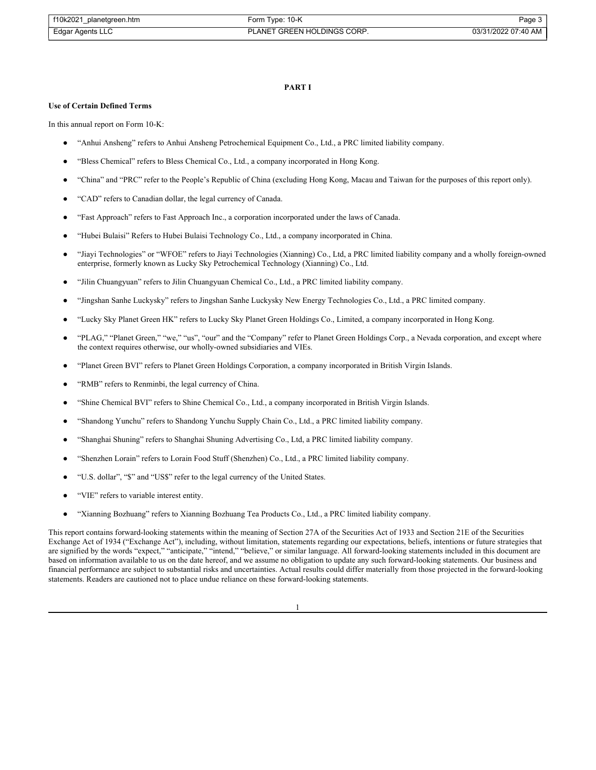## **PART I**

### **Use of Certain Defined Terms**

In this annual report on Form 10-K:

- "Anhui Ansheng" refers to Anhui Ansheng Petrochemical Equipment Co., Ltd., a PRC limited liability company.
- "Bless Chemical" refers to Bless Chemical Co., Ltd., a company incorporated in Hong Kong.
- "China" and "PRC" refer to the People's Republic of China (excluding Hong Kong, Macau and Taiwan for the purposes of this report only).
- "CAD" refers to Canadian dollar, the legal currency of Canada.
- "Fast Approach" refers to Fast Approach Inc., a corporation incorporated under the laws of Canada.
- "Hubei Bulaisi" Refers to Hubei Bulaisi Technology Co., Ltd., a company incorporated in China.
- "Jiayi Technologies" or "WFOE" refers to Jiayi Technologies (Xianning) Co., Ltd, a PRC limited liability company and a wholly foreign-owned enterprise, formerly known as Lucky Sky Petrochemical Technology (Xianning) Co., Ltd.
- "Jilin Chuangyuan" refers to Jilin Chuangyuan Chemical Co., Ltd., a PRC limited liability company.
- "Jingshan Sanhe Luckysky" refers to Jingshan Sanhe Luckysky New Energy Technologies Co., Ltd., a PRC limited company.
- "Lucky Sky Planet Green HK" refers to Lucky Sky Planet Green Holdings Co., Limited, a company incorporated in Hong Kong.
- "PLAG," "Planet Green," "we," "us", "our" and the "Company" refer to Planet Green Holdings Corp., a Nevada corporation, and except where the context requires otherwise, our wholly-owned subsidiaries and VIEs.
- "Planet Green BVI" refers to Planet Green Holdings Corporation, a company incorporated in British Virgin Islands.
- "RMB" refers to Renminbi, the legal currency of China.
- "Shine Chemical BVI" refers to Shine Chemical Co., Ltd., a company incorporated in British Virgin Islands.
- "Shandong Yunchu" refers to Shandong Yunchu Supply Chain Co., Ltd., a PRC limited liability company.
- "Shanghai Shuning" refers to Shanghai Shuning Advertising Co., Ltd, a PRC limited liability company.
- "Shenzhen Lorain" refers to Lorain Food Stuff (Shenzhen) Co., Ltd., a PRC limited liability company.
- "U.S. dollar", "\$" and "US\$" refer to the legal currency of the United States.
- "VIE" refers to variable interest entity.
- "Xianning Bozhuang" refers to Xianning Bozhuang Tea Products Co., Ltd., a PRC limited liability company.

This report contains forward-looking statements within the meaning of Section 27A of the Securities Act of 1933 and Section 21E of the Securities Exchange Act of 1934 ("Exchange Act"), including, without limitation, statements regarding our expectations, beliefs, intentions or future strategies that are signified by the words "expect," "anticipate," "intend," "believe," or similar language. All forward-looking statements included in this document are based on information available to us on the date hereof, and we assume no obligation to update any such forward-looking statements. Our business and financial performance are subject to substantial risks and uncertainties. Actual results could differ materially from those projected in the forward-looking statements. Readers are cautioned not to place undue reliance on these forward-looking statements.

1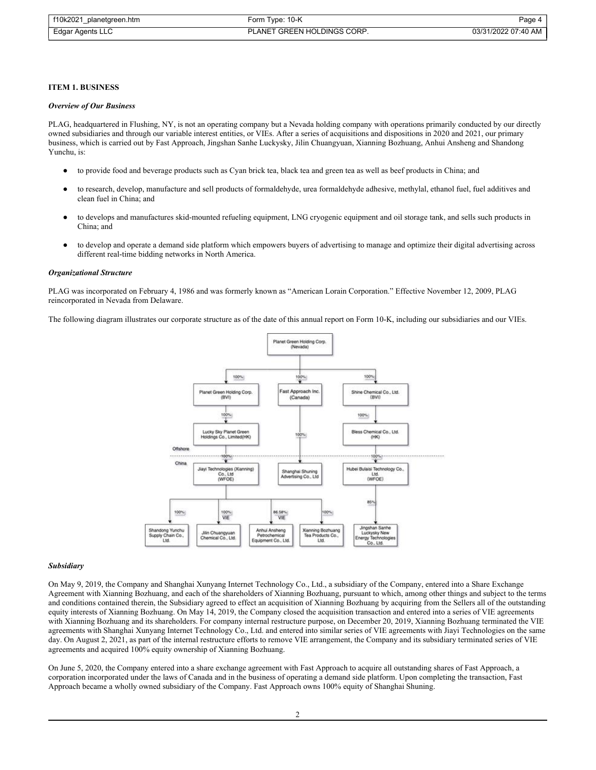| f10k2021 planetgreen.htm | Form Type: 10-K             | Page 4              |
|--------------------------|-----------------------------|---------------------|
| Edgar Agents LLC         | PLANET GREEN HOLDINGS CORP. | 03/31/2022 07:40 AM |

### **ITEM 1. BUSINESS**

## *Overview of Our Business*

PLAG, headquartered in Flushing, NY, is not an operating company but a Nevada holding company with operations primarily conducted by our directly owned subsidiaries and through our variable interest entities, or VIEs. After a series of acquisitions and dispositions in 2020 and 2021, our primary business, which is carried out by Fast Approach, Jingshan Sanhe Luckysky, Jilin Chuangyuan, Xianning Bozhuang, Anhui Ansheng and Shandong Yunchu, is:

- to provide food and beverage products such as Cyan brick tea, black tea and green tea as well as beef products in China; and
- to research, develop, manufacture and sell products of formaldehyde, urea formaldehyde adhesive, methylal, ethanol fuel, fuel additives and clean fuel in China; and
- to develops and manufactures skid-mounted refueling equipment, LNG cryogenic equipment and oil storage tank, and sells such products in China; and
- to develop and operate a demand side platform which empowers buyers of advertising to manage and optimize their digital advertising across different real-time bidding networks in North America.

### *Organizational Structure*

PLAG was incorporated on February 4, 1986 and was formerly known as "American Lorain Corporation." Effective November 12, 2009, PLAG reincorporated in Nevada from Delaware.

The following diagram illustrates our corporate structure as of the date of this annual report on Form 10-K, including our subsidiaries and our VIEs.



#### *Subsidiary*

On May 9, 2019, the Company and Shanghai Xunyang Internet Technology Co., Ltd., a subsidiary of the Company, entered into a Share Exchange Agreement with Xianning Bozhuang, and each of the shareholders of Xianning Bozhuang, pursuant to which, among other things and subject to the terms and conditions contained therein, the Subsidiary agreed to effect an acquisition of Xianning Bozhuang by acquiring from the Sellers all of the outstanding equity interests of Xianning Bozhuang. On May 14, 2019, the Company closed the acquisition transaction and entered into a series of VIE agreements with Xianning Bozhuang and its shareholders. For company internal restructure purpose, on December 20, 2019, Xianning Bozhuang terminated the VIE agreements with Shanghai Xunyang Internet Technology Co., Ltd. and entered into similar series of VIE agreements with Jiayi Technologies on the same day. On August 2, 2021, as part of the internal restructure efforts to remove VIE arrangement, the Company and its subsidiary terminated series of VIE agreements and acquired 100% equity ownership of Xianning Bozhuang.

On June 5, 2020, the Company entered into a share exchange agreement with Fast Approach to acquire all outstanding shares of Fast Approach, a corporation incorporated under the laws of Canada and in the business of operating a demand side platform. Upon completing the transaction, Fast Approach became a wholly owned subsidiary of the Company. Fast Approach owns 100% equity of Shanghai Shuning.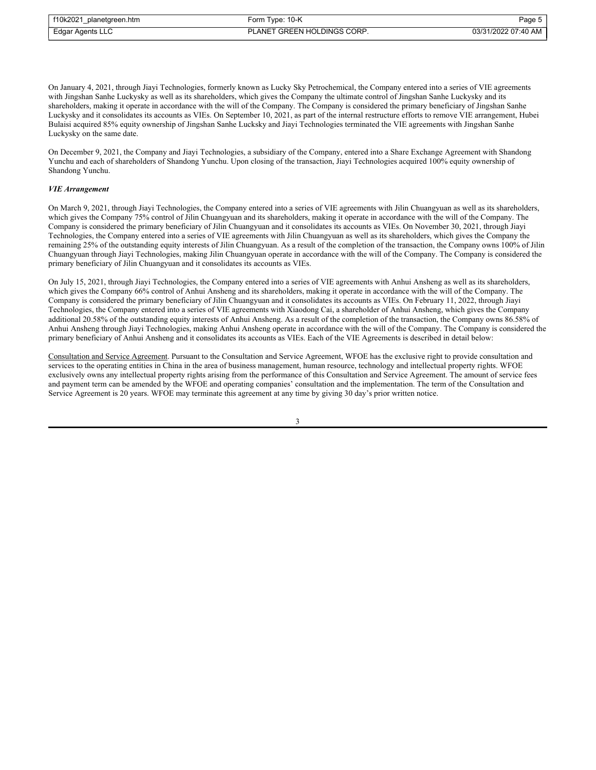| f10k2021 planetgreen.htm | Form Type: 10-K             | Page 5              |
|--------------------------|-----------------------------|---------------------|
| Edgar Agents LLC         | PLANET GREEN HOLDINGS CORP. | 03/31/2022 07:40 AM |

On January 4, 2021, through Jiayi Technologies, formerly known as Lucky Sky Petrochemical, the Company entered into a series of VIE agreements with Jingshan Sanhe Luckysky as well as its shareholders, which gives the Company the ultimate control of Jingshan Sanhe Luckysky and its shareholders, making it operate in accordance with the will of the Company. The Company is considered the primary beneficiary of Jingshan Sanhe Luckysky and it consolidates its accounts as VIEs. On September 10, 2021, as part of the internal restructure efforts to remove VIE arrangement, Hubei Bulaisi acquired 85% equity ownership of Jingshan Sanhe Lucksky and Jiayi Technologies terminated the VIE agreements with Jingshan Sanhe Luckysky on the same date.

On December 9, 2021, the Company and Jiayi Technologies, a subsidiary of the Company, entered into a Share Exchange Agreement with Shandong Yunchu and each of shareholders of Shandong Yunchu. Upon closing of the transaction, Jiayi Technologies acquired 100% equity ownership of Shandong Yunchu.

### *VIE Arrangement*

On March 9, 2021, through Jiayi Technologies, the Company entered into a series of VIE agreements with Jilin Chuangyuan as well as its shareholders, which gives the Company 75% control of Jilin Chuangyuan and its shareholders, making it operate in accordance with the will of the Company. The Company is considered the primary beneficiary of Jilin Chuangyuan and it consolidates its accounts as VIEs. On November 30, 2021, through Jiayi Technologies, the Company entered into a series of VIE agreements with Jilin Chuangyuan as well as its shareholders, which gives the Company the remaining 25% of the outstanding equity interests of Jilin Chuangyuan. As a result of the completion of the transaction, the Company owns 100% of Jilin Chuangyuan through Jiayi Technologies, making Jilin Chuangyuan operate in accordance with the will of the Company. The Company is considered the primary beneficiary of Jilin Chuangyuan and it consolidates its accounts as VIEs.

On July 15, 2021, through Jiayi Technologies, the Company entered into a series of VIE agreements with Anhui Ansheng as well as its shareholders, which gives the Company 66% control of Anhui Ansheng and its shareholders, making it operate in accordance with the will of the Company. The Company is considered the primary beneficiary of Jilin Chuangyuan and it consolidates its accounts as VIEs. On February 11, 2022, through Jiayi Technologies, the Company entered into a series of VIE agreements with Xiaodong Cai, a shareholder of Anhui Ansheng, which gives the Company additional 20.58% of the outstanding equity interests of Anhui Ansheng. As a result of the completion of the transaction, the Company owns 86.58% of Anhui Ansheng through Jiayi Technologies, making Anhui Ansheng operate in accordance with the will of the Company. The Company is considered the primary beneficiary of Anhui Ansheng and it consolidates its accounts as VIEs. Each of the VIE Agreements is described in detail below:

Consultation and Service Agreement. Pursuant to the Consultation and Service Agreement, WFOE has the exclusive right to provide consultation and services to the operating entities in China in the area of business management, human resource, technology and intellectual property rights. WFOE exclusively owns any intellectual property rights arising from the performance of this Consultation and Service Agreement. The amount of service fees and payment term can be amended by the WFOE and operating companies' consultation and the implementation. The term of the Consultation and Service Agreement is 20 years. WFOE may terminate this agreement at any time by giving 30 day's prior written notice.

3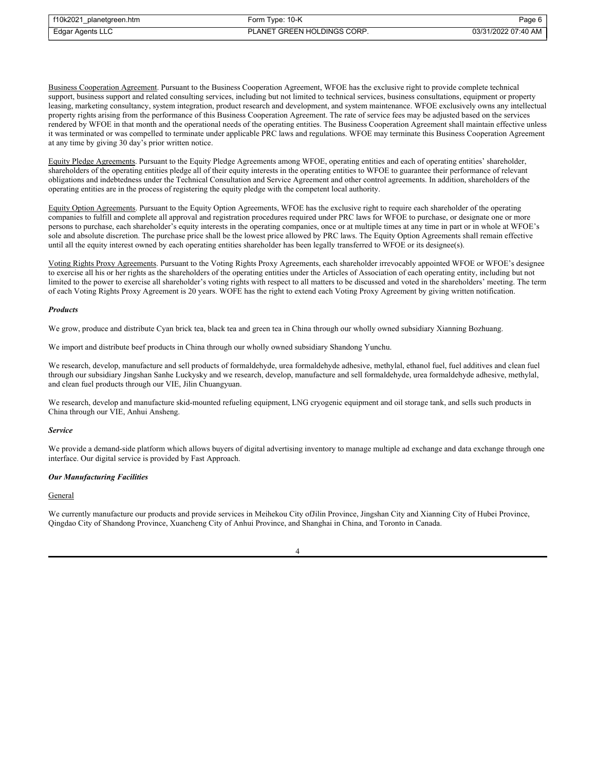| f10k2021 planetgreen.htm | Form Type: 10-K             | Page 6              |
|--------------------------|-----------------------------|---------------------|
| Edgar Agents LLC         | PLANET GREEN HOLDINGS CORP. | 03/31/2022 07:40 AM |

Business Cooperation Agreement. Pursuant to the Business Cooperation Agreement, WFOE has the exclusive right to provide complete technical support, business support and related consulting services, including but not limited to technical services, business consultations, equipment or property leasing, marketing consultancy, system integration, product research and development, and system maintenance. WFOE exclusively owns any intellectual property rights arising from the performance of this Business Cooperation Agreement. The rate of service fees may be adjusted based on the services rendered by WFOE in that month and the operational needs of the operating entities. The Business Cooperation Agreement shall maintain effective unless it was terminated or was compelled to terminate under applicable PRC laws and regulations. WFOE may terminate this Business Cooperation Agreement at any time by giving 30 day's prior written notice.

Equity Pledge Agreements. Pursuant to the Equity Pledge Agreements among WFOE, operating entities and each of operating entities' shareholder, shareholders of the operating entities pledge all of their equity interests in the operating entities to WFOE to guarantee their performance of relevant obligations and indebtedness under the Technical Consultation and Service Agreement and other control agreements. In addition, shareholders of the operating entities are in the process of registering the equity pledge with the competent local authority.

Equity Option Agreements. Pursuant to the Equity Option Agreements, WFOE has the exclusive right to require each shareholder of the operating companies to fulfill and complete all approval and registration procedures required under PRC laws for WFOE to purchase, or designate one or more persons to purchase, each shareholder's equity interests in the operating companies, once or at multiple times at any time in part or in whole at WFOE's sole and absolute discretion. The purchase price shall be the lowest price allowed by PRC laws. The Equity Option Agreements shall remain effective until all the equity interest owned by each operating entities shareholder has been legally transferred to WFOE or its designee(s).

Voting Rights Proxy Agreements. Pursuant to the Voting Rights Proxy Agreements, each shareholder irrevocably appointed WFOE or WFOE's designee to exercise all his or her rights as the shareholders of the operating entities under the Articles of Association of each operating entity, including but not limited to the power to exercise all shareholder's voting rights with respect to all matters to be discussed and voted in the shareholders' meeting. The term of each Voting Rights Proxy Agreement is 20 years. WOFE has the right to extend each Voting Proxy Agreement by giving written notification.

### *Products*

We grow, produce and distribute Cyan brick tea, black tea and green tea in China through our wholly owned subsidiary Xianning Bozhuang.

We import and distribute beef products in China through our wholly owned subsidiary Shandong Yunchu.

We research, develop, manufacture and sell products of formaldehyde, urea formaldehyde adhesive, methylal, ethanol fuel, fuel additives and clean fuel through our subsidiary Jingshan Sanhe Luckysky and we research, develop, manufacture and sell formaldehyde, urea formaldehyde adhesive, methylal, and clean fuel products through our VIE, Jilin Chuangyuan.

We research, develop and manufacture skid-mounted refueling equipment, LNG cryogenic equipment and oil storage tank, and sells such products in China through our VIE, Anhui Ansheng.

#### *Service*

We provide a demand-side platform which allows buyers of digital advertising inventory to manage multiple ad exchange and data exchange through one interface. Our digital service is provided by Fast Approach.

## *Our Manufacturing Facilities*

## General

We currently manufacture our products and provide services in Meihekou City ofJilin Province, Jingshan City and Xianning City of Hubei Province, Qingdao City of Shandong Province, Xuancheng City of Anhui Province, and Shanghai in China, and Toronto in Canada.

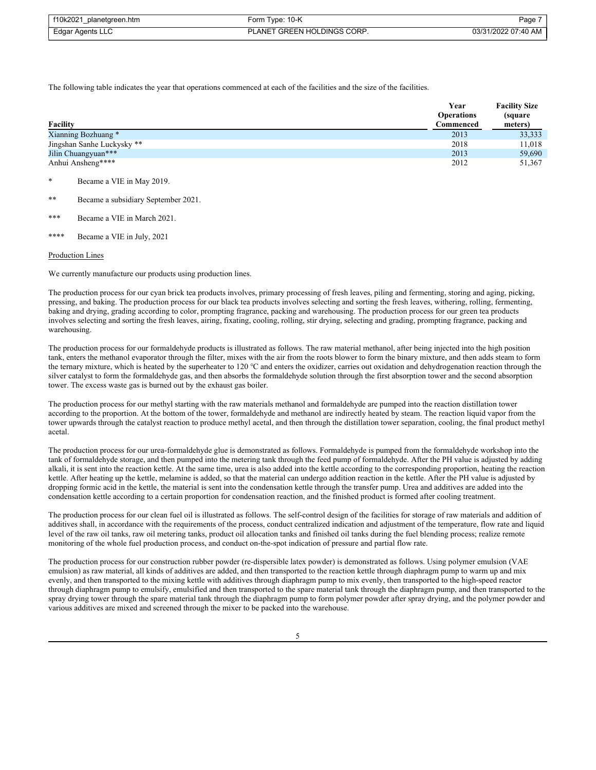| f10k2021<br>blanetgreen.htm | Form Type: 10-K             | Page 7              |
|-----------------------------|-----------------------------|---------------------|
| Edgar Agents LLC            | PLANET GREEN HOLDINGS CORP. | 03/31/2022 07:40 AM |

The following table indicates the year that operations commenced at each of the facilities and the size of the facilities.

| Facility                   | Year<br><b>Operations</b><br>Commenced | <b>Facility Size</b><br><i>(square)</i><br>meters) |
|----------------------------|----------------------------------------|----------------------------------------------------|
| Xianning Bozhuang *        | 2013                                   | 33,333                                             |
| Jingshan Sanhe Luckysky ** | 2018                                   | 11,018                                             |
| Jilin Chuangyuan***        | 2013                                   | 59,690                                             |
| Anhui Ansheng****          | 2012                                   | 51,367                                             |

Became a VIE in May 2019.

Became a subsidiary September 2021.

\*\*\* Became a VIE in March 2021.

\*\*\*\* Became a VIE in July, 2021

Production Lines

We currently manufacture our products using production lines.

The production process for our cyan brick tea products involves, primary processing of fresh leaves, piling and fermenting, storing and aging, picking, pressing, and baking. The production process for our black tea products involves selecting and sorting the fresh leaves, withering, rolling, fermenting, baking and drying, grading according to color, prompting fragrance, packing and warehousing. The production process for our green tea products involves selecting and sorting the fresh leaves, airing, fixating, cooling, rolling, stir drying, selecting and grading, prompting fragrance, packing and warehousing.

The production process for our formaldehyde products is illustrated as follows. The raw material methanol, after being injected into the high position tank, enters the methanol evaporator through the filter, mixes with the air from the roots blower to form the binary mixture, and then adds steam to form the ternary mixture, which is heated by the superheater to 120 ℃ and enters the oxidizer, carries out oxidation and dehydrogenation reaction through the silver catalyst to form the formaldehyde gas, and then absorbs the formaldehyde solution through the first absorption tower and the second absorption tower. The excess waste gas is burned out by the exhaust gas boiler.

The production process for our methyl starting with the raw materials methanol and formaldehyde are pumped into the reaction distillation tower according to the proportion. At the bottom of the tower, formaldehyde and methanol are indirectly heated by steam. The reaction liquid vapor from the tower upwards through the catalyst reaction to produce methyl acetal, and then through the distillation tower separation, cooling, the final product methyl acetal.

The production process for our urea-formaldehyde glue is demonstrated as follows. Formaldehyde is pumped from the formaldehyde workshop into the tank of formaldehyde storage, and then pumped into the metering tank through the feed pump of formaldehyde. After the PH value is adjusted by adding alkali, it is sent into the reaction kettle. At the same time, urea is also added into the kettle according to the corresponding proportion, heating the reaction kettle. After heating up the kettle, melamine is added, so that the material can undergo addition reaction in the kettle. After the PH value is adjusted by dropping formic acid in the kettle, the material is sent into the condensation kettle through the transfer pump. Urea and additives are added into the condensation kettle according to a certain proportion for condensation reaction, and the finished product is formed after cooling treatment.

The production process for our clean fuel oil is illustrated as follows. The self-control design of the facilities for storage of raw materials and addition of additives shall, in accordance with the requirements of the process, conduct centralized indication and adjustment of the temperature, flow rate and liquid level of the raw oil tanks, raw oil metering tanks, product oil allocation tanks and finished oil tanks during the fuel blending process; realize remote monitoring of the whole fuel production process, and conduct on-the-spot indication of pressure and partial flow rate.

The production process for our construction rubber powder (re-dispersible latex powder) is demonstrated as follows. Using polymer emulsion (VAE emulsion) as raw material, all kinds of additives are added, and then transported to the reaction kettle through diaphragm pump to warm up and mix evenly, and then transported to the mixing kettle with additives through diaphragm pump to mix evenly, then transported to the high-speed reactor through diaphragm pump to emulsify, emulsified and then transported to the spare material tank through the diaphragm pump, and then transported to the spray drying tower through the spare material tank through the diaphragm pump to form polymer powder after spray drying, and the polymer powder and various additives are mixed and screened through the mixer to be packed into the warehouse.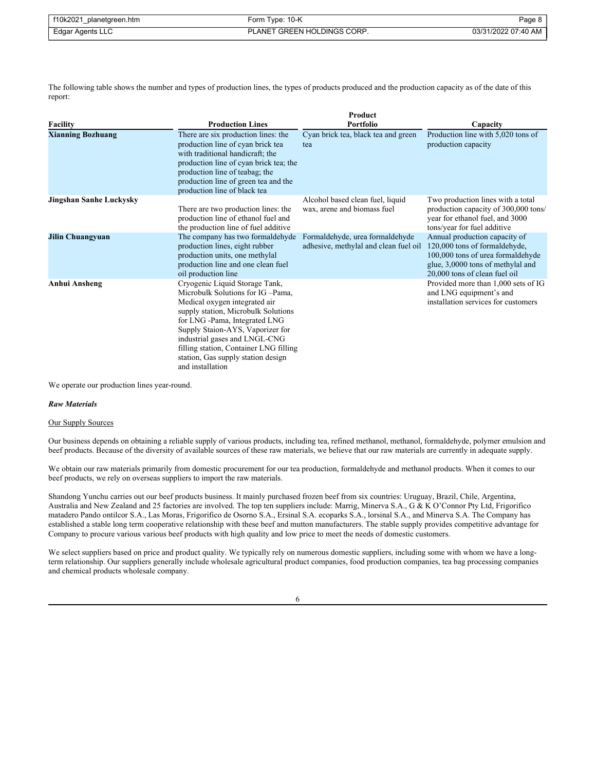| f10k2021 planetgreen.htm | Form Type: 10-K             | Page 8              |
|--------------------------|-----------------------------|---------------------|
| Edgar Agents LLC         | PLANET GREEN HOLDINGS CORP. | 03/31/2022 07:40 AM |

The following table shows the number and types of production lines, the types of products produced and the production capacity as of the date of this report:

| Facility                       | <b>Production Lines</b>                                                                                                                                                                                                                                                                                                                              | Product<br>Portfolio                                                     | Capacity                                                                                                                                                                  |
|--------------------------------|------------------------------------------------------------------------------------------------------------------------------------------------------------------------------------------------------------------------------------------------------------------------------------------------------------------------------------------------------|--------------------------------------------------------------------------|---------------------------------------------------------------------------------------------------------------------------------------------------------------------------|
| <b>Xianning Bozhuang</b>       | There are six production lines: the<br>production line of cyan brick tea<br>with traditional handicraft; the<br>production line of cyan brick tea; the<br>production line of teabag; the<br>production line of green tea and the<br>production line of black tea                                                                                     | Cyan brick tea, black tea and green<br>tea                               | Production line with 5,020 tons of<br>production capacity                                                                                                                 |
| <b>Jingshan Sanhe Luckysky</b> | There are two production lines: the<br>production line of ethanol fuel and<br>the production line of fuel additive                                                                                                                                                                                                                                   | Alcohol based clean fuel, liquid<br>wax, arene and biomass fuel          | Two production lines with a total<br>production capacity of 300,000 tons/<br>year for ethanol fuel, and 3000<br>tons/year for fuel additive                               |
| <b>Jilin Chuangyuan</b>        | The company has two formaldehyde<br>production lines, eight rubber<br>production units, one methylal<br>production line and one clean fuel<br>oil production line                                                                                                                                                                                    | Formaldehyde, urea formaldehyde<br>adhesive, methylal and clean fuel oil | Annual production capacity of<br>120,000 tons of formaldehyde,<br>100,000 tons of urea formaldehyde<br>glue, 3,0000 tons of methylal and<br>20,000 tons of clean fuel oil |
| Anhui Ansheng                  | Cryogenic Liquid Storage Tank,<br>Microbulk Solutions for IG-Pama,<br>Medical oxygen integrated air<br>supply station, Microbulk Solutions<br>for LNG -Pama, Integrated LNG<br>Supply Staion-AYS, Vaporizer for<br>industrial gases and LNGL-CNG<br>filling station, Container LNG filling<br>station, Gas supply station design<br>and installation |                                                                          | Provided more than 1,000 sets of IG<br>and LNG equipment's and<br>installation services for customers                                                                     |

We operate our production lines year-round.

#### *Raw Materials*

#### Our Supply Sources

Our business depends on obtaining a reliable supply of various products, including tea, refined methanol, methanol, formaldehyde, polymer emulsion and beef products. Because of the diversity of available sources of these raw materials, we believe that our raw materials are currently in adequate supply.

We obtain our raw materials primarily from domestic procurement for our tea production, formaldehyde and methanol products. When it comes to our beef products, we rely on overseas suppliers to import the raw materials.

Shandong Yunchu carries out our beef products business. It mainly purchased frozen beef from six countries: Uruguay, Brazil, Chile, Argentina, Australia and New Zealand and 25 factories are involved. The top ten suppliers include: Marrig, Minerva S.A., G & K O'Connor Pty Ltd, Frigorifico matadero Pando ontilcor S.A., Las Moras, Frigorifico de Osorno S.A., Ersinal S.A. ecoparks S.A., lorsinal S.A., and Minerva S.A. The Company has established a stable long term cooperative relationship with these beef and mutton manufacturers. The stable supply provides competitive advantage for Company to procure various various beef products with high quality and low price to meet the needs of domestic customers.

We select suppliers based on price and product quality. We typically rely on numerous domestic suppliers, including some with whom we have a longterm relationship. Our suppliers generally include wholesale agricultural product companies, food production companies, tea bag processing companies and chemical products wholesale company.

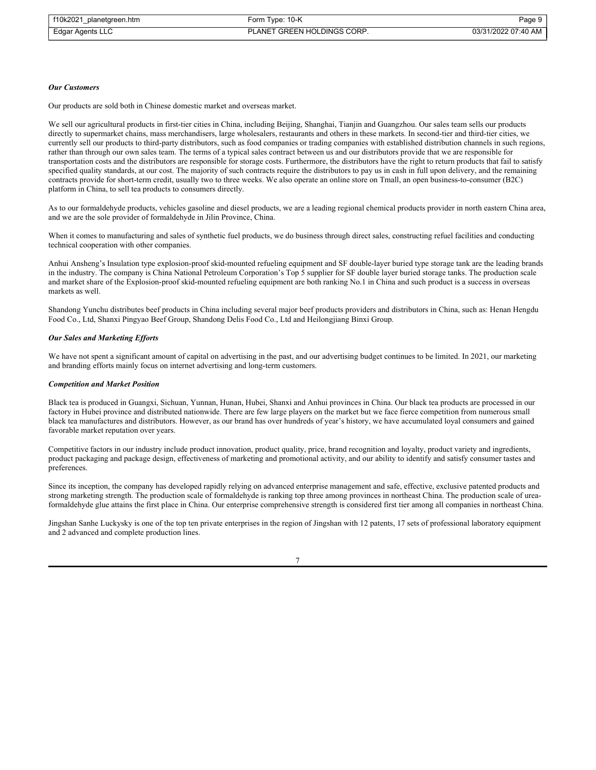| f10k2021 planetgreen.htm | Form Type: 10-K             | Page 9              |
|--------------------------|-----------------------------|---------------------|
| Edgar Agents LLC         | PLANET GREEN HOLDINGS CORP. | 03/31/2022 07:40 AM |

#### *Our Customers*

Our products are sold both in Chinese domestic market and overseas market.

We sell our agricultural products in first-tier cities in China, including Beijing, Shanghai, Tianjin and Guangzhou. Our sales team sells our products directly to supermarket chains, mass merchandisers, large wholesalers, restaurants and others in these markets. In second-tier and third-tier cities, we currently sell our products to third-party distributors, such as food companies or trading companies with established distribution channels in such regions, rather than through our own sales team. The terms of a typical sales contract between us and our distributors provide that we are responsible for transportation costs and the distributors are responsible for storage costs. Furthermore, the distributors have the right to return products that fail to satisfy specified quality standards, at our cost. The majority of such contracts require the distributors to pay us in cash in full upon delivery, and the remaining contracts provide for short-term credit, usually two to three weeks. We also operate an online store on Tmall, an open business-to-consumer (B2C) platform in China, to sell tea products to consumers directly.

As to our formaldehyde products, vehicles gasoline and diesel products, we are a leading regional chemical products provider in north eastern China area, and we are the sole provider of formaldehyde in Jilin Province, China.

When it comes to manufacturing and sales of synthetic fuel products, we do business through direct sales, constructing refuel facilities and conducting technical cooperation with other companies.

Anhui Ansheng's Insulation type explosion-proof skid-mounted refueling equipment and SF double-layer buried type storage tank are the leading brands in the industry. The company is China National Petroleum Corporation's Top 5 supplier for SF double layer buried storage tanks. The production scale and market share of the Explosion-proof skid-mounted refueling equipment are both ranking No.1 in China and such product is a success in overseas markets as well.

Shandong Yunchu distributes beef products in China including several major beef products providers and distributors in China, such as: Henan Hengdu Food Co., Ltd, Shanxi Pingyao Beef Group, Shandong Delis Food Co., Ltd and Heilongjiang Binxi Group.

## *Our Sales and Marketing Efforts*

We have not spent a significant amount of capital on advertising in the past, and our advertising budget continues to be limited. In 2021, our marketing and branding efforts mainly focus on internet advertising and long-term customers.

### *Competition and Market Position*

Black tea is produced in Guangxi, Sichuan, Yunnan, Hunan, Hubei, Shanxi and Anhui provinces in China. Our black tea products are processed in our factory in Hubei province and distributed nationwide. There are few large players on the market but we face fierce competition from numerous small black tea manufactures and distributors. However, as our brand has over hundreds of year's history, we have accumulated loyal consumers and gained favorable market reputation over years.

Competitive factors in our industry include product innovation, product quality, price, brand recognition and loyalty, product variety and ingredients, product packaging and package design, effectiveness of marketing and promotional activity, and our ability to identify and satisfy consumer tastes and preferences.

Since its inception, the company has developed rapidly relying on advanced enterprise management and safe, effective, exclusive patented products and strong marketing strength. The production scale of formaldehyde is ranking top three among provinces in northeast China. The production scale of ureaformaldehyde glue attains the first place in China. Our enterprise comprehensive strength is considered first tier among all companies in northeast China.

Jingshan Sanhe Luckysky is one of the top ten private enterprises in the region of Jingshan with 12 patents, 17 sets of professional laboratory equipment and 2 advanced and complete production lines.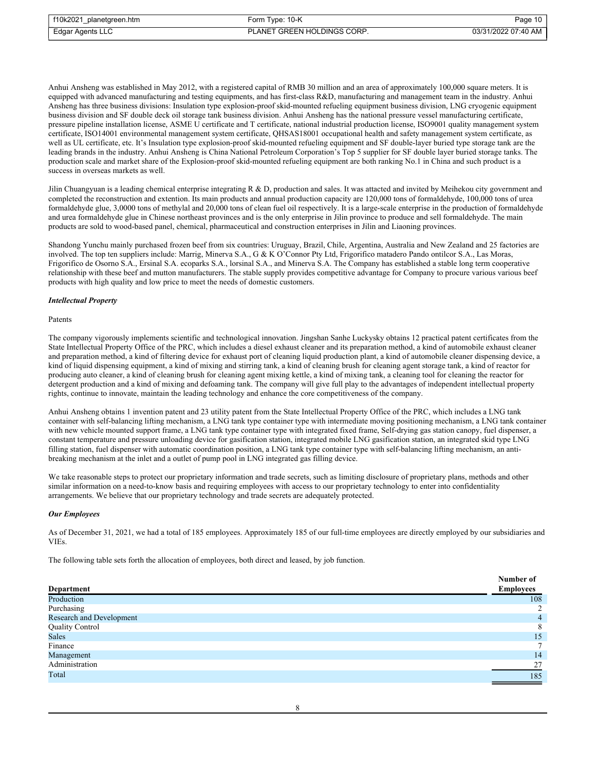| f10k2021 planetgreen.htm | Form Type: 10-K             | Page 10             |
|--------------------------|-----------------------------|---------------------|
| Edgar Agents LLC         | PLANET GREEN HOLDINGS CORP. | 03/31/2022 07:40 AM |

Anhui Ansheng was established in May 2012, with a registered capital of RMB 30 million and an area of approximately 100,000 square meters. It is equipped with advanced manufacturing and testing equipments, and has first-class R&D, manufacturing and management team in the industry. Anhui Ansheng has three business divisions: Insulation type explosion-proof skid-mounted refueling equipment business division, LNG cryogenic equipment business division and SF double deck oil storage tank business division. Anhui Ansheng has the national pressure vessel manufacturing certificate, pressure pipeline installation license, ASME U certificate and T certificate, national industrial production license, ISO9001 quality management system certificate, ISO14001 environmental management system certificate, QHSAS18001 occupational health and safety management system certificate, as well as UL certificate, etc. It's Insulation type explosion-proof skid-mounted refueling equipment and SF double-layer buried type storage tank are the leading brands in the industry. Anhui Ansheng is China National Petroleum Corporation's Top 5 supplier for SF double layer buried storage tanks. The production scale and market share of the Explosion-proof skid-mounted refueling equipment are both ranking No.1 in China and such product is a success in overseas markets as well.

Jilin Chuangyuan is a leading chemical enterprise integrating  $R \& D$ , production and sales. It was attacted and invited by Meihekou city government and completed the reconstruction and extention. Its main products and annual production capacity are 120,000 tons of formaldehyde, 100,000 tons of urea formaldehyde glue, 3,0000 tons of methylal and 20,000 tons of clean fuel oil respectively. It is a large-scale enterprise in the production of formaldehyde and urea formaldehyde glue in Chinese northeast provinces and is the only enterprise in Jilin province to produce and sell formaldehyde. The main products are sold to wood-based panel, chemical, pharmaceutical and construction enterprises in Jilin and Liaoning provinces.

Shandong Yunchu mainly purchased frozen beef from six countries: Uruguay, Brazil, Chile, Argentina, Australia and New Zealand and 25 factories are involved. The top ten suppliers include: Marrig, Minerva S.A., G & K O'Connor Pty Ltd, Frigorifico matadero Pando ontilcor S.A., Las Moras, Frigorifico de Osorno S.A., Ersinal S.A. ecoparks S.A., lorsinal S.A., and Minerva S.A. The Company has established a stable long term cooperative relationship with these beef and mutton manufacturers. The stable supply provides competitive advantage for Company to procure various various beef products with high quality and low price to meet the needs of domestic customers.

### *Intellectual Property*

Patents

The company vigorously implements scientific and technological innovation. Jingshan Sanhe Luckysky obtains 12 practical patent certificates from the State Intellectual Property Office of the PRC, which includes a diesel exhaust cleaner and its preparation method, a kind of automobile exhaust cleaner and preparation method, a kind of filtering device for exhaust port of cleaning liquid production plant, a kind of automobile cleaner dispensing device, a kind of liquid dispensing equipment, a kind of mixing and stirring tank, a kind of cleaning brush for cleaning agent storage tank, a kind of reactor for producing auto cleaner, a kind of cleaning brush for cleaning agent mixing kettle, a kind of mixing tank, a cleaning tool for cleaning the reactor for detergent production and a kind of mixing and defoaming tank. The company will give full play to the advantages of independent intellectual property rights, continue to innovate, maintain the leading technology and enhance the core competitiveness of the company.

Anhui Ansheng obtains 1 invention patent and 23 utility patent from the State Intellectual Property Office of the PRC, which includes a LNG tank container with self-balancing lifting mechanism, a LNG tank type container type with intermediate moving positioning mechanism, a LNG tank container with new vehicle mounted support frame, a LNG tank type container type with integrated fixed frame, Self-drying gas station canopy, fuel dispenser, a constant temperature and pressure unloading device for gasification station, integrated mobile LNG gasification station, an integrated skid type LNG filling station, fuel dispenser with automatic coordination position, a LNG tank type container type with self-balancing lifting mechanism, an antibreaking mechanism at the inlet and a outlet of pump pool in LNG integrated gas filling device.

We take reasonable steps to protect our proprietary information and trade secrets, such as limiting disclosure of proprietary plans, methods and other similar information on a need-to-know basis and requiring employees with access to our proprietary technology to enter into confidentiality arrangements. We believe that our proprietary technology and trade secrets are adequately protected.

### *Our Employees*

As of December 31, 2021, we had a total of 185 employees. Approximately 185 of our full-time employees are directly employed by our subsidiaries and VIEs.

The following table sets forth the allocation of employees, both direct and leased, by job function.

|                          | Number of        |
|--------------------------|------------------|
| Department               | <b>Employees</b> |
| Production               | 108              |
| Purchasing               | $\mathcal{L}$    |
| Research and Development | 4                |
| Quality Control          | 8                |
| Sales                    | 15               |
| Finance                  |                  |
| Management               | 14               |
| Administration           | 27               |
| Total                    | 185              |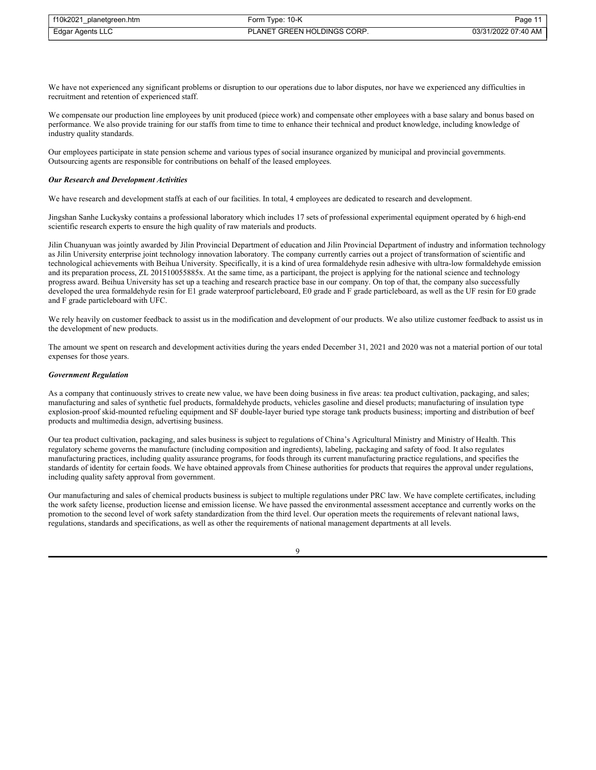| f10k2021 planetgreen.htm | Form Type: 10-K             | Page 11             |
|--------------------------|-----------------------------|---------------------|
| Edgar Agents LLC         | PLANET GREEN HOLDINGS CORP. | 03/31/2022 07:40 AM |

We have not experienced any significant problems or disruption to our operations due to labor disputes, nor have we experienced any difficulties in recruitment and retention of experienced staff.

We compensate our production line employees by unit produced (piece work) and compensate other employees with a base salary and bonus based on performance. We also provide training for our staffs from time to time to enhance their technical and product knowledge, including knowledge of industry quality standards.

Our employees participate in state pension scheme and various types of social insurance organized by municipal and provincial governments. Outsourcing agents are responsible for contributions on behalf of the leased employees.

### *Our Research and Development Activities*

We have research and development staffs at each of our facilities. In total, 4 employees are dedicated to research and development.

Jingshan Sanhe Luckysky contains a professional laboratory which includes 17 sets of professional experimental equipment operated by 6 high-end scientific research experts to ensure the high quality of raw materials and products.

Jilin Chuanyuan was jointly awarded by Jilin Provincial Department of education and Jilin Provincial Department of industry and information technology as Jilin University enterprise joint technology innovation laboratory. The company currently carries out a project of transformation of scientific and technological achievements with Beihua University. Specifically, it is a kind of urea formaldehyde resin adhesive with ultra-low formaldehyde emission and its preparation process, ZL 201510055885x. At the same time, as a participant, the project is applying for the national science and technology progress award. Beihua University has set up a teaching and research practice base in our company. On top of that, the company also successfully developed the urea formaldehyde resin for E1 grade waterproof particleboard, E0 grade and F grade particleboard, as well as the UF resin for E0 grade and F grade particleboard with UFC.

We rely heavily on customer feedback to assist us in the modification and development of our products. We also utilize customer feedback to assist us in the development of new products.

The amount we spent on research and development activities during the years ended December 31, 2021 and 2020 was not a material portion of our total expenses for those years.

### *Government Regulation*

As a company that continuously strives to create new value, we have been doing business in five areas: tea product cultivation, packaging, and sales; manufacturing and sales of synthetic fuel products, formaldehyde products, vehicles gasoline and diesel products; manufacturing of insulation type explosion-proof skid-mounted refueling equipment and SF double-layer buried type storage tank products business; importing and distribution of beef products and multimedia design, advertising business.

Our tea product cultivation, packaging, and sales business is subject to regulations of China's Agricultural Ministry and Ministry of Health. This regulatory scheme governs the manufacture (including composition and ingredients), labeling, packaging and safety of food. It also regulates manufacturing practices, including quality assurance programs, for foods through its current manufacturing practice regulations, and specifies the standards of identity for certain foods. We have obtained approvals from Chinese authorities for products that requires the approval under regulations, including quality safety approval from government.

Our manufacturing and sales of chemical products business is subject to multiple regulations under PRC law. We have complete certificates, including the work safety license, production license and emission license. We have passed the environmental assessment acceptance and currently works on the promotion to the second level of work safety standardization from the third level. Our operation meets the requirements of relevant national laws, regulations, standards and specifications, as well as other the requirements of national management departments at all levels.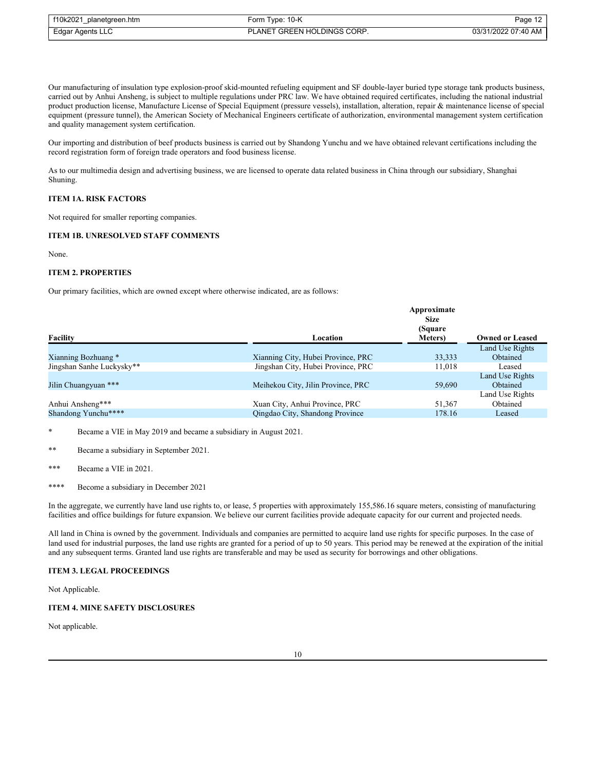| f10k2021 planetgreen.htm | Form Type: 10-K             | Page 12             |
|--------------------------|-----------------------------|---------------------|
| Edgar Agents LLC         | PLANET GREEN HOLDINGS CORP. | 03/31/2022 07:40 AM |

Our manufacturing of insulation type explosion-proof skid-mounted refueling equipment and SF double-layer buried type storage tank products business, carried out by Anhui Ansheng, is subject to multiple regulations under PRC law. We have obtained required certificates, including the national industrial product production license, Manufacture License of Special Equipment (pressure vessels), installation, alteration, repair & maintenance license of special equipment (pressure tunnel), the American Society of Mechanical Engineers certificate of authorization, environmental management system certification and quality management system certification.

Our importing and distribution of beef products business is carried out by Shandong Yunchu and we have obtained relevant certifications including the record registration form of foreign trade operators and food business license.

As to our multimedia design and advertising business, we are licensed to operate data related business in China through our subsidiary, Shanghai Shuning.

## **ITEM 1A. RISK FACTORS**

Not required for smaller reporting companies.

## **ITEM 1B. UNRESOLVED STAFF COMMENTS**

None.

## **ITEM 2. PROPERTIES**

Our primary facilities, which are owned except where otherwise indicated, are as follows:

| Facility                  | Location                           | Approximate<br><b>Size</b><br>(Square)<br>Meters) | <b>Owned or Leased</b> |
|---------------------------|------------------------------------|---------------------------------------------------|------------------------|
|                           |                                    |                                                   | Land Use Rights        |
| Xianning Bozhuang *       | Xianning City, Hubei Province, PRC | 33,333                                            | Obtained               |
| Jingshan Sanhe Luckysky** | Jingshan City, Hubei Province, PRC | 11,018                                            | Leased                 |
|                           |                                    |                                                   | Land Use Rights        |
| Jilin Chuangyuan ***      | Meihekou City, Jilin Province, PRC | 59,690                                            | Obtained               |
|                           |                                    |                                                   | Land Use Rights        |
| Anhui Ansheng***          | Xuan City, Anhui Province, PRC     | 51,367                                            | Obtained               |
| Shandong Yunchu****       | Oingdao City, Shandong Province    | 178.16                                            | Leased                 |

Became a VIE in May 2019 and became a subsidiary in August 2021.

Became a subsidiary in September 2021.

\*\*\* Became a VIE in 2021.

\*\*\*\* Become a subsidiary in December 2021

In the aggregate, we currently have land use rights to, or lease, 5 properties with approximately 155,586.16 square meters, consisting of manufacturing facilities and office buildings for future expansion. We believe our current facilities provide adequate capacity for our current and projected needs.

All land in China is owned by the government. Individuals and companies are permitted to acquire land use rights for specific purposes. In the case of land used for industrial purposes, the land use rights are granted for a period of up to 50 years. This period may be renewed at the expiration of the initial and any subsequent terms. Granted land use rights are transferable and may be used as security for borrowings and other obligations.

## **ITEM 3. LEGAL PROCEEDINGS**

Not Applicable.

### **ITEM 4. MINE SAFETY DISCLOSURES**

Not applicable.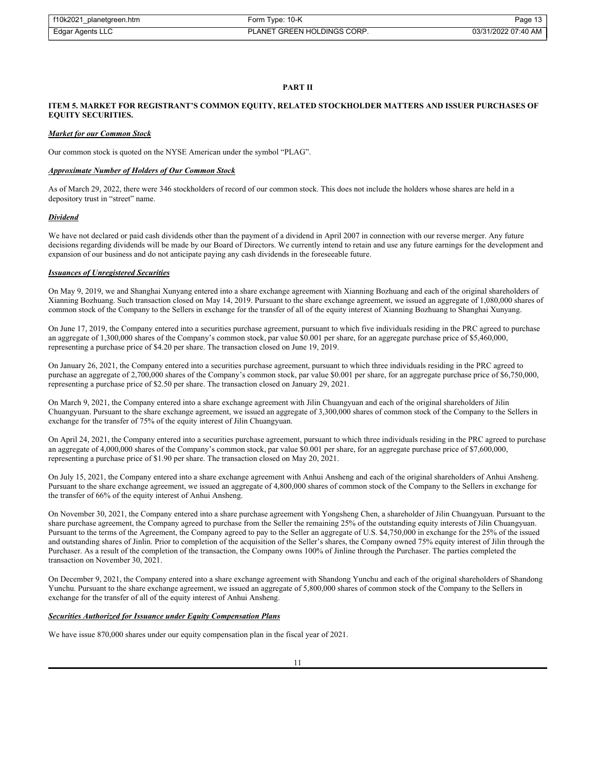| f10k2021_planetgreen.htm | Form Type: 10-K             | Page 13             |
|--------------------------|-----------------------------|---------------------|
| Edgar Agents LLC         | PLANET GREEN HOLDINGS CORP. | 03/31/2022 07:40 AM |

## **PART II**

## **ITEM 5. MARKET FOR REGISTRANT'S COMMON EQUITY, RELATED STOCKHOLDER MATTERS AND ISSUER PURCHASES OF EQUITY SECURITIES.**

### *Market for our Common Stock*

Our common stock is quoted on the NYSE American under the symbol "PLAG".

### *Approximate Number of Holders of Our Common Stock*

As of March 29, 2022, there were 346 stockholders of record of our common stock. This does not include the holders whose shares are held in a depository trust in "street" name.

## *Dividend*

We have not declared or paid cash dividends other than the payment of a dividend in April 2007 in connection with our reverse merger. Any future decisions regarding dividends will be made by our Board of Directors. We currently intend to retain and use any future earnings for the development and expansion of our business and do not anticipate paying any cash dividends in the foreseeable future.

### *Issuances of Unregistered Securities*

On May 9, 2019, we and Shanghai Xunyang entered into a share exchange agreement with Xianning Bozhuang and each of the original shareholders of Xianning Bozhuang. Such transaction closed on May 14, 2019. Pursuant to the share exchange agreement, we issued an aggregate of 1,080,000 shares of common stock of the Company to the Sellers in exchange for the transfer of all of the equity interest of Xianning Bozhuang to Shanghai Xunyang.

On June 17, 2019, the Company entered into a securities purchase agreement, pursuant to which five individuals residing in the PRC agreed to purchase an aggregate of 1,300,000 shares of the Company's common stock, par value \$0.001 per share, for an aggregate purchase price of \$5,460,000, representing a purchase price of \$4.20 per share. The transaction closed on June 19, 2019.

On January 26, 2021, the Company entered into a securities purchase agreement, pursuant to which three individuals residing in the PRC agreed to purchase an aggregate of 2,700,000 shares of the Company's common stock, par value \$0.001 per share, for an aggregate purchase price of \$6,750,000, representing a purchase price of \$2.50 per share. The transaction closed on January 29, 2021.

On March 9, 2021, the Company entered into a share exchange agreement with Jilin Chuangyuan and each of the original shareholders of Jilin Chuangyuan. Pursuant to the share exchange agreement, we issued an aggregate of 3,300,000 shares of common stock of the Company to the Sellers in exchange for the transfer of 75% of the equity interest of Jilin Chuangyuan.

On April 24, 2021, the Company entered into a securities purchase agreement, pursuant to which three individuals residing in the PRC agreed to purchase an aggregate of 4,000,000 shares of the Company's common stock, par value \$0.001 per share, for an aggregate purchase price of \$7,600,000, representing a purchase price of \$1.90 per share. The transaction closed on May 20, 2021.

On July 15, 2021, the Company entered into a share exchange agreement with Anhui Ansheng and each of the original shareholders of Anhui Ansheng. Pursuant to the share exchange agreement, we issued an aggregate of 4,800,000 shares of common stock of the Company to the Sellers in exchange for the transfer of 66% of the equity interest of Anhui Ansheng.

On November 30, 2021, the Company entered into a share purchase agreement with Yongsheng Chen, a shareholder of Jilin Chuangyuan. Pursuant to the share purchase agreement, the Company agreed to purchase from the Seller the remaining 25% of the outstanding equity interests of Jilin Chuangyuan. Pursuant to the terms of the Agreement, the Company agreed to pay to the Seller an aggregate of U.S. \$4,750,000 in exchange for the 25% of the issued and outstanding shares of Jinlin. Prior to completion of the acquisition of the Seller's shares, the Company owned 75% equity interest of Jilin through the Purchaser. As a result of the completion of the transaction, the Company owns 100% of Jinline through the Purchaser. The parties completed the transaction on November 30, 2021.

On December 9, 2021, the Company entered into a share exchange agreement with Shandong Yunchu and each of the original shareholders of Shandong Yunchu. Pursuant to the share exchange agreement, we issued an aggregate of 5,800,000 shares of common stock of the Company to the Sellers in exchange for the transfer of all of the equity interest of Anhui Ansheng.

## *Securities Authorized for Issuance under Equity Compensation Plans*

We have issue 870,000 shares under our equity compensation plan in the fiscal year of 2021.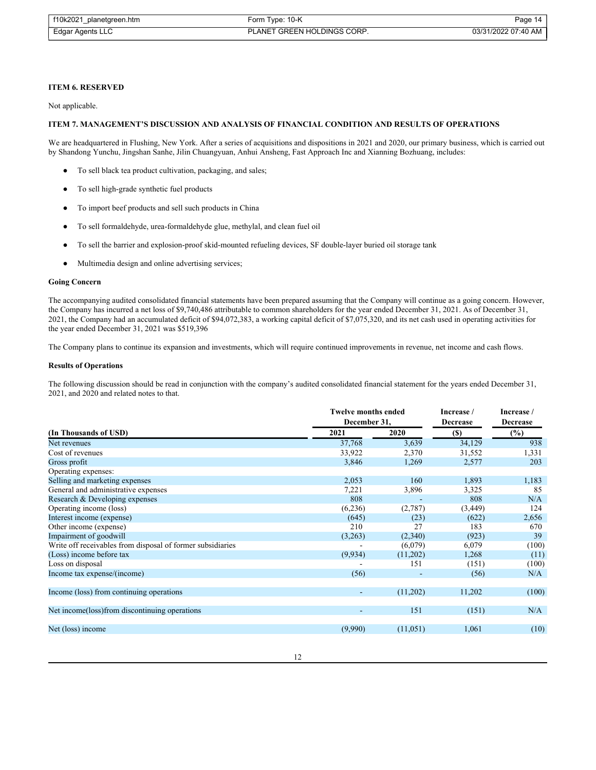| f10k2021 planetgreen.htm | Form Type: 10-K             | Page 14             |
|--------------------------|-----------------------------|---------------------|
| Edgar Agents LLC         | PLANET GREEN HOLDINGS CORP. | 03/31/2022 07:40 AM |

## **ITEM 6. RESERVED**

Not applicable.

## **ITEM 7. MANAGEMENT'S DISCUSSION AND ANALYSIS OF FINANCIAL CONDITION AND RESULTS OF OPERATIONS**

We are headquartered in Flushing, New York. After a series of acquisitions and dispositions in 2021 and 2020, our primary business, which is carried out by Shandong Yunchu, Jingshan Sanhe, Jilin Chuangyuan, Anhui Ansheng, Fast Approach Inc and Xianning Bozhuang, includes:

- To sell black tea product cultivation, packaging, and sales;
- To sell high-grade synthetic fuel products
- To import beef products and sell such products in China
- To sell formaldehyde, urea-formaldehyde glue, methylal, and clean fuel oil
- To sell the barrier and explosion-proof skid-mounted refueling devices, SF double-layer buried oil storage tank
- Multimedia design and online advertising services;

## **Going Concern**

The accompanying audited consolidated financial statements have been prepared assuming that the Company will continue as a going concern. However, the Company has incurred a net loss of \$9,740,486 attributable to common shareholders for the year ended December 31, 2021. As of December 31, 2021, the Company had an accumulated deficit of \$94,072,383, a working capital deficit of \$7,075,320, and its net cash used in operating activities for the year ended December 31, 2021 was \$519,396

The Company plans to continue its expansion and investments, which will require continued improvements in revenue, net income and cash flows.

### **Results of Operations**

The following discussion should be read in conjunction with the company's audited consolidated financial statement for the years ended December 31, 2021, and 2020 and related notes to that.

|                                                            | <b>Twelve months ended</b><br>December 31, | Increase/<br><b>Decrease</b> | Increase /<br><b>Decrease</b> |       |  |
|------------------------------------------------------------|--------------------------------------------|------------------------------|-------------------------------|-------|--|
| (In Thousands of USD)                                      | 2021                                       | 2020                         | <b>(S)</b>                    | (%)   |  |
| Net revenues                                               | 37,768                                     | 3,639                        | 34,129                        | 938   |  |
| Cost of revenues                                           | 33,922                                     | 2,370                        | 31,552                        | 1,331 |  |
| Gross profit                                               | 3,846                                      | 1,269                        | 2,577                         | 203   |  |
| Operating expenses:                                        |                                            |                              |                               |       |  |
| Selling and marketing expenses                             | 2,053                                      | 160                          | 1,893                         | 1,183 |  |
| General and administrative expenses                        | 7,221                                      | 3,896                        | 3,325                         | 85    |  |
| Research & Developing expenses                             | 808                                        |                              | 808                           | N/A   |  |
| Operating income (loss)                                    | (6,236)                                    | (2,787)                      | (3, 449)                      | 124   |  |
| Interest income (expense)                                  | (645)                                      | (23)                         | (622)                         | 2,656 |  |
| Other income (expense)                                     | 210                                        | 27                           | 183                           | 670   |  |
| Impairment of goodwill                                     | (3,263)                                    | (2,340)                      | (923)                         | 39    |  |
| Write off receivables from disposal of former subsidiaries |                                            | (6,079)                      | 6,079                         | (100) |  |
| (Loss) income before tax                                   | (9,934)                                    | (11,202)                     | 1,268                         | (11)  |  |
| Loss on disposal                                           |                                            | 151                          | (151)                         | (100) |  |
| Income tax expense/(income)                                | (56)                                       |                              | (56)                          | N/A   |  |
|                                                            |                                            |                              |                               |       |  |
| Income (loss) from continuing operations                   |                                            | (11,202)                     | 11,202                        | (100) |  |
|                                                            |                                            |                              |                               |       |  |
| Net income (loss) from discontinuing operations            |                                            | 151                          | (151)                         | N/A   |  |
|                                                            |                                            |                              |                               |       |  |
| Net (loss) income                                          | (9,990)                                    | (11,051)                     | 1,061                         | (10)  |  |
|                                                            |                                            |                              |                               |       |  |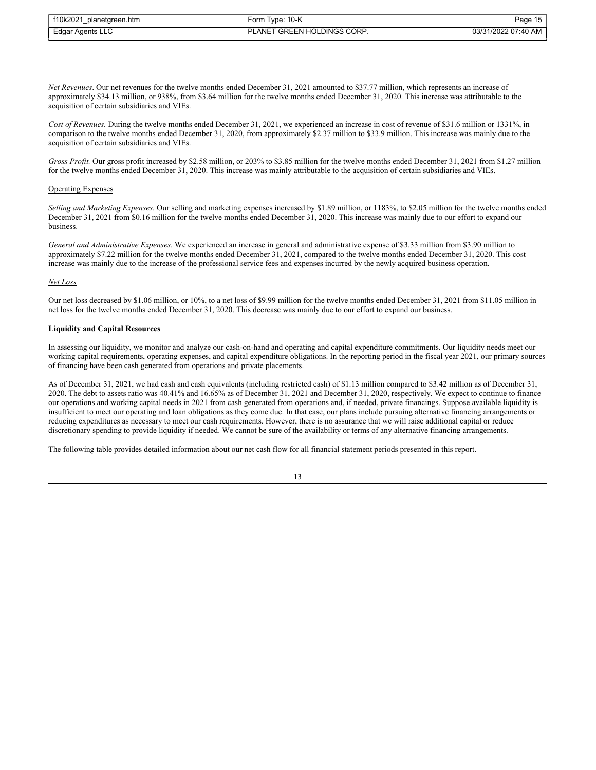| f10k2021 planetgreen.htm | Form Type: 10-K             | Page 15             |
|--------------------------|-----------------------------|---------------------|
| Edgar Agents LLC         | PLANET GREEN HOLDINGS CORP. | 03/31/2022 07:40 AM |

*Net Revenues*. Our net revenues for the twelve months ended December 31, 2021 amounted to \$37.77 million, which represents an increase of approximately \$34.13 million, or 938%, from \$3.64 million for the twelve months ended December 31, 2020. This increase was attributable to the acquisition of certain subsidiaries and VIEs.

Cost of Revenues. During the twelve months ended December 31, 2021, we experienced an increase in cost of revenue of \$31.6 million or 1331%, in comparison to the twelve months ended December 31, 2020, from approximately \$2.37 million to \$33.9 million. This increase was mainly due to the acquisition of certain subsidiaries and VIEs.

*Gross Profit.* Our gross profit increased by \$2.58 million, or 203% to \$3.85 million for the twelve months ended December 31, 2021 from \$1.27 million for the twelve months ended December 31, 2020. This increase was mainly attributable to the acquisition of certain subsidiaries and VIEs.

#### Operating Expenses

*Selling and Marketing Expenses.* Our selling and marketing expenses increased by \$1.89 million, or 1183%, to \$2.05 million for the twelve months ended December 31, 2021 from \$0.16 million for the twelve months ended December 31, 2020. This increase was mainly due to our effort to expand our business.

*General and Administrative Expenses.* We experienced an increase in general and administrative expense of \$3.33 million from \$3.90 million to approximately \$7.22 million for the twelve months ended December 31, 2021, compared to the twelve months ended December 31, 2020. This cost increase was mainly due to the increase of the professional service fees and expenses incurred by the newly acquired business operation.

#### *Net Loss*

Our net loss decreased by \$1.06 million, or 10%, to a net loss of \$9.99 million for the twelve months ended December 31, 2021 from \$11.05 million in net loss for the twelve months ended December 31, 2020. This decrease was mainly due to our effort to expand our business.

#### **Liquidity and Capital Resources**

In assessing our liquidity, we monitor and analyze our cash-on-hand and operating and capital expenditure commitments. Our liquidity needs meet our working capital requirements, operating expenses, and capital expenditure obligations. In the reporting period in the fiscal year 2021, our primary sources of financing have been cash generated from operations and private placements.

As of December 31, 2021, we had cash and cash equivalents (including restricted cash) of \$1.13 million compared to \$3.42 million as of December 31, 2020. The debt to assets ratio was 40.41% and 16.65% as of December 31, 2021 and December 31, 2020, respectively. We expect to continue to finance our operations and working capital needs in 2021 from cash generated from operations and, if needed, private financings. Suppose available liquidity is insufficient to meet our operating and loan obligations as they come due. In that case, our plans include pursuing alternative financing arrangements or reducing expenditures as necessary to meet our cash requirements. However, there is no assurance that we will raise additional capital or reduce discretionary spending to provide liquidity if needed. We cannot be sure of the availability or terms of any alternative financing arrangements.

The following table provides detailed information about our net cash flow for all financial statement periods presented in this report.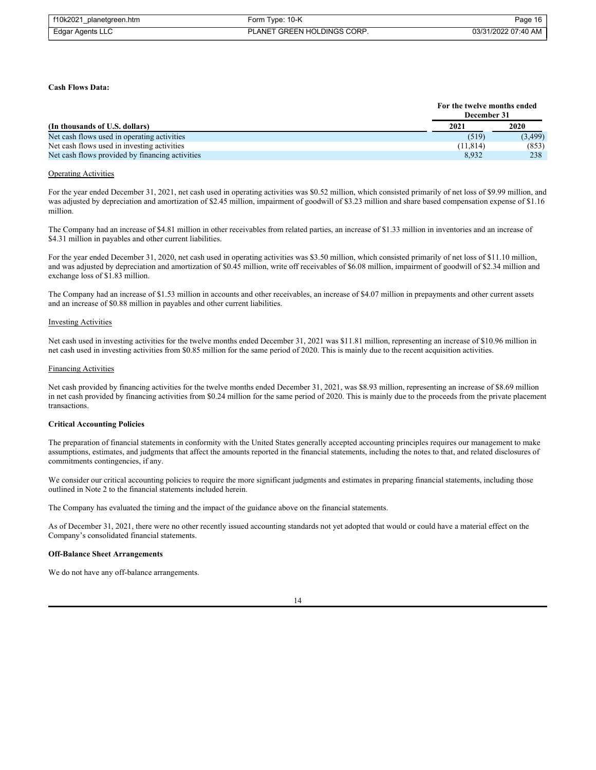| f10k2021_planetgreen.htm | Form Type: 10-K             | Page 16             |
|--------------------------|-----------------------------|---------------------|
| Edgar Agents LLC         | PLANET GREEN HOLDINGS CORP. | 03/31/2022 07:40 AM |

### **Cash Flows Data:**

|                                                 |           | For the twelve months ended<br>December 31 |  |  |  |  |
|-------------------------------------------------|-----------|--------------------------------------------|--|--|--|--|
| (In thousands of U.S. dollars)                  | 2021      | 2020                                       |  |  |  |  |
| Net cash flows used in operating activities     | (519)     | (3, 499)                                   |  |  |  |  |
| Net cash flows used in investing activities     | (11, 814) | (853)                                      |  |  |  |  |
| Net cash flows provided by financing activities | 8,932     | 238                                        |  |  |  |  |

#### Operating Activities

For the year ended December 31, 2021, net cash used in operating activities was \$0.52 million, which consisted primarily of net loss of \$9.99 million, and was adjusted by depreciation and amortization of \$2.45 million, impairment of goodwill of \$3.23 million and share based compensation expense of \$1.16 million.

The Company had an increase of \$4.81 million in other receivables from related parties, an increase of \$1.33 million in inventories and an increase of \$4.31 million in payables and other current liabilities.

For the year ended December 31, 2020, net cash used in operating activities was \$3.50 million, which consisted primarily of net loss of \$11.10 million, and was adjusted by depreciation and amortization of \$0.45 million, write off receivables of \$6.08 million, impairment of goodwill of \$2.34 million and exchange loss of \$1.83 million.

The Company had an increase of \$1.53 million in accounts and other receivables, an increase of \$4.07 million in prepayments and other current assets and an increase of \$0.88 million in payables and other current liabilities.

#### Investing Activities

Net cash used in investing activities for the twelve months ended December 31, 2021 was \$11.81 million, representing an increase of \$10.96 million in net cash used in investing activities from \$0.85 million for the same period of 2020. This is mainly due to the recent acquisition activities.

### Financing Activities

Net cash provided by financing activities for the twelve months ended December 31, 2021, was \$8.93 million, representing an increase of \$8.69 million in net cash provided by financing activities from \$0.24 million for the same period of 2020. This is mainly due to the proceeds from the private placement transactions.

#### **Critical Accounting Policies**

The preparation of financial statements in conformity with the United States generally accepted accounting principles requires our management to make assumptions, estimates, and judgments that affect the amounts reported in the financial statements, including the notes to that, and related disclosures of commitments contingencies, if any.

We consider our critical accounting policies to require the more significant judgments and estimates in preparing financial statements, including those outlined in Note 2 to the financial statements included herein.

The Company has evaluated the timing and the impact of the guidance above on the financial statements.

As of December 31, 2021, there were no other recently issued accounting standards not yet adopted that would or could have a material effect on the Company's consolidated financial statements.

## **Off-Balance Sheet Arrangements**

We do not have any off-balance arrangements.

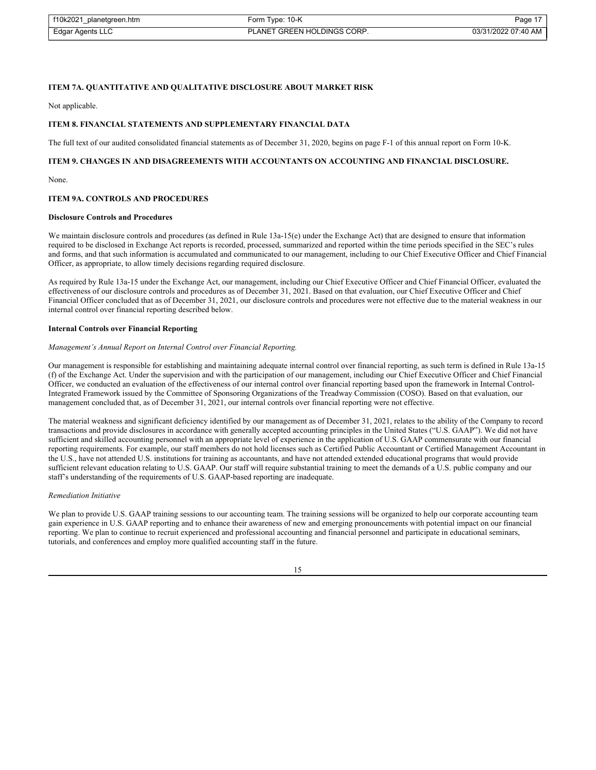| f10k2021 planetgreen.htm | Form Type: 10-K             | Page 17             |
|--------------------------|-----------------------------|---------------------|
| Edgar Agents LLC         | PLANET GREEN HOLDINGS CORP. | 03/31/2022 07:40 AM |

## **ITEM 7A. QUANTITATIVE AND QUALITATIVE DISCLOSURE ABOUT MARKET RISK**

Not applicable.

## **ITEM 8. FINANCIAL STATEMENTS AND SUPPLEMENTARY FINANCIAL DATA**

The full text of our audited consolidated financial statements as of December 31, 2020, begins on page F-1 of this annual report on Form 10-K.

### **ITEM 9. CHANGES IN AND DISAGREEMENTS WITH ACCOUNTANTS ON ACCOUNTING AND FINANCIAL DISCLOSURE.**

None.

## **ITEM 9A. CONTROLS AND PROCEDURES**

#### **Disclosure Controls and Procedures**

We maintain disclosure controls and procedures (as defined in Rule 13a-15(e) under the Exchange Act) that are designed to ensure that information required to be disclosed in Exchange Act reports is recorded, processed, summarized and reported within the time periods specified in the SEC's rules and forms, and that such information is accumulated and communicated to our management, including to our Chief Executive Officer and Chief Financial Officer, as appropriate, to allow timely decisions regarding required disclosure.

As required by Rule 13a-15 under the Exchange Act, our management, including our Chief Executive Officer and Chief Financial Officer, evaluated the effectiveness of our disclosure controls and procedures as of December 31, 2021. Based on that evaluation, our Chief Executive Officer and Chief Financial Officer concluded that as of December 31, 2021, our disclosure controls and procedures were not effective due to the material weakness in our internal control over financial reporting described below.

### **Internal Controls over Financial Reporting**

#### *Management's Annual Report on Internal Control over Financial Reporting.*

Our management is responsible for establishing and maintaining adequate internal control over financial reporting, as such term is defined in Rule 13a-15 (f) of the Exchange Act. Under the supervision and with the participation of our management, including our Chief Executive Officer and Chief Financial Officer, we conducted an evaluation of the effectiveness of our internal control over financial reporting based upon the framework in Internal Control-Integrated Framework issued by the Committee of Sponsoring Organizations of the Treadway Commission (COSO). Based on that evaluation, our management concluded that, as of December 31, 2021, our internal controls over financial reporting were not effective.

The material weakness and significant deficiency identified by our management as of December 31, 2021, relates to the ability of the Company to record transactions and provide disclosures in accordance with generally accepted accounting principles in the United States ("U.S. GAAP"). We did not have sufficient and skilled accounting personnel with an appropriate level of experience in the application of U.S. GAAP commensurate with our financial reporting requirements. For example, our staff members do not hold licenses such as Certified Public Accountant or Certified Management Accountant in the U.S., have not attended U.S. institutions for training as accountants, and have not attended extended educational programs that would provide sufficient relevant education relating to U.S. GAAP. Our staff will require substantial training to meet the demands of a U.S. public company and our staff's understanding of the requirements of U.S. GAAP-based reporting are inadequate.

#### *Remediation Initiative*

We plan to provide U.S. GAAP training sessions to our accounting team. The training sessions will be organized to help our corporate accounting team gain experience in U.S. GAAP reporting and to enhance their awareness of new and emerging pronouncements with potential impact on our financial reporting. We plan to continue to recruit experienced and professional accounting and financial personnel and participate in educational seminars, tutorials, and conferences and employ more qualified accounting staff in the future.

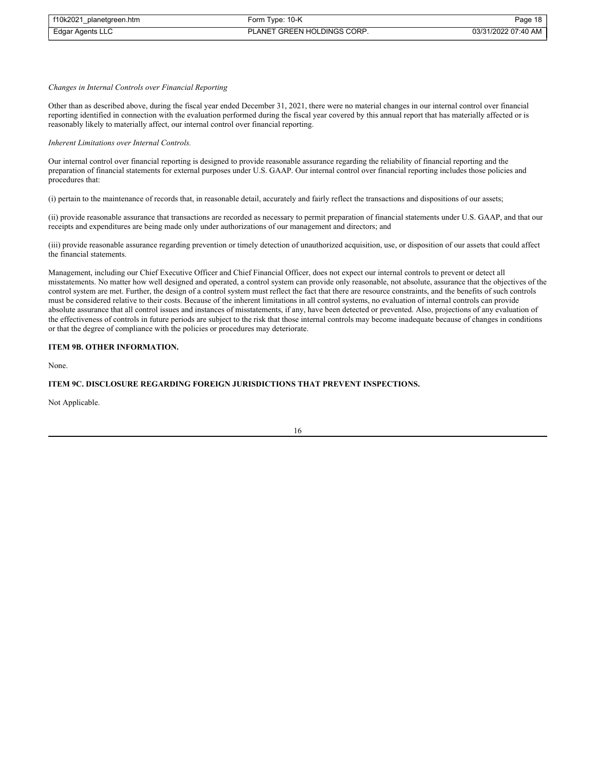| f10k2021 planetgreen.htm | Form Type: 10-K             | Page 18             |
|--------------------------|-----------------------------|---------------------|
| Edgar Agents LLC         | PLANET GREEN HOLDINGS CORP. | 03/31/2022 07:40 AM |

#### *Changes in Internal Controls over Financial Reporting*

Other than as described above, during the fiscal year ended December 31, 2021, there were no material changes in our internal control over financial reporting identified in connection with the evaluation performed during the fiscal year covered by this annual report that has materially affected or is reasonably likely to materially affect, our internal control over financial reporting.

*Inherent Limitations over Internal Controls.*

Our internal control over financial reporting is designed to provide reasonable assurance regarding the reliability of financial reporting and the preparation of financial statements for external purposes under U.S. GAAP. Our internal control over financial reporting includes those policies and procedures that:

(i) pertain to the maintenance of records that, in reasonable detail, accurately and fairly reflect the transactions and dispositions of our assets;

(ii) provide reasonable assurance that transactions are recorded as necessary to permit preparation of financial statements under U.S. GAAP, and that our receipts and expenditures are being made only under authorizations of our management and directors; and

(iii) provide reasonable assurance regarding prevention or timely detection of unauthorized acquisition, use, or disposition of our assets that could affect the financial statements.

Management, including our Chief Executive Officer and Chief Financial Officer, does not expect our internal controls to prevent or detect all misstatements. No matter how well designed and operated, a control system can provide only reasonable, not absolute, assurance that the objectives of the control system are met. Further, the design of a control system must reflect the fact that there are resource constraints, and the benefits of such controls must be considered relative to their costs. Because of the inherent limitations in all control systems, no evaluation of internal controls can provide absolute assurance that all control issues and instances of misstatements, if any, have been detected or prevented. Also, projections of any evaluation of the effectiveness of controls in future periods are subject to the risk that those internal controls may become inadequate because of changes in conditions or that the degree of compliance with the policies or procedures may deteriorate.

## **ITEM 9B. OTHER INFORMATION.**

None.

## **ITEM 9C. DISCLOSURE REGARDING FOREIGN JURISDICTIONS THAT PREVENT INSPECTIONS.**

Not Applicable.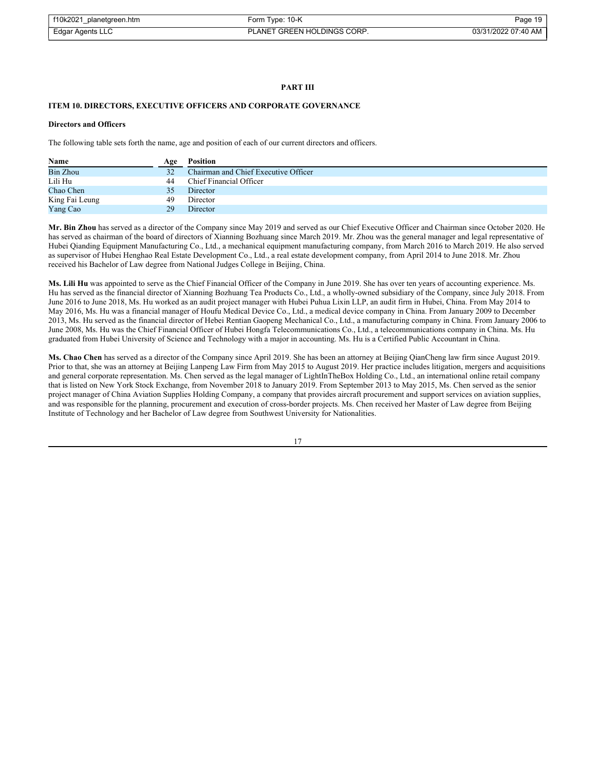| f10k2021 planetgreen.htm | Form Type: 10-K            | Page 19             |
|--------------------------|----------------------------|---------------------|
| Edgar Agents LLC         | PLANET GREEN HOLDINGS CORP | 03/31/2022 07:40 AM |

#### **PART III**

#### **ITEM 10. DIRECTORS, EXECUTIVE OFFICERS AND CORPORATE GOVERNANCE**

#### **Directors and Officers**

The following table sets forth the name, age and position of each of our current directors and officers.

| Name            | Age | <b>Position</b>                      |
|-----------------|-----|--------------------------------------|
| <b>Bin Zhou</b> | 32  | Chairman and Chief Executive Officer |
| Lili Hu         | 44  | Chief Financial Officer              |
| Chao Chen       | 35  | Director                             |
| King Fai Leung  | 49  | Director                             |
| Yang Cao        | 29  | Director                             |

**Mr. Bin Zhou** has served as a director of the Company since May 2019 and served as our Chief Executive Officer and Chairman since October 2020. He has served as chairman of the board of directors of Xianning Bozhuang since March 2019. Mr. Zhou was the general manager and legal representative of Hubei Qianding Equipment Manufacturing Co., Ltd., a mechanical equipment manufacturing company, from March 2016 to March 2019. He also served as supervisor of Hubei Henghao Real Estate Development Co., Ltd., a real estate development company, from April 2014 to June 2018. Mr. Zhou received his Bachelor of Law degree from National Judges College in Beijing, China.

**Ms. Lili Hu** was appointed to serve as the Chief Financial Officer of the Company in June 2019. She has over ten years of accounting experience. Ms. Hu has served as the financial director of Xianning Bozhuang Tea Products Co., Ltd., a wholly-owned subsidiary of the Company, since July 2018. From June 2016 to June 2018, Ms. Hu worked as an audit project manager with Hubei Puhua Lixin LLP, an audit firm in Hubei, China. From May 2014 to May 2016, Ms. Hu was a financial manager of Houfu Medical Device Co., Ltd., a medical device company in China. From January 2009 to December 2013, Ms. Hu served as the financial director of Hebei Rentian Gaopeng Mechanical Co., Ltd., a manufacturing company in China. From January 2006 to June 2008, Ms. Hu was the Chief Financial Officer of Hubei Hongfa Telecommunications Co., Ltd., a telecommunications company in China. Ms. Hu graduated from Hubei University of Science and Technology with a major in accounting. Ms. Hu is a Certified Public Accountant in China.

**Ms. Chao Chen** has served as a director of the Company since April 2019. She has been an attorney at Beijing QianCheng law firm since August 2019. Prior to that, she was an attorney at Beijing Lanpeng Law Firm from May 2015 to August 2019. Her practice includes litigation, mergers and acquisitions and general corporate representation. Ms. Chen served as the legal manager of LightInTheBox Holding Co., Ltd., an international online retail company that is listed on New York Stock Exchange, from November 2018 to January 2019. From September 2013 to May 2015, Ms. Chen served as the senior project manager of China Aviation Supplies Holding Company, a company that provides aircraft procurement and support services on aviation supplies, and was responsible for the planning, procurement and execution of cross-border projects. Ms. Chen received her Master of Law degree from Beijing Institute of Technology and her Bachelor of Law degree from Southwest University for Nationalities.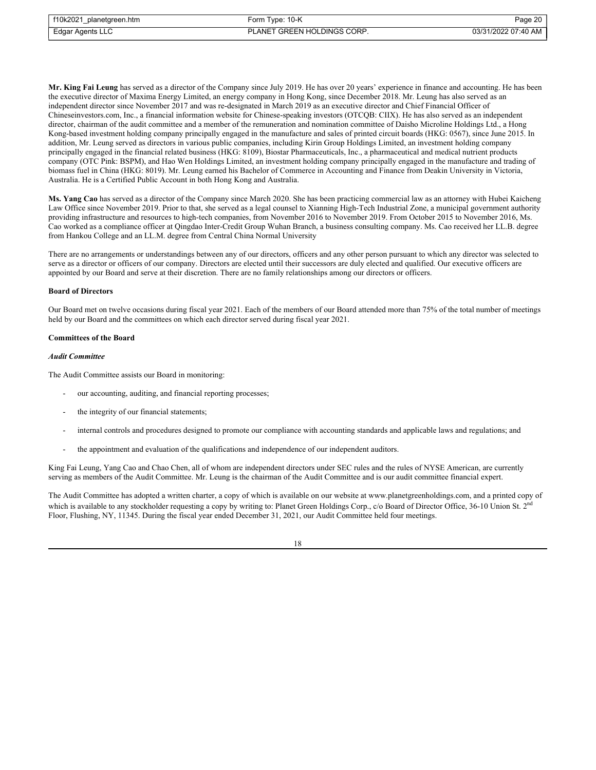| f10k2021 planetgreen.htm | Form Type: 10-K             | Page 20             |
|--------------------------|-----------------------------|---------------------|
| Edgar Agents LLC         | PLANET GREEN HOLDINGS CORP. | 03/31/2022 07:40 AM |

**Mr. King Fai Leung** has served as a director of the Company since July 2019. He has over 20 years' experience in finance and accounting. He has been the executive director of Maxima Energy Limited, an energy company in Hong Kong, since December 2018. Mr. Leung has also served as an independent director since November 2017 and was re-designated in March 2019 as an executive director and Chief Financial Officer of Chineseinvestors.com, Inc., a financial information website for Chinese-speaking investors (OTCQB: CIIX). He has also served as an independent director, chairman of the audit committee and a member of the remuneration and nomination committee of Daisho Microline Holdings Ltd., a Hong Kong-based investment holding company principally engaged in the manufacture and sales of printed circuit boards (HKG: 0567), since June 2015. In addition, Mr. Leung served as directors in various public companies, including Kirin Group Holdings Limited, an investment holding company principally engaged in the financial related business (HKG: 8109), Biostar Pharmaceuticals, Inc., a pharmaceutical and medical nutrient products company (OTC Pink: BSPM), and Hao Wen Holdings Limited, an investment holding company principally engaged in the manufacture and trading of biomass fuel in China (HKG: 8019). Mr. Leung earned his Bachelor of Commerce in Accounting and Finance from Deakin University in Victoria, Australia. He is a Certified Public Account in both Hong Kong and Australia.

**Ms. Yang Cao** has served as a director of the Company since March 2020. She has been practicing commercial law as an attorney with Hubei Kaicheng Law Office since November 2019. Prior to that, she served as a legal counsel to Xianning High-Tech Industrial Zone, a municipal government authority providing infrastructure and resources to high-tech companies, from November 2016 to November 2019. From October 2015 to November 2016, Ms. Cao worked as a compliance officer at Qingdao Inter-Credit Group Wuhan Branch, a business consulting company. Ms. Cao received her LL.B. degree from Hankou College and an LL.M. degree from Central China Normal University

There are no arrangements or understandings between any of our directors, officers and any other person pursuant to which any director was selected to serve as a director or officers of our company. Directors are elected until their successors are duly elected and qualified. Our executive officers are appointed by our Board and serve at their discretion. There are no family relationships among our directors or officers.

### **Board of Directors**

Our Board met on twelve occasions during fiscal year 2021. Each of the members of our Board attended more than 75% of the total number of meetings held by our Board and the committees on which each director served during fiscal year 2021.

### **Committees of the Board**

#### *Audit Committee*

The Audit Committee assists our Board in monitoring:

- our accounting, auditing, and financial reporting processes;
- the integrity of our financial statements;
- internal controls and procedures designed to promote our compliance with accounting standards and applicable laws and regulations; and
- the appointment and evaluation of the qualifications and independence of our independent auditors.

King Fai Leung, Yang Cao and Chao Chen, all of whom are independent directors under SEC rules and the rules of NYSE American, are currently serving as members of the Audit Committee. Mr. Leung is the chairman of the Audit Committee and is our audit committee financial expert.

The Audit Committee has adopted a written charter, a copy of which is available on our website at www.planetgreenholdings.com, and a printed copy of which is available to any stockholder requesting a copy by writing to: Planet Green Holdings Corp., c/o Board of Director Office, 36-10 Union St. 2<sup>nd</sup> Floor, Flushing, NY, 11345. During the fiscal year ended December 31, 2021, our Audit Committee held four meetings.

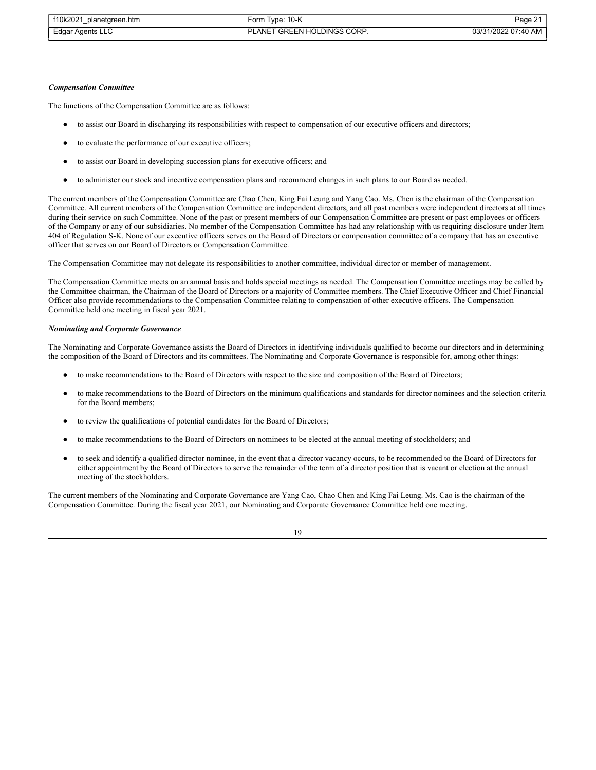| f10k2021 planetgreen.htm | Form Type: 10-K            | Page 21             |
|--------------------------|----------------------------|---------------------|
| Edgar Agents LLC         | PLANET GREEN HOLDINGS CORP | 03/31/2022 07:40 AM |

#### *Compensation Committee*

The functions of the Compensation Committee are as follows:

- to assist our Board in discharging its responsibilities with respect to compensation of our executive officers and directors;
- to evaluate the performance of our executive officers;
- to assist our Board in developing succession plans for executive officers; and
- to administer our stock and incentive compensation plans and recommend changes in such plans to our Board as needed.

The current members of the Compensation Committee are Chao Chen, King Fai Leung and Yang Cao. Ms. Chen is the chairman of the Compensation Committee. All current members of the Compensation Committee are independent directors, and all past members were independent directors at all times during their service on such Committee. None of the past or present members of our Compensation Committee are present or past employees or officers of the Company or any of our subsidiaries. No member of the Compensation Committee has had any relationship with us requiring disclosure under Item 404 of Regulation S-K. None of our executive officers serves on the Board of Directors or compensation committee of a company that has an executive officer that serves on our Board of Directors or Compensation Committee.

The Compensation Committee may not delegate its responsibilities to another committee, individual director or member of management.

The Compensation Committee meets on an annual basis and holds special meetings as needed. The Compensation Committee meetings may be called by the Committee chairman, the Chairman of the Board of Directors or a majority of Committee members. The Chief Executive Officer and Chief Financial Officer also provide recommendations to the Compensation Committee relating to compensation of other executive officers. The Compensation Committee held one meeting in fiscal year 2021.

### *Nominating and Corporate Governance*

The Nominating and Corporate Governance assists the Board of Directors in identifying individuals qualified to become our directors and in determining the composition of the Board of Directors and its committees. The Nominating and Corporate Governance is responsible for, among other things:

- to make recommendations to the Board of Directors with respect to the size and composition of the Board of Directors;
- to make recommendations to the Board of Directors on the minimum qualifications and standards for director nominees and the selection criteria for the Board members;
- to review the qualifications of potential candidates for the Board of Directors;
- to make recommendations to the Board of Directors on nominees to be elected at the annual meeting of stockholders; and
- to seek and identify a qualified director nominee, in the event that a director vacancy occurs, to be recommended to the Board of Directors for either appointment by the Board of Directors to serve the remainder of the term of a director position that is vacant or election at the annual meeting of the stockholders.

The current members of the Nominating and Corporate Governance are Yang Cao, Chao Chen and King Fai Leung. Ms. Cao is the chairman of the Compensation Committee. During the fiscal year 2021, our Nominating and Corporate Governance Committee held one meeting.

19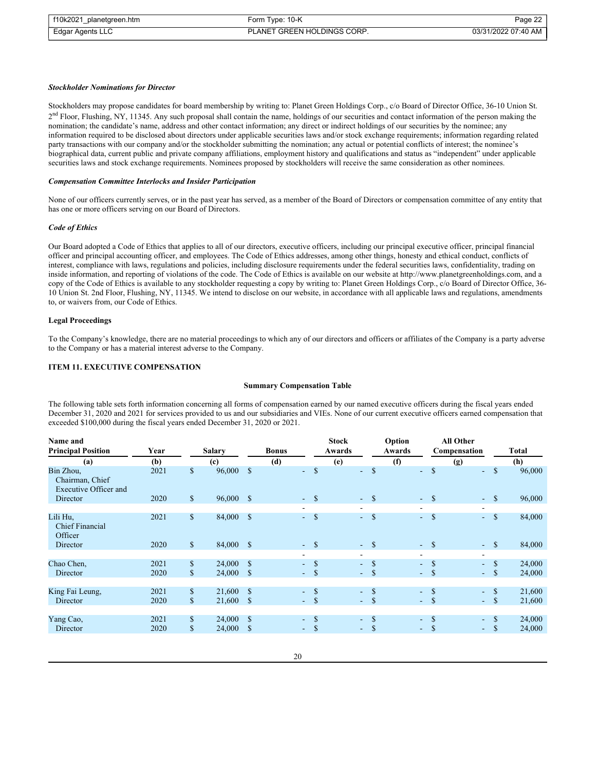| f10k2021 planetgreen.htm | Form Type: 10-K             | Page 22             |
|--------------------------|-----------------------------|---------------------|
| Edgar Agents LLC         | PLANET GREEN HOLDINGS CORP. | 03/31/2022 07:40 AM |

#### *Stockholder Nominations for Director*

Stockholders may propose candidates for board membership by writing to: Planet Green Holdings Corp., c/o Board of Director Office, 36-10 Union St.  $2<sup>nd</sup>$  Floor, Flushing, NY, 11345. Any such proposal shall contain the name, holdings of our securities and contact information of the person making the nomination; the candidate's name, address and other contact information; any direct or indirect holdings of our securities by the nominee; any information required to be disclosed about directors under applicable securities laws and/or stock exchange requirements; information regarding related party transactions with our company and/or the stockholder submitting the nomination; any actual or potential conflicts of interest; the nominee's biographical data, current public and private company affiliations, employment history and qualifications and status as "independent" under applicable securities laws and stock exchange requirements. Nominees proposed by stockholders will receive the same consideration as other nominees.

#### *Compensation Committee Interlocks and Insider Participation*

None of our officers currently serves, or in the past year has served, as a member of the Board of Directors or compensation committee of any entity that has one or more officers serving on our Board of Directors.

#### *Code of Ethics*

Our Board adopted a Code of Ethics that applies to all of our directors, executive officers, including our principal executive officer, principal financial officer and principal accounting officer, and employees. The Code of Ethics addresses, among other things, honesty and ethical conduct, conflicts of interest, compliance with laws, regulations and policies, including disclosure requirements under the federal securities laws, confidentiality, trading on inside information, and reporting of violations of the code. The Code of Ethics is available on our website at http://www.planetgreenholdings.com, and a copy of the Code of Ethics is available to any stockholder requesting a copy by writing to: Planet Green Holdings Corp., c/o Board of Director Office, 36- 10 Union St. 2nd Floor, Flushing, NY, 11345. We intend to disclose on our website, in accordance with all applicable laws and regulations, amendments to, or waivers from, our Code of Ethics.

#### **Legal Proceedings**

To the Company's knowledge, there are no material proceedings to which any of our directors and officers or affiliates of the Company is a party adverse to the Company or has a material interest adverse to the Company.

### **ITEM 11. EXECUTIVE COMPENSATION**

#### **Summary Compensation Table**

The following table sets forth information concerning all forms of compensation earned by our named executive officers during the fiscal years ended December 31, 2020 and 2021 for services provided to us and our subsidiaries and VIEs. None of our current executive officers earned compensation that exceeded \$100,000 during the fiscal years ended December 31, 2020 or 2021.

| Name and                                              |              |                    |                  |                     |              |                  | <b>Stock</b>                    |                       | Option  |                       | <b>All Other</b>             |               |                  |
|-------------------------------------------------------|--------------|--------------------|------------------|---------------------|--------------|------------------|---------------------------------|-----------------------|---------|-----------------------|------------------------------|---------------|------------------|
| <b>Principal Position</b>                             | Year         |                    | <b>Salary</b>    |                     | <b>Bonus</b> |                  | Awards                          |                       | Awards  |                       | Compensation                 |               | <b>Total</b>     |
| (a)                                                   | (b)          |                    | (c)              |                     | (d)          |                  | (e)                             |                       | (f)     |                       | (g)                          |               | (h)              |
| Bin Zhou,<br>Chairman, Chief<br>Executive Officer and | 2021         | \$                 | 96,000           | $\mathcal{S}$       |              | $-$ \$           | $\blacksquare$                  | $\mathbf S$           | ÷.      | $\mathcal{S}$         | $\sim$                       | <sup>\$</sup> | 96,000           |
| Director                                              | 2020         | $\mathsf{\$}$      | 96,000           | $\mathcal{S}$       |              | $-$ \$<br>$\sim$ | $\overline{\phantom{0}}$        | $-$ \$                | -       | $-$ \$                | $- S$<br>۰.                  |               | 96,000           |
| Lili Hu,<br><b>Chief Financial</b><br>Officer         | 2021         | \$                 | 84,000           | $\mathcal{S}$       |              | $-$ \$           | $\omega_{\rm c}$                | $\mathcal{S}$         |         | $-$ \$                | $\Delta \sim 10$             | $\mathbb{S}$  | 84,000           |
| Director                                              | 2020         | $\mathbb{S}$       | 84,000 \$        |                     |              | $-$ \$           |                                 | $-$ \$                |         | $-$ \$                | $- S$                        |               | 84,000           |
| Chao Chen,                                            | 2021         | $\mathbf S$        | 24,000           | <sup>\$</sup>       |              | $\sim$<br>$-$ \$ | ٠<br>$\mathbf{L}^{\mathcal{A}}$ | <sup>\$</sup>         | ٠<br>Ξ. | $\mathbf{s}$          | ÷.<br>$\omega_{\rm c}$       | $\mathcal{S}$ | 24,000           |
| Director                                              | 2020         | \$                 | 24,000           | $\mathbb{S}$        |              | $-$ \$           | $\sim$                          | <sup>S</sup>          |         | $-$ \$                | $\Delta \sim 10$             | -S            | 24,000           |
| King Fai Leung,<br>Director                           | 2021<br>2020 | \$<br>\$           | 21,600<br>21,600 | $\mathbb{S}$<br>S   |              | $-$ \$<br>$-$ \$ | $\omega$ .                      | $\mathbf S$<br>$- S$  |         | $-$ \$<br>$- S$       | $\omega_{\rm{eff}}$<br>$- S$ | <sup>S</sup>  | 21,600<br>21,600 |
|                                                       |              |                    |                  |                     |              |                  |                                 |                       |         |                       |                              |               |                  |
| Yang Cao,<br>Director                                 | 2021<br>2020 | $\mathbb{S}$<br>\$ | 24,000<br>24,000 | <sup>\$</sup><br>\$ |              | $-$ \$<br>$-$ \$ | $\overline{\phantom{a}}$        | $\mathbb{S}$<br>$- S$ | $\sim$  | $\mathbb{S}$<br>$- S$ | $\omega_{\rm c}$<br>$-$ \$   | <sup>S</sup>  | 24,000<br>24,000 |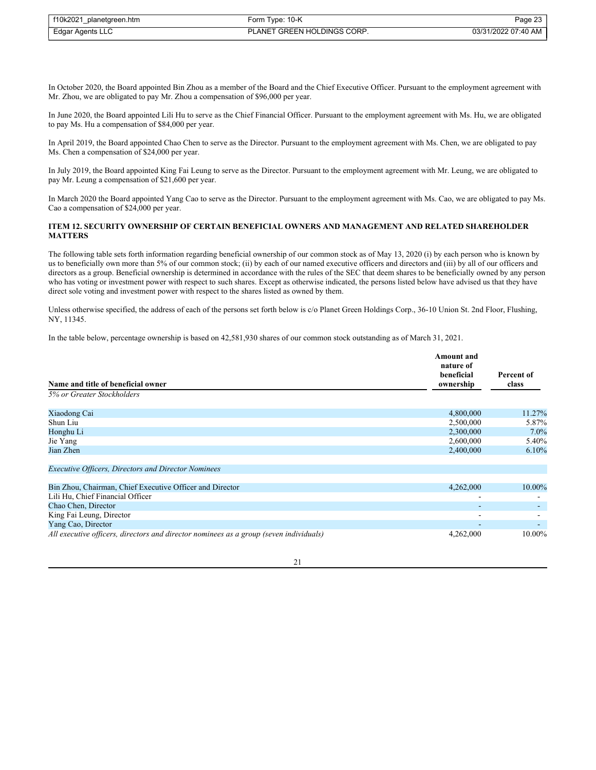| f10k2021 planetgreen.htm | Form Type: 10-K             | Page 23             |
|--------------------------|-----------------------------|---------------------|
| Edgar Agents LLC         | PLANET GREEN HOLDINGS CORP. | 03/31/2022 07:40 AM |

In October 2020, the Board appointed Bin Zhou as a member of the Board and the Chief Executive Officer. Pursuant to the employment agreement with Mr. Zhou, we are obligated to pay Mr. Zhou a compensation of \$96,000 per year.

In June 2020, the Board appointed Lili Hu to serve as the Chief Financial Officer. Pursuant to the employment agreement with Ms. Hu, we are obligated to pay Ms. Hu a compensation of \$84,000 per year.

In April 2019, the Board appointed Chao Chen to serve as the Director. Pursuant to the employment agreement with Ms. Chen, we are obligated to pay Ms. Chen a compensation of \$24,000 per year.

In July 2019, the Board appointed King Fai Leung to serve as the Director. Pursuant to the employment agreement with Mr. Leung, we are obligated to pay Mr. Leung a compensation of \$21,600 per year.

In March 2020 the Board appointed Yang Cao to serve as the Director. Pursuant to the employment agreement with Ms. Cao, we are obligated to pay Ms. Cao a compensation of \$24,000 per year.

## **ITEM 12. SECURITY OWNERSHIP OF CERTAIN BENEFICIAL OWNERS AND MANAGEMENT AND RELATED SHAREHOLDER MATTERS**

The following table sets forth information regarding beneficial ownership of our common stock as of May 13, 2020 (i) by each person who is known by us to beneficially own more than 5% of our common stock; (ii) by each of our named executive officers and directors and (iii) by all of our officers and directors as a group. Beneficial ownership is determined in accordance with the rules of the SEC that deem shares to be beneficially owned by any person who has voting or investment power with respect to such shares. Except as otherwise indicated, the persons listed below have advised us that they have direct sole voting and investment power with respect to the shares listed as owned by them.

Unless otherwise specified, the address of each of the persons set forth below is c/o Planet Green Holdings Corp., 36-10 Union St. 2nd Floor, Flushing, NY, 11345.

In the table below, percentage ownership is based on 42,581,930 shares of our common stock outstanding as of March 31, 2021.

|                                                                                        | Amount and<br>nature of<br>beneficial | Percent of |
|----------------------------------------------------------------------------------------|---------------------------------------|------------|
| Name and title of beneficial owner                                                     | ownership                             | class      |
| 5% or Greater Stockholders                                                             |                                       |            |
| Xiaodong Cai                                                                           | 4,800,000                             | 11.27%     |
| Shun Liu                                                                               | 2,500,000                             | 5.87%      |
| Honghu Li                                                                              | 2,300,000                             | 7.0%       |
| Jie Yang                                                                               | 2,600,000                             | 5.40%      |
| Jian Zhen                                                                              | 2,400,000                             | 6.10%      |
| <b>Executive Officers, Directors and Director Nominees</b>                             |                                       |            |
| Bin Zhou, Chairman, Chief Executive Officer and Director                               | 4,262,000                             | 10.00%     |
| Lili Hu, Chief Financial Officer                                                       |                                       |            |
| Chao Chen, Director                                                                    |                                       |            |
| King Fai Leung, Director                                                               |                                       |            |
| Yang Cao, Director                                                                     |                                       |            |
| All executive officers, directors and director nominees as a group (seven individuals) | 4,262,000                             | 10.00%     |

21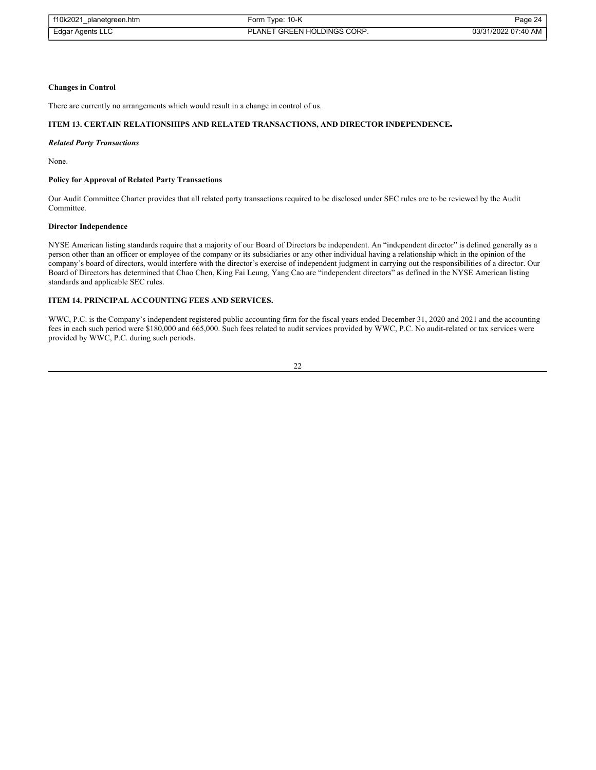| f10k2021 planetgreen.htm | Form Type: 10-K             | Page 24             |
|--------------------------|-----------------------------|---------------------|
| Edgar Agents LLC         | PLANET GREEN HOLDINGS CORP. | 03/31/2022 07:40 AM |

### **Changes in Control**

There are currently no arrangements which would result in a change in control of us.

## **ITEM 13. CERTAIN RELATIONSHIPS AND RELATED TRANSACTIONS, AND DIRECTOR INDEPENDENCE.**

### *Related Party Transactions*

None.

### **Policy for Approval of Related Party Transactions**

Our Audit Committee Charter provides that all related party transactions required to be disclosed under SEC rules are to be reviewed by the Audit Committee.

### **Director Independence**

NYSE American listing standards require that a majority of our Board of Directors be independent. An "independent director" is defined generally as a person other than an officer or employee of the company or its subsidiaries or any other individual having a relationship which in the opinion of the company's board of directors, would interfere with the director's exercise of independent judgment in carrying out the responsibilities of a director. Our Board of Directors has determined that Chao Chen, King Fai Leung, Yang Cao are "independent directors" as defined in the NYSE American listing standards and applicable SEC rules.

## **ITEM 14. PRINCIPAL ACCOUNTING FEES AND SERVICES.**

WWC, P.C. is the Company's independent registered public accounting firm for the fiscal years ended December 31, 2020 and 2021 and the accounting fees in each such period were \$180,000 and 665,000. Such fees related to audit services provided by WWC, P.C. No audit-related or tax services were provided by WWC, P.C. during such periods.

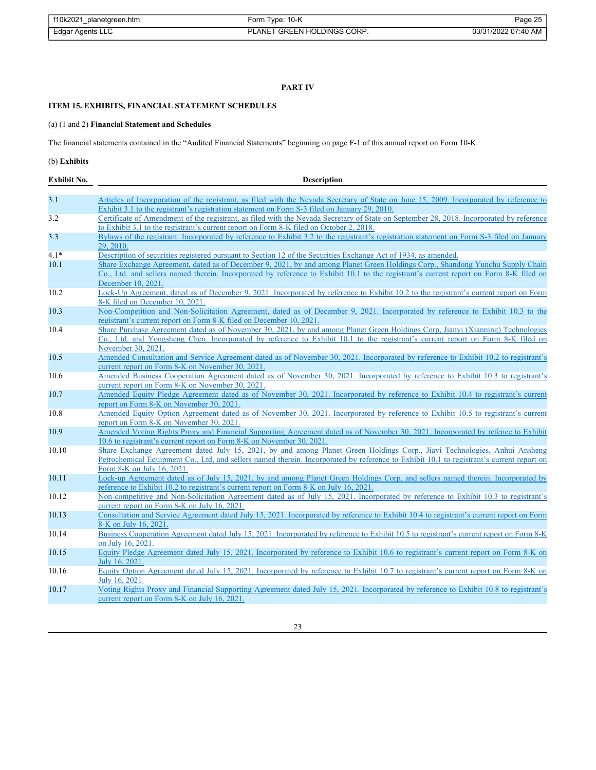| f10k2021 planetgreen.htm | Form Type: 10-K             | Page 25             |
|--------------------------|-----------------------------|---------------------|
| Edgar Agents LLC         | PLANET GREEN HOLDINGS CORP. | 03/31/2022 07:40 AM |

## **PART IV**

## **ITEM 15. EXHIBITS, FINANCIAL STATEMENT SCHEDULES**

## (a) (1 and 2) **Financial Statement and Schedules**

The financial statements contained in the "Audited Financial Statements" beginning on page F-1 of this annual report on Form 10-K.

## (b) **Exhibits**

| <b>Exhibit No.</b> | <b>Description</b>                                                                                                                                                           |
|--------------------|------------------------------------------------------------------------------------------------------------------------------------------------------------------------------|
|                    |                                                                                                                                                                              |
| 3.1                | Articles of Incorporation of the registrant, as filed with the Nevada Secretary of State on June 15, 2009. Incorporated by reference to                                      |
|                    | Exhibit 3.1 to the registrant's registration statement on Form S-3 filed on January 29, 2010.                                                                                |
| 3.2                | Certificate of Amendment of the registrant, as filed with the Nevada Secretary of State on September 28, 2018. Incorporated by reference                                     |
|                    | to Exhibit 3.1 to the registrant's current report on Form 8-K filed on October 2, 2018.                                                                                      |
| 3.3                | Bylaws of the registrant. Incorporated by reference to Exhibit 3.2 to the registrant's registration statement on Form S-3 filed on January                                   |
|                    | 29, 2010.                                                                                                                                                                    |
| $4.1*$             | Description of securities registered pursuant to Section 12 of the Securities Exchange Act of 1934, as amended.                                                              |
| 10.1               | Share Exchange Agreement, dated as of December 9, 2021, by and among Planet Green Holdings Corp., Shandong Yunchu Supply Chain                                               |
|                    | Co., Ltd. and sellers named therein. Incorporated by reference to Exhibit 10.1 to the registrant's current report on Form 8-K filed on                                       |
|                    | December 10, 2021.                                                                                                                                                           |
| 10.2               | Lock-Up Agreement, dated as of December 9, 2021. Incorporated by reference to Exhibit.10.2 to the registrant's current report on Form                                        |
|                    | 8-K filed on December 10, 2021.                                                                                                                                              |
| 10.3               | Non-Competition and Non-Solicitation Agreement, dated as of December 9, 2021. Incorporated by reference to Exhibit 10.3 to the                                               |
|                    | registrant's current report on Form 8-K filed on December 10, 2021.                                                                                                          |
| 10.4               | Share Purchase Agreement dated as of November 30, 2021, by and among Planet Green Holdings Corp, Jianyi (Xianning) Technologies                                              |
|                    | Co., Ltd. and Yongsheng Chen. Incorporated by reference to Exhibit 10.1 to the registrant's current report on Form 8-K filed on                                              |
|                    | November 30, 2021.                                                                                                                                                           |
| 10.5               | Amended Consultation and Service Agreement dated as of November 30, 2021. Incorporated by reference to Exhibit 10.2 to registrant's                                          |
|                    | current report on Form 8-K on November 30, 2021.                                                                                                                             |
| 10.6               | Amended Business Cooperation Agreement dated as of November 30, 2021. Incorporated by reference to Exhibit 10.3 to registrant's                                              |
|                    | current report on Form 8-K on November 30, 2021.                                                                                                                             |
| 10.7               | Amended Equity Pledge Agreement dated as of November 30, 2021. Incorporated by reference to Exhibit 10.4 to registrant's current                                             |
| 10.8               | report on Form 8-K on November 30, 2021.<br>Amended Equity Option Agreement dated as of November 30, 2021. Incorporated by reference to Exhibit 10.5 to registrant's current |
|                    | report on Form 8-K on November 30, 2021.                                                                                                                                     |
| 10.9               | Amended Voting Rights Proxy and Financial Supporting Agreement dated as of November 30, 2021. Incorporated by refence to Exhibit                                             |
|                    | 10.6 to registrant's current report on Form 8-K on November 30, 2021.                                                                                                        |
| 10.10              | Share Exchange Agreement dated July 15, 2021, by and among Planet Green Holdings Corp., Jiayi Technologies, Anhui Ansheng                                                    |
|                    | Petrochemical Equipment Co., Ltd, and sellers named therein. Incorporated by reference to Exhibit 10.1 to registrant's current report on                                     |
|                    | Form 8-K on July 16, 2021.                                                                                                                                                   |
| 10.11              | Lock-up Agreement dated as of July 15, 2021, by and among Planet Green Holdings Corp. and sellers named therein. Incorporated by                                             |
|                    | reference to Exhibit 10.2 to registrant's current report on Form 8-K on July 16, 2021.                                                                                       |
| 10.12              | Non-competitive and Non-Solicitation Agreement dated as of July 15, 2021. Incorporated by reference to Exhibit 10.3 to registrant's                                          |
|                    | current report on Form 8-K on July 16, 2021.                                                                                                                                 |
| 10.13              | Consultation and Service Agreement dated July 15, 2021. Incorporated by reference to Exhibit 10.4 to registrant's current report on Form                                     |
|                    | 8-K on July 16, 2021.                                                                                                                                                        |
| 10.14              | Business Cooperation Agreement dated July 15, 2021. Incorporated by reference to Exhibit 10.5 to registrant's current report on Form 8-K                                     |
|                    | on July 16, 2021.                                                                                                                                                            |
| 10.15              | Equity Pledge Agreement dated July 15, 2021. Incorporated by reference to Exhibit 10.6 to registrant's current report on Form 8-K on                                         |
|                    | July 16, 2021.                                                                                                                                                               |
| 10.16              | Equity Option Agreement dated July 15, 2021. Incorporated by reference to Exhibit 10.7 to registrant's current report on Form 8-K on                                         |
|                    | July 16, 2021.                                                                                                                                                               |
| 10.17              | Voting Rights Proxy and Financial Supporting Agreement dated July 15, 2021. Incorporated by reference to Exhibit 10.8 to registrant's                                        |
|                    | current report on Form 8-K on July 16, 2021.                                                                                                                                 |
|                    |                                                                                                                                                                              |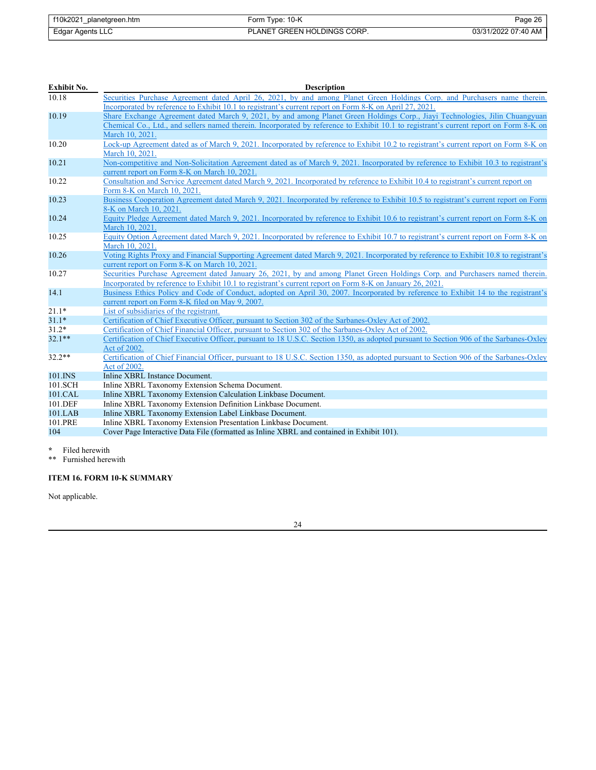| f10k2021 planetgreen.htm | Form Type: 10-K             | Page 26             |
|--------------------------|-----------------------------|---------------------|
| Edgar Agents LLC         | PLANET GREEN HOLDINGS CORP. | 03/31/2022 07:40 AM |

| Exhibit No.                                                                                                                                                                                                                       | <b>Description</b>                                                                                                                                     |
|-----------------------------------------------------------------------------------------------------------------------------------------------------------------------------------------------------------------------------------|--------------------------------------------------------------------------------------------------------------------------------------------------------|
| 10.18                                                                                                                                                                                                                             | Securities Purchase Agreement dated April 26, 2021, by and among Planet Green Holdings Corp. and Purchasers name therein.                              |
|                                                                                                                                                                                                                                   | Incorporated by reference to Exhibit 10.1 to registrant's current report on Form 8-K on April 27, 2021.                                                |
| 10.19                                                                                                                                                                                                                             | Share Exchange Agreement dated March 9, 2021, by and among Planet Green Holdings Corp., Jiayi Technologies, Jilin Chuangyuan                           |
|                                                                                                                                                                                                                                   | Chemical Co., Ltd., and sellers named therein. Incorporated by reference to Exhibit 10.1 to registrant's current report on Form 8-K on                 |
|                                                                                                                                                                                                                                   | March 10, 2021.                                                                                                                                        |
| 10.20                                                                                                                                                                                                                             | Lock-up Agreement dated as of March 9, 2021. Incorporated by reference to Exhibit 10.2 to registrant's current report on Form 8-K on                   |
|                                                                                                                                                                                                                                   | March 10, 2021.                                                                                                                                        |
| 10.21                                                                                                                                                                                                                             | Non-competitive and Non-Solicitation Agreement dated as of March 9, 2021. Incorporated by reference to Exhibit 10.3 to registrant's                    |
|                                                                                                                                                                                                                                   | current report on Form 8-K on March 10, 2021.                                                                                                          |
| 10.22                                                                                                                                                                                                                             | Consultation and Service Agreement dated March 9, 2021. Incorporated by reference to Exhibit 10.4 to registrant's current report on                    |
|                                                                                                                                                                                                                                   | Form 8-K on March 10, 2021.                                                                                                                            |
| 10.23                                                                                                                                                                                                                             | Business Cooperation Agreement dated March 9, 2021. Incorporated by reference to Exhibit 10.5 to registrant's current report on Form                   |
|                                                                                                                                                                                                                                   | 8-K on March 10, 2021.                                                                                                                                 |
| 10.24                                                                                                                                                                                                                             | Equity Pledge Agreement dated March 9, 2021. Incorporated by reference to Exhibit 10.6 to registrant's current report on Form 8-K on                   |
|                                                                                                                                                                                                                                   | March 10, 2021.                                                                                                                                        |
| 10.25                                                                                                                                                                                                                             | Equity Option Agreement dated March 9, 2021. Incorporated by reference to Exhibit 10.7 to registrant's current report on Form 8-K on                   |
|                                                                                                                                                                                                                                   | March 10, 2021.                                                                                                                                        |
| 10.26                                                                                                                                                                                                                             | Voting Rights Proxy and Financial Supporting Agreement dated March 9, 2021. Incorporated by reference to Exhibit 10.8 to registrant's                  |
|                                                                                                                                                                                                                                   | current report on Form 8-K on March 10, 2021.                                                                                                          |
| 10.27                                                                                                                                                                                                                             | Securities Purchase Agreement dated January 26, 2021, by and among Planet Green Holdings Corp. and Purchasers named therein.                           |
|                                                                                                                                                                                                                                   | Incorporated by reference to Exhibit 10.1 to registrant's current report on Form 8-K on January 26, 2021.                                              |
| 14.1                                                                                                                                                                                                                              | Business Ethics Policy and Code of Conduct, adopted on April 30, 2007. Incorporated by reference to Exhibit 14 to the registrant's                     |
|                                                                                                                                                                                                                                   | current report on Form 8-K filed on May 9, 2007.                                                                                                       |
| $21.1*$                                                                                                                                                                                                                           | List of subsidiaries of the registrant.                                                                                                                |
| $31.1*$                                                                                                                                                                                                                           | Certification of Chief Executive Officer, pursuant to Section 302 of the Sarbanes-Oxley Act of 2002.                                                   |
| $31.2*$                                                                                                                                                                                                                           | Certification of Chief Financial Officer, pursuant to Section 302 of the Sarbanes-Oxley Act of 2002.                                                   |
| $32.1**$                                                                                                                                                                                                                          | Certification of Chief Executive Officer, pursuant to 18 U.S.C. Section 1350, as adopted pursuant to Section 906 of the Sarbanes-Oxley                 |
| $32.2**$                                                                                                                                                                                                                          | Act of 2002.<br>Certification of Chief Financial Officer, pursuant to 18 U.S.C. Section 1350, as adopted pursuant to Section 906 of the Sarbanes-Oxlev |
|                                                                                                                                                                                                                                   | Act of 2002.                                                                                                                                           |
| 101.INS                                                                                                                                                                                                                           | Inline XBRL Instance Document.                                                                                                                         |
| 101.SCH                                                                                                                                                                                                                           | Inline XBRL Taxonomy Extension Schema Document.                                                                                                        |
| 101.CAL                                                                                                                                                                                                                           | Inline XBRL Taxonomy Extension Calculation Linkbase Document.                                                                                          |
| 101.DEF                                                                                                                                                                                                                           | Inline XBRL Taxonomy Extension Definition Linkbase Document.                                                                                           |
| 101.LAB                                                                                                                                                                                                                           | Inline XBRL Taxonomy Extension Label Linkbase Document.                                                                                                |
| 101.PRE                                                                                                                                                                                                                           | Inline XBRL Taxonomy Extension Presentation Linkbase Document.                                                                                         |
| 104                                                                                                                                                                                                                               | Cover Page Interactive Data File (formatted as Inline XBRL and contained in Exhibit 101).                                                              |
|                                                                                                                                                                                                                                   |                                                                                                                                                        |
| $\mathbf{r}$ . The set of the set of the set of the set of the set of the set of the set of the set of the set of the set of the set of the set of the set of the set of the set of the set of the set of the set of the set of t |                                                                                                                                                        |

**\*** Filed herewith \*\* Furnished herewith

**ITEM 16. FORM 10-K SUMMARY**

Not applicable.

24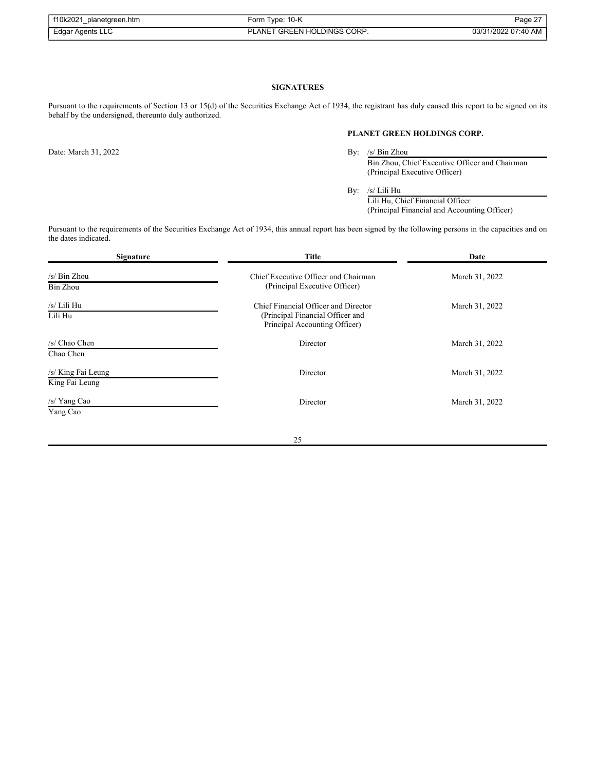| f10k2021_planetgreen.htm | Form Type: 10-K             | Page 27             |
|--------------------------|-----------------------------|---------------------|
| Edgar Agents LLC         | PLANET GREEN HOLDINGS CORP. | 03/31/2022 07:40 AM |

## **SIGNATURES**

Pursuant to the requirements of Section 13 or 15(d) of the Securities Exchange Act of 1934, the registrant has duly caused this report to be signed on its behalf by the undersigned, thereunto duly authorized.

## **PLANET GREEN HOLDINGS CORP.**

Date: March 31, 2022 By: /s/ Bin Zhou

Bin Zhou, Chief Executive Officer and Chairman (Principal Executive Officer)

By: /s/ Lili Hu

Lili Hu, Chief Financial Officer (Principal Financial and Accounting Officer)

Pursuant to the requirements of the Securities Exchange Act of 1934, this annual report has been signed by the following persons in the capacities and on the dates indicated.

| <b>Signature</b>                     | <b>Title</b>                                                                                              | Date           |
|--------------------------------------|-----------------------------------------------------------------------------------------------------------|----------------|
| $/s/$ Bin Zhou<br>Bin Zhou           | Chief Executive Officer and Chairman<br>(Principal Executive Officer)                                     | March 31, 2022 |
| /s/ Lili Hu<br>Lili Hu               | Chief Financial Officer and Director<br>(Principal Financial Officer and<br>Principal Accounting Officer) | March 31, 2022 |
| /s/ Chao Chen<br>Chao Chen           | Director                                                                                                  | March 31, 2022 |
| /s/ King Fai Leung<br>King Fai Leung | Director                                                                                                  | March 31, 2022 |
| /s/ Yang Cao<br>Yang Cao             | Director                                                                                                  | March 31, 2022 |
|                                      |                                                                                                           |                |

25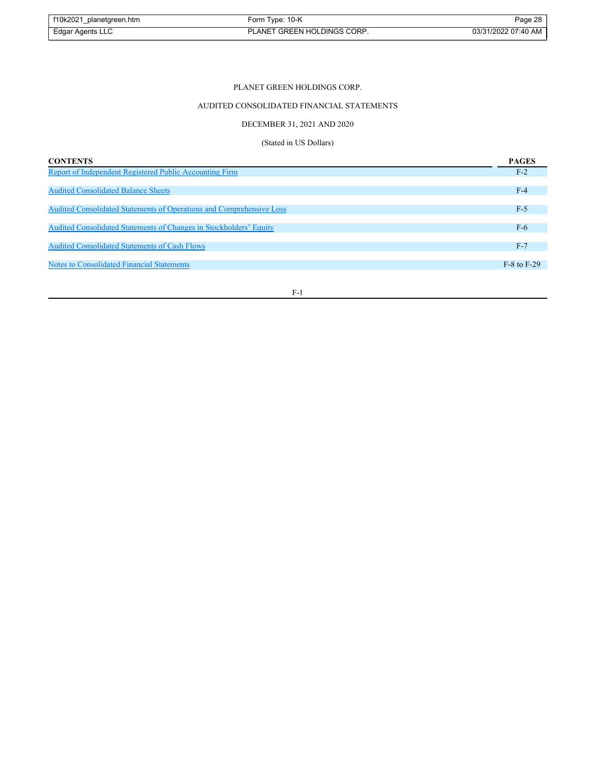| f10k2021 planetgreen.htm | Form Type: 10-K             | Page 28             |
|--------------------------|-----------------------------|---------------------|
| Edgar Agents LLC         | PLANET GREEN HOLDINGS CORP. | 03/31/2022 07:40 AM |

## PLANET GREEN HOLDINGS CORP.

## AUDITED CONSOLIDATED FINANCIAL STATEMENTS

## DECEMBER 31, 2021 AND 2020

## (Stated in US Dollars)

| <b>CONTENTS</b>                                                      | <b>PAGES</b>    |
|----------------------------------------------------------------------|-----------------|
| Report of Independent Registered Public Accounting Firm              | $F-2$           |
|                                                                      |                 |
| <b>Audited Consolidated Balance Sheets</b>                           | $F-4$           |
|                                                                      |                 |
| Audited Consolidated Statements of Operations and Comprehensive Loss | $F-5$           |
|                                                                      |                 |
| Audited Consolidated Statements of Changes in Stockholders' Equity   | $F-6$           |
|                                                                      |                 |
| <b>Audited Consolidated Statements of Cash Flows</b>                 | $F-7$           |
|                                                                      |                 |
| Notes to Consolidated Financial Statements                           | $F-8$ to $F-29$ |
|                                                                      |                 |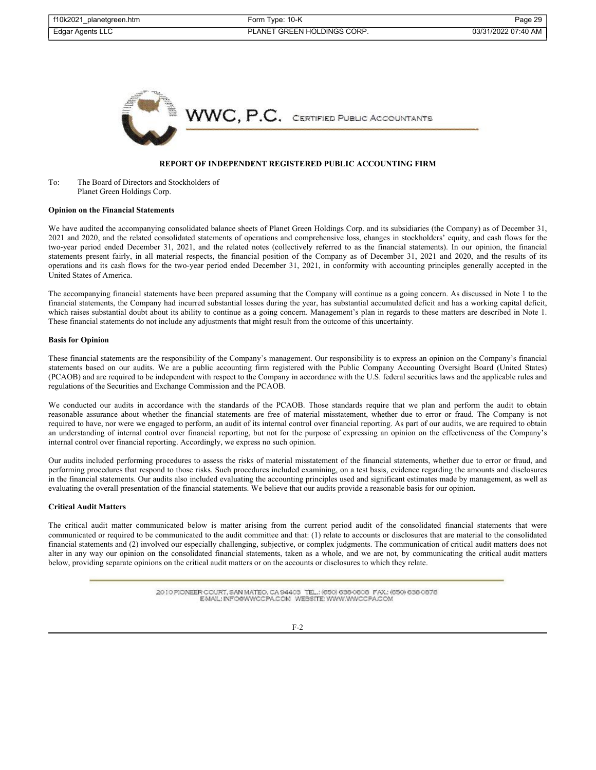| f10k2021 planetgreen.htm | Form Type: 10-K             | Page 29             |
|--------------------------|-----------------------------|---------------------|
| Edgar Agents LLC         | PLANET GREEN HOLDINGS CORP. | 03/31/2022 07:40 AM |



#### **REPORT OF INDEPENDENT REGISTERED PUBLIC ACCOUNTING FIRM**

To: The Board of Directors and Stockholders of Planet Green Holdings Corp.

#### **Opinion on the Financial Statements**

We have audited the accompanying consolidated balance sheets of Planet Green Holdings Corp. and its subsidiaries (the Company) as of December 31, 2021 and 2020, and the related consolidated statements of operations and comprehensive loss, changes in stockholders' equity, and cash flows for the two-year period ended December 31, 2021, and the related notes (collectively referred to as the financial statements). In our opinion, the financial statements present fairly, in all material respects, the financial position of the Company as of December 31, 2021 and 2020, and the results of its operations and its cash flows for the two-year period ended December 31, 2021, in conformity with accounting principles generally accepted in the United States of America.

The accompanying financial statements have been prepared assuming that the Company will continue as a going concern. As discussed in Note 1 to the financial statements, the Company had incurred substantial losses during the year, has substantial accumulated deficit and has a working capital deficit, which raises substantial doubt about its ability to continue as a going concern. Management's plan in regards to these matters are described in Note 1. These financial statements do not include any adjustments that might result from the outcome of this uncertainty.

#### **Basis for Opinion**

These financial statements are the responsibility of the Company's management. Our responsibility is to express an opinion on the Company's financial statements based on our audits. We are a public accounting firm registered with the Public Company Accounting Oversight Board (United States) (PCAOB) and are required to be independent with respect to the Company in accordance with the U.S. federal securities laws and the applicable rules and regulations of the Securities and Exchange Commission and the PCAOB.

We conducted our audits in accordance with the standards of the PCAOB. Those standards require that we plan and perform the audit to obtain reasonable assurance about whether the financial statements are free of material misstatement, whether due to error or fraud. The Company is not required to have, nor were we engaged to perform, an audit of its internal control over financial reporting. As part of our audits, we are required to obtain an understanding of internal control over financial reporting, but not for the purpose of expressing an opinion on the effectiveness of the Company's internal control over financial reporting. Accordingly, we express no such opinion.

Our audits included performing procedures to assess the risks of material misstatement of the financial statements, whether due to error or fraud, and performing procedures that respond to those risks. Such procedures included examining, on a test basis, evidence regarding the amounts and disclosures in the financial statements. Our audits also included evaluating the accounting principles used and significant estimates made by management, as well as evaluating the overall presentation of the financial statements. We believe that our audits provide a reasonable basis for our opinion.

#### **Critical Audit Matters**

The critical audit matter communicated below is matter arising from the current period audit of the consolidated financial statements that were communicated or required to be communicated to the audit committee and that: (1) relate to accounts or disclosures that are material to the consolidated financial statements and (2) involved our especially challenging, subjective, or complex judgments. The communication of critical audit matters does not alter in any way our opinion on the consolidated financial statements, taken as a whole, and we are not, by communicating the critical audit matters below, providing separate opinions on the critical audit matters or on the accounts or disclosures to which they relate.

2010 PIONEER COURT, SAN MATEO, CA 94403 TEL.: (650) 6380608 FAX: (650) 6380678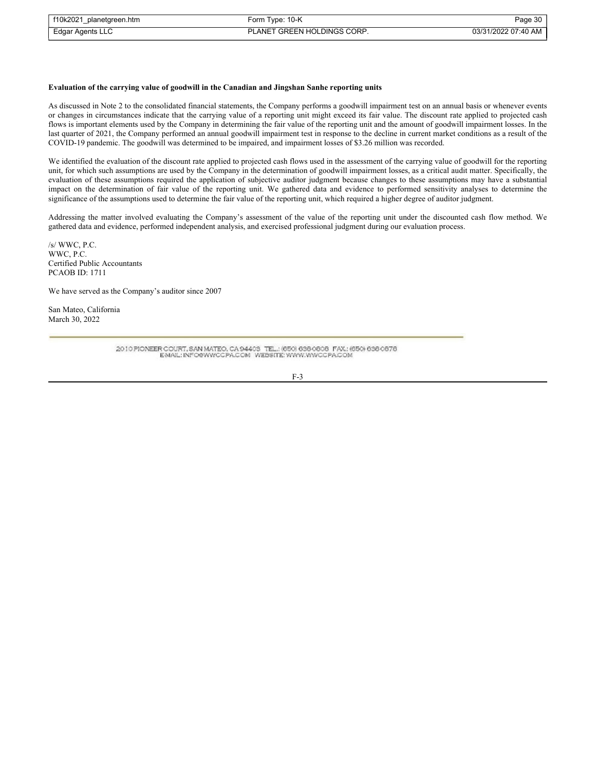| f10k2021 planetgreen.htm | Form Type: 10-K             | Page 30             |
|--------------------------|-----------------------------|---------------------|
| Edgar Agents LLC         | PLANET GREEN HOLDINGS CORP. | 03/31/2022 07:40 AM |

#### **Evaluation of the carrying value of goodwill in the Canadian and Jingshan Sanhe reporting units**

As discussed in Note 2 to the consolidated financial statements, the Company performs a goodwill impairment test on an annual basis or whenever events or changes in circumstances indicate that the carrying value of a reporting unit might exceed its fair value. The discount rate applied to projected cash flows is important elements used by the Company in determining the fair value of the reporting unit and the amount of goodwill impairment losses. In the last quarter of 2021, the Company performed an annual goodwill impairment test in response to the decline in current market conditions as a result of the COVID-19 pandemic. The goodwill was determined to be impaired, and impairment losses of \$3.26 million was recorded.

We identified the evaluation of the discount rate applied to projected cash flows used in the assessment of the carrying value of goodwill for the reporting unit, for which such assumptions are used by the Company in the determination of goodwill impairment losses, as a critical audit matter. Specifically, the evaluation of these assumptions required the application of subjective auditor judgment because changes to these assumptions may have a substantial impact on the determination of fair value of the reporting unit. We gathered data and evidence to performed sensitivity analyses to determine the significance of the assumptions used to determine the fair value of the reporting unit, which required a higher degree of auditor judgment.

Addressing the matter involved evaluating the Company's assessment of the value of the reporting unit under the discounted cash flow method. We gathered data and evidence, performed independent analysis, and exercised professional judgment during our evaluation process.

/s/ WWC, P.C. WWC, P.C. Certified Public Accountants PCAOB ID: 1711

We have served as the Company's auditor since 2007

San Mateo, California March 30, 2022

> 2010 PIONEER COURT, SAN MATEO, CA 94403 TEL.: (650) 638 0606 FAX.: (650) 638 0676 EMAIL: INFO@WWCCPA.COM WEBSITE: WWW.WWCCPA.COM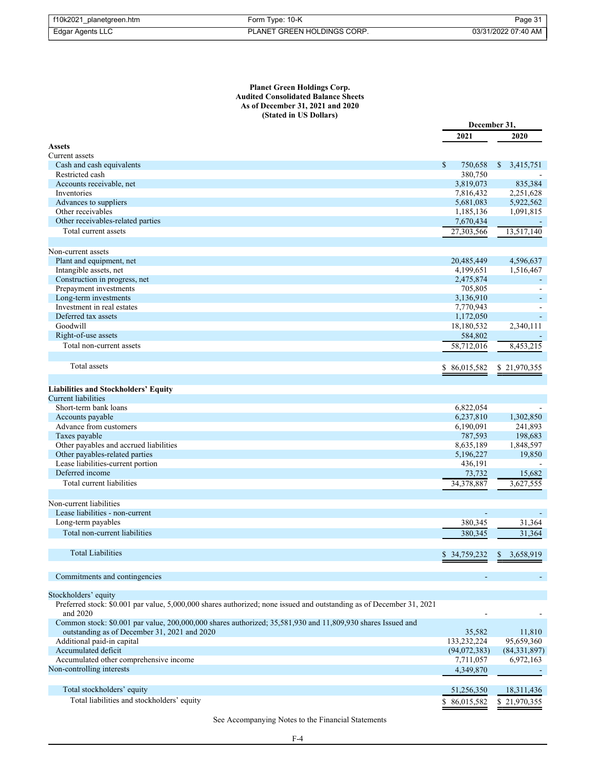#### **Planet Green Holdings Corp. Audited Consolidated Balance Sheets As of December 31, 2021 and 2020 (Stated in US Dollars)**

|                                                                                                                                                          | December 31.  |                 |
|----------------------------------------------------------------------------------------------------------------------------------------------------------|---------------|-----------------|
|                                                                                                                                                          | 2021          | 2020            |
| <b>Assets</b>                                                                                                                                            |               |                 |
| Current assets                                                                                                                                           |               |                 |
| Cash and cash equivalents                                                                                                                                | \$<br>750,658 | \$<br>3,415,751 |
| Restricted cash                                                                                                                                          | 380,750       |                 |
| Accounts receivable, net                                                                                                                                 | 3,819,073     | 835,384         |
| Inventories                                                                                                                                              | 7,816,432     | 2,251,628       |
| Advances to suppliers                                                                                                                                    | 5,681,083     | 5,922,562       |
| Other receivables                                                                                                                                        | 1,185,136     | 1,091,815       |
| Other receivables-related parties                                                                                                                        | 7,670,434     |                 |
| Total current assets                                                                                                                                     | 27,303,566    | 13,517,140      |
|                                                                                                                                                          |               |                 |
| Non-current assets                                                                                                                                       |               |                 |
| Plant and equipment, net                                                                                                                                 | 20,485,449    | 4,596,637       |
| Intangible assets, net                                                                                                                                   | 4,199,651     | 1,516,467       |
| Construction in progress, net                                                                                                                            | 2,475,874     |                 |
| Prepayment investments                                                                                                                                   | 705,805       |                 |
| Long-term investments                                                                                                                                    | 3,136,910     |                 |
| Investment in real estates                                                                                                                               | 7,770,943     |                 |
| Deferred tax assets                                                                                                                                      | 1,172,050     |                 |
| Goodwill                                                                                                                                                 | 18,180,532    | 2,340,111       |
| Right-of-use assets                                                                                                                                      | 584,802       |                 |
| Total non-current assets                                                                                                                                 | 58,712,016    | 8,453,215       |
|                                                                                                                                                          |               |                 |
| Total assets                                                                                                                                             |               |                 |
|                                                                                                                                                          | \$ 86,015,582 | \$21,970,355    |
|                                                                                                                                                          |               |                 |
| Liabilities and Stockholders' Equity                                                                                                                     |               |                 |
| Current liabilities                                                                                                                                      |               |                 |
| Short-term bank loans                                                                                                                                    | 6,822,054     |                 |
| Accounts payable                                                                                                                                         | 6,237,810     | 1,302,850       |
| Advance from customers                                                                                                                                   | 6,190,091     | 241,893         |
| Taxes payable                                                                                                                                            | 787,593       | 198,683         |
| Other payables and accrued liabilities                                                                                                                   | 8,635,189     | 1,848,597       |
| Other payables-related parties                                                                                                                           | 5,196,227     | 19,850          |
| Lease liabilities-current portion                                                                                                                        | 436,191       |                 |
| Deferred income                                                                                                                                          | 73,732        | 15,682          |
| Total current liabilities                                                                                                                                | 34,378,887    | 3,627,555       |
| Non-current liabilities                                                                                                                                  |               |                 |
| Lease liabilities - non-current                                                                                                                          |               |                 |
| Long-term payables                                                                                                                                       | 380,345       | 31,364          |
| Total non-current liabilities                                                                                                                            | 380,345       | 31,364          |
|                                                                                                                                                          |               |                 |
| <b>Total Liabilities</b>                                                                                                                                 |               |                 |
|                                                                                                                                                          | \$ 34,759,232 | \$<br>3,658,919 |
| Commitments and contingencies                                                                                                                            |               |                 |
|                                                                                                                                                          |               |                 |
| Stockholders' equity<br>Preferred stock: \$0.001 par value, 5,000,000 shares authorized; none issued and outstanding as of December 31, 2021<br>and 2020 |               |                 |
| Common stock: \$0.001 par value, 200,000,000 shares authorized; 35,581,930 and 11,809,930 shares Issued and                                              |               |                 |
| outstanding as of December 31, 2021 and 2020                                                                                                             | 35,582        | 11,810          |
| Additional paid-in capital                                                                                                                               | 133,232,224   | 95,659,360      |
| Accumulated deficit                                                                                                                                      | (94,072,383)  | (84, 331, 897)  |
| Accumulated other comprehensive income                                                                                                                   | 7,711,057     | 6,972,163       |
| Non-controlling interests                                                                                                                                | 4,349,870     |                 |
|                                                                                                                                                          |               |                 |
| Total stockholders' equity                                                                                                                               | 51,256,350    | 18,311,436      |
| Total liabilities and stockholders' equity                                                                                                               | \$86,015,582  | \$21,970,355    |
|                                                                                                                                                          |               |                 |

See Accompanying Notes to the Financial Statements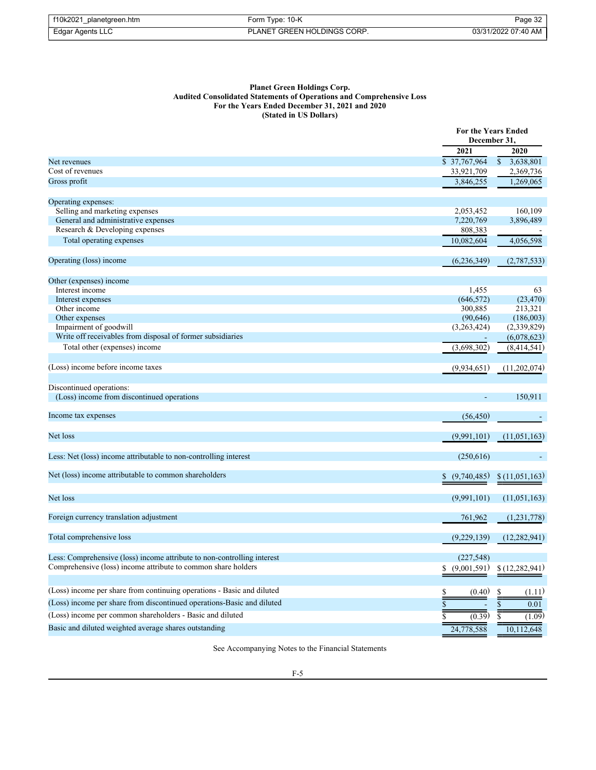| f10k2021_planetgreen.htm | Form Type: 10-K             | Page 32             |
|--------------------------|-----------------------------|---------------------|
| Edgar Agents LLC         | PLANET GREEN HOLDINGS CORP. | 03/31/2022 07:40 AM |

#### **Planet Green Holdings Corp. Audited Consolidated Statements of Operations and Comprehensive Loss For the Years Ended December 31, 2021 and 2020 (Stated in US Dollars)**

|                                                                                                                                          | For the Years Ended<br>December 31. |                                 |
|------------------------------------------------------------------------------------------------------------------------------------------|-------------------------------------|---------------------------------|
|                                                                                                                                          | 2021                                | 2020                            |
| Net revenues                                                                                                                             | \$37,767,964                        | \$<br>3,638,801                 |
| Cost of revenues                                                                                                                         | 33,921,709                          | 2,369,736                       |
| Gross profit                                                                                                                             | 3,846,255                           | 1,269,065                       |
| Operating expenses:                                                                                                                      |                                     |                                 |
| Selling and marketing expenses                                                                                                           | 2,053,452                           | 160,109                         |
| General and administrative expenses                                                                                                      | 7,220,769                           | 3,896,489                       |
| Research & Developing expenses                                                                                                           | 808,383                             |                                 |
| Total operating expenses                                                                                                                 | 10,082,604                          | 4,056,598                       |
| Operating (loss) income                                                                                                                  | (6, 236, 349)                       | (2,787,533)                     |
| Other (expenses) income                                                                                                                  |                                     |                                 |
| Interest income                                                                                                                          | 1,455                               | 63                              |
| Interest expenses                                                                                                                        | (646, 572)                          | (23, 470)                       |
| Other income                                                                                                                             | 300,885                             | 213,321                         |
| Other expenses                                                                                                                           | (90, 646)                           | (186,003)                       |
| Impairment of goodwill                                                                                                                   | (3,263,424)                         | (2,339,829)                     |
| Write off receivables from disposal of former subsidiaries                                                                               |                                     | (6,078,623)                     |
| Total other (expenses) income                                                                                                            | (3,698,302)                         | (8,414,541)                     |
| (Loss) income before income taxes                                                                                                        | (9,934,651)                         | (11,202,074)                    |
| Discontinued operations:                                                                                                                 |                                     |                                 |
| (Loss) income from discontinued operations                                                                                               |                                     | 150.911                         |
| Income tax expenses                                                                                                                      | (56, 450)                           |                                 |
| Net loss                                                                                                                                 | (9,991,101)                         | (11, 051, 163)                  |
| Less: Net (loss) income attributable to non-controlling interest                                                                         | (250,616)                           |                                 |
| Net (loss) income attributable to common shareholders                                                                                    | (9,740,485)<br>\$                   | \$(11,051,163)                  |
| Net loss                                                                                                                                 | (9,991,101)                         | (11, 051, 163)                  |
| Foreign currency translation adjustment                                                                                                  | 761,962                             | (1,231,778)                     |
| Total comprehensive loss                                                                                                                 | (9,229,139)                         | (12, 282, 941)                  |
|                                                                                                                                          |                                     |                                 |
| Less: Comprehensive (loss) income attribute to non-controlling interest<br>Comprehensive (loss) income attribute to common share holders | (227, 548)<br>\$(9,001,591)         | \$(12, 282, 941)                |
| (Loss) income per share from continuing operations - Basic and diluted                                                                   |                                     |                                 |
| (Loss) income per share from discontinued operations-Basic and diluted                                                                   | \$<br>(0.40)                        | \$<br>(1.11)<br>$\overline{\$}$ |
|                                                                                                                                          | $\overline{\$}$<br>$\bar{a}$        | 0.01                            |
| (Loss) income per common shareholders - Basic and diluted                                                                                | \$<br>(0.39)                        | $\overline{s}$<br>(1.09)        |
| Basic and diluted weighted average shares outstanding                                                                                    | 24,778,588                          | 10,112,648                      |

See Accompanying Notes to the Financial Statements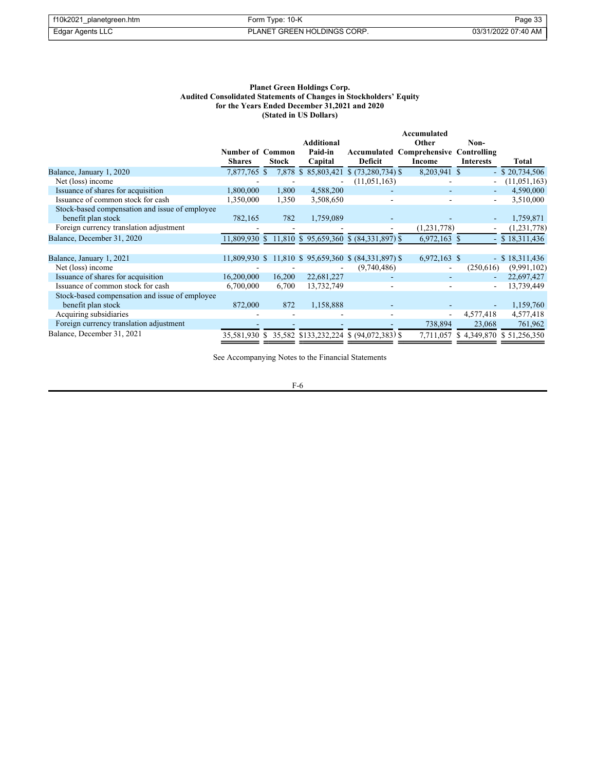| f10k2021 planetgreen.htm | Form Type: 10-K             | Page 33             |
|--------------------------|-----------------------------|---------------------|
| Edgar Agents LLC         | PLANET GREEN HOLDINGS CORP. | 03/31/2022 07:40 AM |

#### **Planet Green Holdings Corp. Audited Consolidated Statements of Changes in Stockholders' Equity for the Years Ended December 31,2021 and 2020 (Stated in US Dollars)**

|                                                                      |                                          |              | <b>Additional</b>   |                                                       | Accumulated<br>Other | Non-                            |                           |
|----------------------------------------------------------------------|------------------------------------------|--------------|---------------------|-------------------------------------------------------|----------------------|---------------------------------|---------------------------|
|                                                                      | <b>Number of Common</b><br><b>Shares</b> | <b>Stock</b> | Paid-in<br>Capital  | <b>Accumulated Comprehensive</b><br><b>Deficit</b>    | Income               | Controlling<br><b>Interests</b> | Total                     |
| Balance, January 1, 2020                                             | 7,877,765 \$                             |              | 7,878 \$ 85,803,421 | $$$ (73,280,734) $$$                                  | 8,203,941 \$         |                                 | $-$ \$ 20,734,506         |
| Net (loss) income                                                    |                                          |              |                     | (11, 051, 163)                                        |                      |                                 | (11, 051, 163)            |
| Issuance of shares for acquisition                                   | 1,800,000                                | 1,800        | 4,588,200           |                                                       |                      |                                 | 4,590,000                 |
| Issuance of common stock for cash                                    | 1,350,000                                | 1,350        | 3,508,650           |                                                       |                      |                                 | 3,510,000                 |
| Stock-based compensation and issue of employee<br>benefit plan stock | 782,165                                  | 782          | 1,759,089           |                                                       |                      |                                 | 1,759,871                 |
| Foreign currency translation adjustment                              |                                          |              |                     |                                                       | (1,231,778)          |                                 | (1,231,778)               |
| Balance, December 31, 2020                                           |                                          |              |                     | 11,809,930 \$ 11,810 \$ 95,659,360 \$ (84,331,897) \$ | $6,972,163$ \$       |                                 | $-$ \$ 18,311,436         |
| Balance, January 1, 2021                                             |                                          |              |                     |                                                       | $6,972,163$ \$       |                                 | $-$ \$ 18,311,436         |
|                                                                      |                                          |              |                     | 11,809,930 \$ 11,810 \$ 95,659,360 \$ (84,331,897) \$ |                      |                                 |                           |
| Net (loss) income<br>Issuance of shares for acquisition              | 16,200,000                               | 16,200       | 22,681,227          | (9,740,486)                                           |                      | (250,616)                       | (9,991,102)<br>22,697,427 |
| Issuance of common stock for cash                                    | 6,700,000                                | 6,700        | 13,732,749          | $\overline{\phantom{a}}$                              |                      |                                 | 13,739,449                |
| Stock-based compensation and issue of employee                       |                                          |              |                     |                                                       |                      |                                 |                           |
| benefit plan stock                                                   | 872,000                                  | 872          | 1,158,888           |                                                       |                      |                                 | 1,159,760                 |
| Acquiring subsidiaries                                               |                                          |              |                     |                                                       |                      | 4,577,418                       | 4,577,418                 |
| Foreign currency translation adjustment                              |                                          |              |                     |                                                       | 738,894              | 23,068                          | 761,962                   |
| Balance, December 31, 2021                                           |                                          |              |                     | 35,581,930 \$ 35,582 \$133,232,224 \$ (94,072,383) \$ |                      | 7,711,057 \$4,349,870           | \$51,256,350              |

See Accompanying Notes to the Financial Statements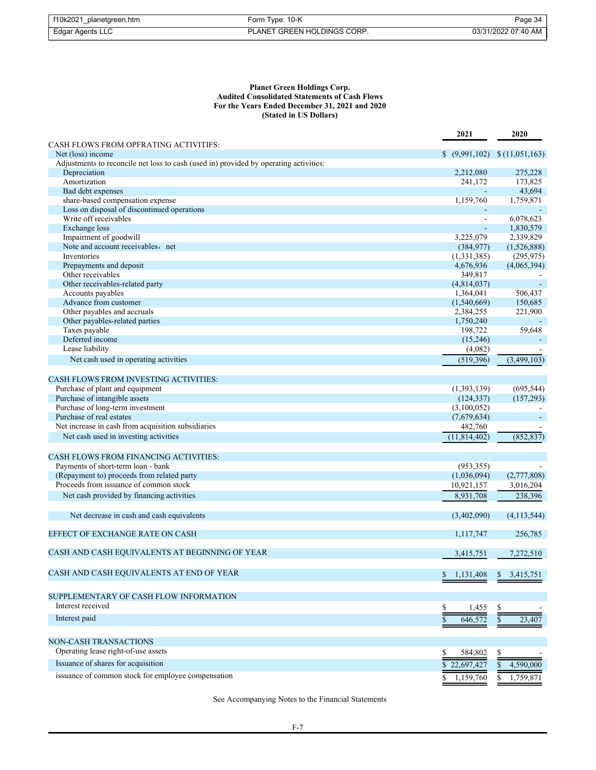#### **Planet Green Holdings Corp. Audited Consolidated Statements of Cash Flows For the Years Ended December 31, 2021 and 2020 (Stated in US Dollars)**

|                                                                                       | 2021                       | 2020                         |
|---------------------------------------------------------------------------------------|----------------------------|------------------------------|
| CASH FLOWS FROM OPFRATING ACTIVITIFS:                                                 |                            |                              |
| Net (loss) income                                                                     |                            | $(9,991,102)$ $(11,051,163)$ |
| Adjustments to reconcile net loss to cash (used in) provided by operating activities: |                            |                              |
| Depreciation<br>Amortization                                                          | 2,212,080                  | 275,228                      |
|                                                                                       | 241,172                    | 173,825                      |
| Bad debt expenses<br>share-based compensation expense                                 | $\omega$<br>1,159,760      | 43,694                       |
| Loss on disposal of discontinued operations                                           |                            | 1,759,871                    |
| Write off receivables                                                                 |                            | 6,078,623                    |
| Exchange loss                                                                         |                            | 1,830,579                    |
| Impairment of goodwill                                                                | 3,225,079                  | 2,339,829                    |
| Note and account receivables, net                                                     | (384, 977)                 | (1,526,888)                  |
| Inventories                                                                           | (1,331,385)                | (295, 975)                   |
| Prepayments and deposit                                                               | 4,676,936                  | (4,065,394)                  |
| Other receivables                                                                     | 349,817                    |                              |
| Other receivables-related party                                                       | (4,814,037)                |                              |
| Accounts payables                                                                     | 1,364,041                  | 506,437                      |
| Advance from customer                                                                 | (1,540,669)                | 150,685                      |
| Other payables and accruals                                                           | 2,384,255                  | 221,900                      |
| Other payables-related parties                                                        | 1,750,240                  |                              |
| Taxes payable                                                                         | 198,722                    | 59,648                       |
| Deferred income                                                                       | (15,246)                   |                              |
| Lease liability                                                                       | (4,082)                    |                              |
| Net cash used in operating activities                                                 | (519, 396)                 | (3,499,103)                  |
|                                                                                       |                            |                              |
| CASH FLOWS FROM INVESTING ACTIVITIES:                                                 |                            |                              |
| Purchase of plant and equipment                                                       | (1,393,139)                | (695, 544)                   |
| Purchase of intangible assets                                                         | (124, 337)                 | (157,293)                    |
| Purchase of long-term investment                                                      | (3,100,052)                |                              |
| Purchase of real estates                                                              | (7,679,634)                |                              |
| Net increase in cash from acquisition subsidiaries                                    | 482,760                    |                              |
| Net cash used in investing activities                                                 | (11,814,402)               | (852, 837)                   |
|                                                                                       |                            |                              |
| CASH FLOWS FROM FINANCING ACTIVITIES:                                                 |                            |                              |
| Payments of short-term loan - bank                                                    | (953, 355)                 |                              |
| (Repayment to) proceeds from related party                                            | (1,036,094)                | (2,777,808)                  |
| Proceeds from issuance of common stock                                                | 10,921,157                 | 3,016,204                    |
| Net cash provided by financing activities                                             | 8,931,708                  | 238,396                      |
|                                                                                       |                            |                              |
| Net decrease in cash and cash equivalents                                             | (3,402,090)                | (4, 113, 544)                |
|                                                                                       |                            |                              |
| EFFECT OF EXCHANGE RATE ON CASH                                                       | 1,117,747                  | 256,785                      |
|                                                                                       |                            |                              |
| CASH AND CASH EQUIVALENTS AT BEGINNING OF YEAR                                        | 3,415,751                  | 7,272,510                    |
|                                                                                       |                            |                              |
| CASH AND CASH EQUIVALENTS AT END OF YEAR                                              | 1,131,408<br>\$            | \$3,415,751                  |
|                                                                                       |                            |                              |
| SUPPLEMENTARY OF CASH FLOW INFORMATION                                                |                            |                              |
| Interest received                                                                     |                            |                              |
|                                                                                       | \$<br>1,455                | \$                           |
| Interest paid                                                                         | $\overline{\$}$<br>646,572 | \$<br>23,407                 |
|                                                                                       |                            |                              |
| <b>NON-CASH TRANSACTIONS</b>                                                          |                            |                              |
| Operating lease right-of-use assets                                                   | 584,802<br>S               | \$                           |
| Issuance of shares for acquisition                                                    | \$22,697,427               | \$<br>4,590,000              |
|                                                                                       |                            |                              |
| issuance of common stock for employee compensation                                    | 1,159,760<br>\$            | 1,759,871<br>\$              |

See Accompanying Notes to the Financial Statements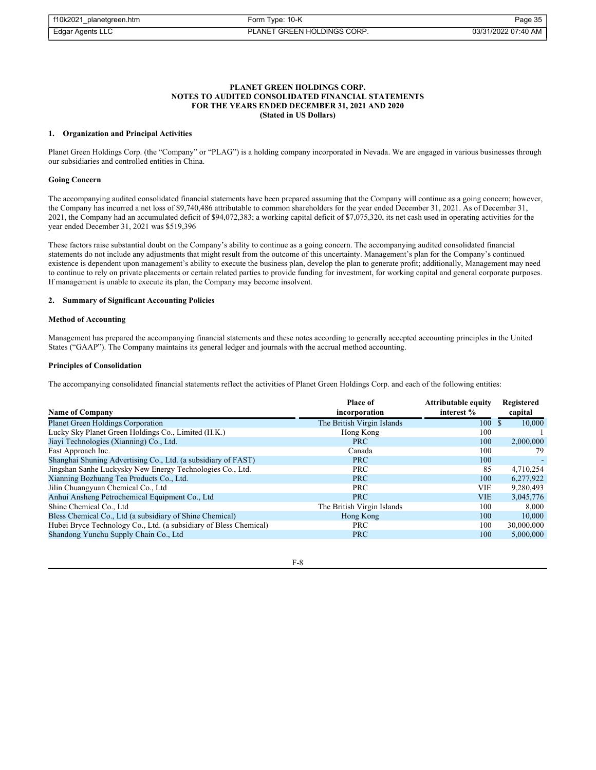| f10k2021 planetgreen.htm | Form Type: 10-K             | Page 35             |
|--------------------------|-----------------------------|---------------------|
| Edgar Agents LLC         | PLANET GREEN HOLDINGS CORP. | 03/31/2022 07:40 AM |

#### **PLANET GREEN HOLDINGS CORP. NOTES TO AUDITED CONSOLIDATED FINANCIAL STATEMENTS FOR THE YEARS ENDED DECEMBER 31, 2021 AND 2020 (Stated in US Dollars)**

### **1. Organization and Principal Activities**

Planet Green Holdings Corp. (the "Company" or "PLAG") is a holding company incorporated in Nevada. We are engaged in various businesses through our subsidiaries and controlled entities in China.

## **Going Concern**

The accompanying audited consolidated financial statements have been prepared assuming that the Company will continue as a going concern; however, the Company has incurred a net loss of \$9,740,486 attributable to common shareholders for the year ended December 31, 2021. As of December 31, 2021, the Company had an accumulated deficit of \$94,072,383; a working capital deficit of \$7,075,320, its net cash used in operating activities for the year ended December 31, 2021 was \$519,396

These factors raise substantial doubt on the Company's ability to continue as a going concern. The accompanying audited consolidated financial statements do not include any adjustments that might result from the outcome of this uncertainty. Management's plan for the Company's continued existence is dependent upon management's ability to execute the business plan, develop the plan to generate profit; additionally, Management may need to continue to rely on private placements or certain related parties to provide funding for investment, for working capital and general corporate purposes. If management is unable to execute its plan, the Company may become insolvent.

## **2. Summary of Significant Accounting Policies**

### **Method of Accounting**

Management has prepared the accompanying financial statements and these notes according to generally accepted accounting principles in the United States ("GAAP"). The Company maintains its general ledger and journals with the accrual method accounting.

### **Principles of Consolidation**

The accompanying consolidated financial statements reflect the activities of Planet Green Holdings Corp. and each of the following entities:

| <b>Name of Company</b>                                            | Place of<br>incorporation  | <b>Attributable equity</b><br>interest % | <b>Registered</b><br>capital |
|-------------------------------------------------------------------|----------------------------|------------------------------------------|------------------------------|
| Planet Green Holdings Corporation                                 | The British Virgin Islands | 100S                                     | 10,000                       |
| Lucky Sky Planet Green Holdings Co., Limited (H.K.)               | Hong Kong                  | 100                                      |                              |
| Jiayi Technologies (Xianning) Co., Ltd.                           | <b>PRC</b>                 | 100                                      | 2,000,000                    |
| Fast Approach Inc.                                                | Canada                     | 100                                      | 79                           |
| Shanghai Shuning Advertising Co., Ltd. (a subsidiary of FAST)     | <b>PRC</b>                 | 100                                      |                              |
| Jingshan Sanhe Luckysky New Energy Technologies Co., Ltd.         | <b>PRC</b>                 | 85                                       | 4,710,254                    |
| Xianning Bozhuang Tea Products Co., Ltd.                          | <b>PRC</b>                 | 100                                      | 6,277,922                    |
| Jilin Chuangyuan Chemical Co., Ltd                                | <b>PRC</b>                 | VIE                                      | 9,280,493                    |
| Anhui Ansheng Petrochemical Equipment Co., Ltd                    | <b>PRC</b>                 | <b>VIE</b>                               | 3,045,776                    |
| Shine Chemical Co., Ltd                                           | The British Virgin Islands | 100                                      | 8,000                        |
| Bless Chemical Co., Ltd (a subsidiary of Shine Chemical)          | Hong Kong                  | 100                                      | 10,000                       |
| Hubei Bryce Technology Co., Ltd. (a subsidiary of Bless Chemical) | <b>PRC</b>                 | 100                                      | 30,000,000                   |
| Shandong Yunchu Supply Chain Co., Ltd                             | <b>PRC</b>                 | 100                                      | 5,000,000                    |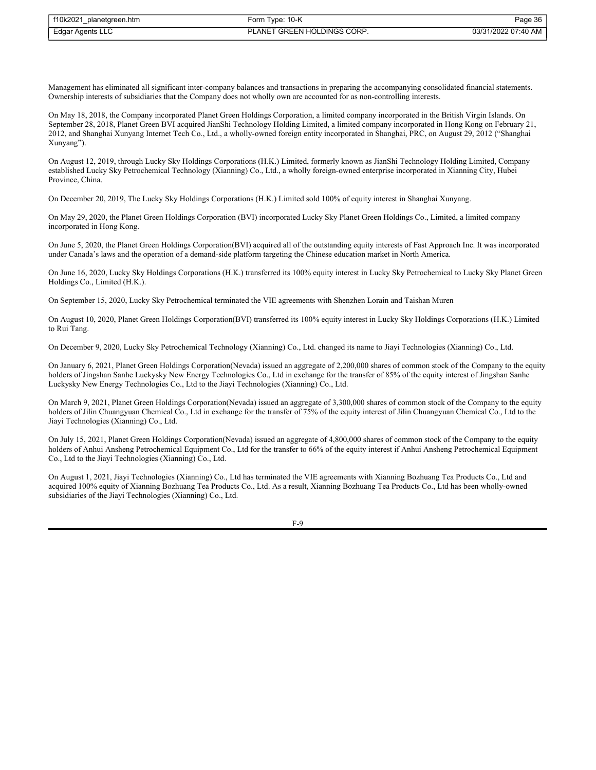| f10k2021 planetgreen.htm | Form Type: 10-K             | Page 36             |
|--------------------------|-----------------------------|---------------------|
| Edgar Agents LLC         | PLANET GREEN HOLDINGS CORP. | 03/31/2022 07:40 AM |

Management has eliminated all significant inter-company balances and transactions in preparing the accompanying consolidated financial statements. Ownership interests of subsidiaries that the Company does not wholly own are accounted for as non-controlling interests.

On May 18, 2018, the Company incorporated Planet Green Holdings Corporation, a limited company incorporated in the British Virgin Islands. On September 28, 2018, Planet Green BVI acquired JianShi Technology Holding Limited, a limited company incorporated in Hong Kong on February 21, 2012, and Shanghai Xunyang Internet Tech Co., Ltd., a wholly-owned foreign entity incorporated in Shanghai, PRC, on August 29, 2012 ("Shanghai Xunyang").

On August 12, 2019, through Lucky Sky Holdings Corporations (H.K.) Limited, formerly known as JianShi Technology Holding Limited, Company established Lucky Sky Petrochemical Technology (Xianning) Co., Ltd., a wholly foreign-owned enterprise incorporated in Xianning City, Hubei Province, China.

On December 20, 2019, The Lucky Sky Holdings Corporations (H.K.) Limited sold 100% of equity interest in Shanghai Xunyang.

On May 29, 2020, the Planet Green Holdings Corporation (BVI) incorporated Lucky Sky Planet Green Holdings Co., Limited, a limited company incorporated in Hong Kong.

On June 5, 2020, the Planet Green Holdings Corporation(BVI) acquired all of the outstanding equity interests of Fast Approach Inc. It was incorporated under Canada's laws and the operation of a demand-side platform targeting the Chinese education market in North America.

On June 16, 2020, Lucky Sky Holdings Corporations (H.K.) transferred its 100% equity interest in Lucky Sky Petrochemical to Lucky Sky Planet Green Holdings Co., Limited (H.K.).

On September 15, 2020, Lucky Sky Petrochemical terminated the VIE agreements with Shenzhen Lorain and Taishan Muren

On August 10, 2020, Planet Green Holdings Corporation(BVI) transferred its 100% equity interest in Lucky Sky Holdings Corporations (H.K.) Limited to Rui Tang.

On December 9, 2020, Lucky Sky Petrochemical Technology (Xianning) Co., Ltd. changed its name to Jiayi Technologies (Xianning) Co., Ltd.

On January 6, 2021, Planet Green Holdings Corporation(Nevada) issued an aggregate of 2,200,000 shares of common stock of the Company to the equity holders of Jingshan Sanhe Luckysky New Energy Technologies Co., Ltd in exchange for the transfer of 85% of the equity interest of Jingshan Sanhe Luckysky New Energy Technologies Co., Ltd to the Jiayi Technologies (Xianning) Co., Ltd.

On March 9, 2021, Planet Green Holdings Corporation(Nevada) issued an aggregate of 3,300,000 shares of common stock of the Company to the equity holders of Jilin Chuangyuan Chemical Co., Ltd in exchange for the transfer of 75% of the equity interest of Jilin Chuangyuan Chemical Co., Ltd to the Jiayi Technologies (Xianning) Co., Ltd.

On July 15, 2021, Planet Green Holdings Corporation(Nevada) issued an aggregate of 4,800,000 shares of common stock of the Company to the equity holders of Anhui Ansheng Petrochemical Equipment Co., Ltd for the transfer to 66% of the equity interest if Anhui Ansheng Petrochemical Equipment Co., Ltd to the Jiayi Technologies (Xianning) Co., Ltd.

On August 1, 2021, Jiayi Technologies (Xianning) Co., Ltd has terminated the VIE agreements with Xianning Bozhuang Tea Products Co., Ltd and acquired 100% equity of Xianning Bozhuang Tea Products Co., Ltd. As a result, Xianning Bozhuang Tea Products Co., Ltd has been wholly-owned subsidiaries of the Jiayi Technologies (Xianning) Co., Ltd.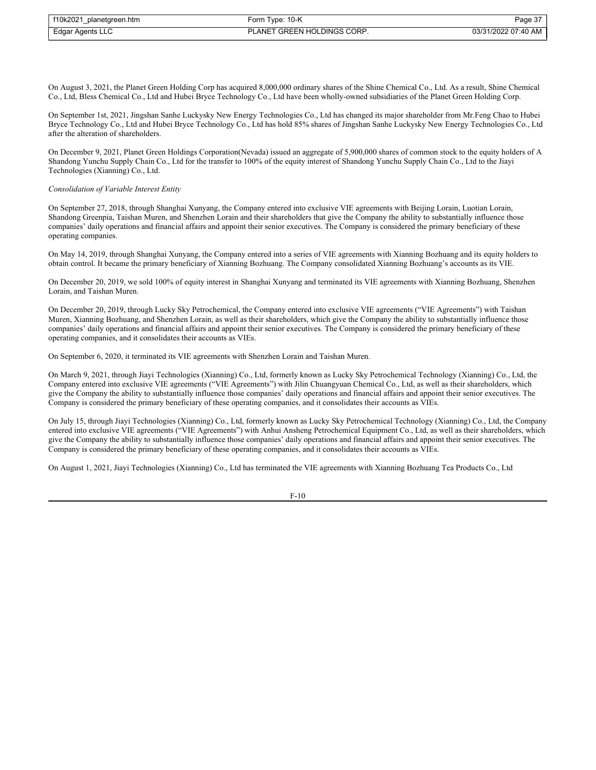| f10k2021 planetgreen.htm | Form Type: 10-K             | Page 37             |
|--------------------------|-----------------------------|---------------------|
| Edgar Agents LLC         | PLANET GREEN HOLDINGS CORP. | 03/31/2022 07:40 AM |

On August 3, 2021, the Planet Green Holding Corp has acquired 8,000,000 ordinary shares of the Shine Chemical Co., Ltd. As a result, Shine Chemical Co., Ltd, Bless Chemical Co., Ltd and Hubei Bryce Technology Co., Ltd have been wholly-owned subsidiaries of the Planet Green Holding Corp.

On September 1st, 2021, Jingshan Sanhe Luckysky New Energy Technologies Co., Ltd has changed its major shareholder from Mr.Feng Chao to Hubei Bryce Technology Co., Ltd and Hubei Bryce Technology Co., Ltd has hold 85% shares of Jingshan Sanhe Luckysky New Energy Technologies Co., Ltd after the alteration of shareholders.

On December 9, 2021, Planet Green Holdings Corporation(Nevada) issued an aggregate of 5,900,000 shares of common stock to the equity holders of A Shandong Yunchu Supply Chain Co., Ltd for the transfer to 100% of the equity interest of Shandong Yunchu Supply Chain Co., Ltd to the Jiayi Technologies (Xianning) Co., Ltd.

## *Consolidation of Variable Interest Entity*

On September 27, 2018, through Shanghai Xunyang, the Company entered into exclusive VIE agreements with Beijing Lorain, Luotian Lorain, Shandong Greenpia, Taishan Muren, and Shenzhen Lorain and their shareholders that give the Company the ability to substantially influence those companies' daily operations and financial affairs and appoint their senior executives. The Company is considered the primary beneficiary of these operating companies.

On May 14, 2019, through Shanghai Xunyang, the Company entered into a series of VIE agreements with Xianning Bozhuang and its equity holders to obtain control. It became the primary beneficiary of Xianning Bozhuang. The Company consolidated Xianning Bozhuang's accounts as its VIE.

On December 20, 2019, we sold 100% of equity interest in Shanghai Xunyang and terminated its VIE agreements with Xianning Bozhuang, Shenzhen Lorain, and Taishan Muren.

On December 20, 2019, through Lucky Sky Petrochemical, the Company entered into exclusive VIE agreements ("VIE Agreements") with Taishan Muren, Xianning Bozhuang, and Shenzhen Lorain, as well as their shareholders, which give the Company the ability to substantially influence those companies' daily operations and financial affairs and appoint their senior executives. The Company is considered the primary beneficiary of these operating companies, and it consolidates their accounts as VIEs.

On September 6, 2020, it terminated its VIE agreements with Shenzhen Lorain and Taishan Muren.

On March 9, 2021, through Jiayi Technologies (Xianning) Co., Ltd, formerly known as Lucky Sky Petrochemical Technology (Xianning) Co., Ltd, the Company entered into exclusive VIE agreements ("VIE Agreements") with Jilin Chuangyuan Chemical Co., Ltd, as well as their shareholders, which give the Company the ability to substantially influence those companies' daily operations and financial affairs and appoint their senior executives. The Company is considered the primary beneficiary of these operating companies, and it consolidates their accounts as VIEs.

On July 15, through Jiayi Technologies (Xianning) Co., Ltd, formerly known as Lucky Sky Petrochemical Technology (Xianning) Co., Ltd, the Company entered into exclusive VIE agreements ("VIE Agreements") with Anhui Ansheng Petrochemical Equipment Co., Ltd, as well as their shareholders, which give the Company the ability to substantially influence those companies' daily operations and financial affairs and appoint their senior executives. The Company is considered the primary beneficiary of these operating companies, and it consolidates their accounts as VIEs.

On August 1, 2021, Jiayi Technologies (Xianning) Co., Ltd has terminated the VIE agreements with Xianning Bozhuang Tea Products Co., Ltd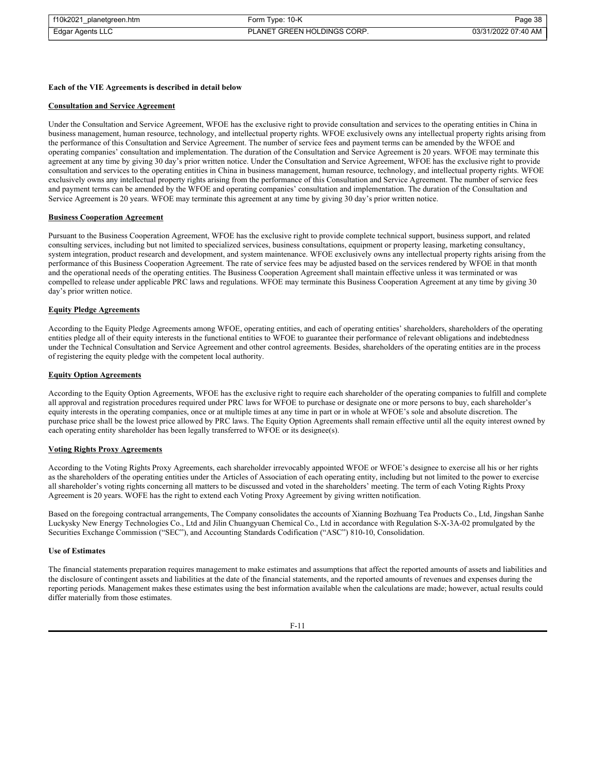| f10k2021 planetgreen.htm | Form Type: 10-K             | Page 38             |
|--------------------------|-----------------------------|---------------------|
| Edgar Agents LLC         | PLANET GREEN HOLDINGS CORP. | 03/31/2022 07:40 AM |

#### **Each of the VIE Agreements is described in detail below**

### **Consultation and Service Agreement**

Under the Consultation and Service Agreement, WFOE has the exclusive right to provide consultation and services to the operating entities in China in business management, human resource, technology, and intellectual property rights. WFOE exclusively owns any intellectual property rights arising from the performance of this Consultation and Service Agreement. The number of service fees and payment terms can be amended by the WFOE and operating companies' consultation and implementation. The duration of the Consultation and Service Agreement is 20 years. WFOE may terminate this agreement at any time by giving 30 day's prior written notice. Under the Consultation and Service Agreement, WFOE has the exclusive right to provide consultation and services to the operating entities in China in business management, human resource, technology, and intellectual property rights. WFOE exclusively owns any intellectual property rights arising from the performance of this Consultation and Service Agreement. The number of service fees and payment terms can be amended by the WFOE and operating companies' consultation and implementation. The duration of the Consultation and Service Agreement is 20 years. WFOE may terminate this agreement at any time by giving 30 day's prior written notice.

### **Business Cooperation Agreement**

Pursuant to the Business Cooperation Agreement, WFOE has the exclusive right to provide complete technical support, business support, and related consulting services, including but not limited to specialized services, business consultations, equipment or property leasing, marketing consultancy, system integration, product research and development, and system maintenance. WFOE exclusively owns any intellectual property rights arising from the performance of this Business Cooperation Agreement. The rate of service fees may be adjusted based on the services rendered by WFOE in that month and the operational needs of the operating entities. The Business Cooperation Agreement shall maintain effective unless it was terminated or was compelled to release under applicable PRC laws and regulations. WFOE may terminate this Business Cooperation Agreement at any time by giving 30 day's prior written notice.

### **Equity Pledge Agreements**

According to the Equity Pledge Agreements among WFOE, operating entities, and each of operating entities' shareholders, shareholders of the operating entities pledge all of their equity interests in the functional entities to WFOE to guarantee their performance of relevant obligations and indebtedness under the Technical Consultation and Service Agreement and other control agreements. Besides, shareholders of the operating entities are in the process of registering the equity pledge with the competent local authority.

### **Equity Option Agreements**

According to the Equity Option Agreements, WFOE has the exclusive right to require each shareholder of the operating companies to fulfill and complete all approval and registration procedures required under PRC laws for WFOE to purchase or designate one or more persons to buy, each shareholder's equity interests in the operating companies, once or at multiple times at any time in part or in whole at WFOE's sole and absolute discretion. The purchase price shall be the lowest price allowed by PRC laws. The Equity Option Agreements shall remain effective until all the equity interest owned by each operating entity shareholder has been legally transferred to WFOE or its designee(s).

## **Voting Rights Proxy Agreements**

According to the Voting Rights Proxy Agreements, each shareholder irrevocably appointed WFOE or WFOE's designee to exercise all his or her rights as the shareholders of the operating entities under the Articles of Association of each operating entity, including but not limited to the power to exercise all shareholder's voting rights concerning all matters to be discussed and voted in the shareholders' meeting. The term of each Voting Rights Proxy Agreement is 20 years. WOFE has the right to extend each Voting Proxy Agreement by giving written notification.

Based on the foregoing contractual arrangements, The Company consolidates the accounts of Xianning Bozhuang Tea Products Co., Ltd, Jingshan Sanhe Luckysky New Energy Technologies Co., Ltd and Jilin Chuangyuan Chemical Co., Ltd in accordance with Regulation S-X-3A-02 promulgated by the Securities Exchange Commission ("SEC"), and Accounting Standards Codification ("ASC") 810-10, Consolidation.

## **Use of Estimates**

The financial statements preparation requires management to make estimates and assumptions that affect the reported amounts of assets and liabilities and the disclosure of contingent assets and liabilities at the date of the financial statements, and the reported amounts of revenues and expenses during the reporting periods. Management makes these estimates using the best information available when the calculations are made; however, actual results could differ materially from those estimates.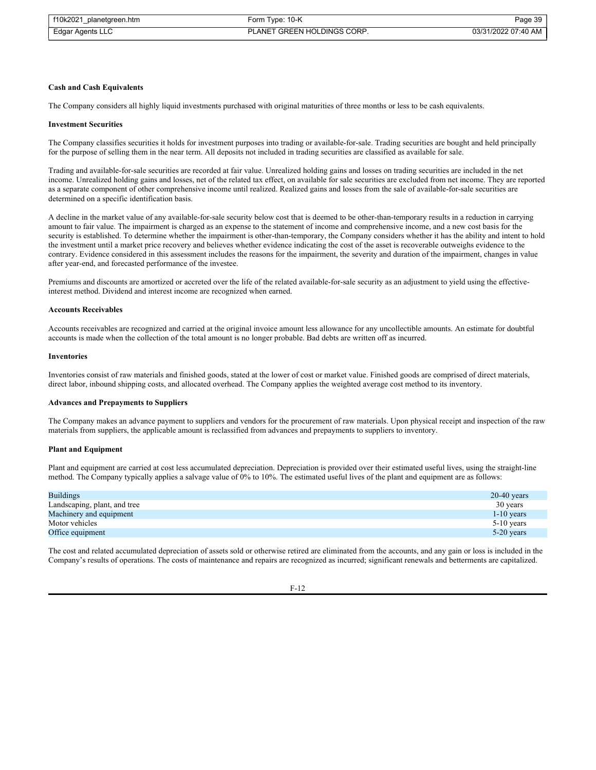| f10k2021 planetgreen.htm | Form Type: 10-K             | Page 39             |
|--------------------------|-----------------------------|---------------------|
| Edgar Agents LLC         | PLANET GREEN HOLDINGS CORP. | 03/31/2022 07:40 AM |

#### **Cash and Cash Equivalents**

The Company considers all highly liquid investments purchased with original maturities of three months or less to be cash equivalents.

### **Investment Securities**

The Company classifies securities it holds for investment purposes into trading or available-for-sale. Trading securities are bought and held principally for the purpose of selling them in the near term. All deposits not included in trading securities are classified as available for sale.

Trading and available-for-sale securities are recorded at fair value. Unrealized holding gains and losses on trading securities are included in the net income. Unrealized holding gains and losses, net of the related tax effect, on available for sale securities are excluded from net income. They are reported as a separate component of other comprehensive income until realized. Realized gains and losses from the sale of available-for-sale securities are determined on a specific identification basis.

A decline in the market value of any available-for-sale security below cost that is deemed to be other-than-temporary results in a reduction in carrying amount to fair value. The impairment is charged as an expense to the statement of income and comprehensive income, and a new cost basis for the security is established. To determine whether the impairment is other-than-temporary, the Company considers whether it has the ability and intent to hold the investment until a market price recovery and believes whether evidence indicating the cost of the asset is recoverable outweighs evidence to the contrary. Evidence considered in this assessment includes the reasons for the impairment, the severity and duration of the impairment, changes in value after year-end, and forecasted performance of the investee.

Premiums and discounts are amortized or accreted over the life of the related available-for-sale security as an adjustment to yield using the effectiveinterest method. Dividend and interest income are recognized when earned.

### **Accounts Receivables**

Accounts receivables are recognized and carried at the original invoice amount less allowance for any uncollectible amounts. An estimate for doubtful accounts is made when the collection of the total amount is no longer probable. Bad debts are written off as incurred.

#### **Inventories**

Inventories consist of raw materials and finished goods, stated at the lower of cost or market value. Finished goods are comprised of direct materials, direct labor, inbound shipping costs, and allocated overhead. The Company applies the weighted average cost method to its inventory.

#### **Advances and Prepayments to Suppliers**

The Company makes an advance payment to suppliers and vendors for the procurement of raw materials. Upon physical receipt and inspection of the raw materials from suppliers, the applicable amount is reclassified from advances and prepayments to suppliers to inventory.

#### **Plant and Equipment**

Plant and equipment are carried at cost less accumulated depreciation. Depreciation is provided over their estimated useful lives, using the straight-line method. The Company typically applies a salvage value of 0% to 10%. The estimated useful lives of the plant and equipment are as follows:

| <b>Buildings</b>             | $20-40$ years |
|------------------------------|---------------|
| Landscaping, plant, and tree | 30 years      |
| Machinery and equipment      | $1-10$ years  |
| Motor vehicles               | $5-10$ years  |
| Office equipment             | $5-20$ years  |

The cost and related accumulated depreciation of assets sold or otherwise retired are eliminated from the accounts, and any gain or loss is included in the Company's results of operations. The costs of maintenance and repairs are recognized as incurred; significant renewals and betterments are capitalized.

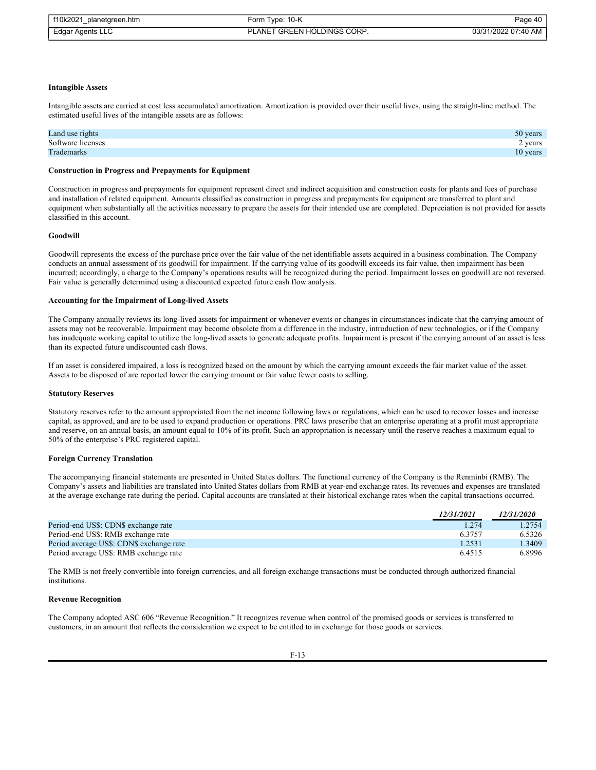| f10k2021_planetgreen.htm | Form Type: 10-K             | Page 40             |
|--------------------------|-----------------------------|---------------------|
| Edgar Agents LLC         | PLANET GREEN HOLDINGS CORP. | 03/31/2022 07:40 AM |

#### **Intangible Assets**

Intangible assets are carried at cost less accumulated amortization. Amortization is provided over their useful lives, using the straight-line method. The estimated useful lives of the intangible assets are as follows:

| Land use rights   | <b>SU</b> vears |
|-------------------|-----------------|
| Software licenses | ' vears         |
| Trademarks        | 10 years        |

#### **Construction in Progress and Prepayments for Equipment**

Construction in progress and prepayments for equipment represent direct and indirect acquisition and construction costs for plants and fees of purchase and installation of related equipment. Amounts classified as construction in progress and prepayments for equipment are transferred to plant and equipment when substantially all the activities necessary to prepare the assets for their intended use are completed. Depreciation is not provided for assets classified in this account.

#### **Goodwill**

Goodwill represents the excess of the purchase price over the fair value of the net identifiable assets acquired in a business combination. The Company conducts an annual assessment of its goodwill for impairment. If the carrying value of its goodwill exceeds its fair value, then impairment has been incurred; accordingly, a charge to the Company's operations results will be recognized during the period. Impairment losses on goodwill are not reversed. Fair value is generally determined using a discounted expected future cash flow analysis.

#### **Accounting for the Impairment of Long-lived Assets**

The Company annually reviews its long-lived assets for impairment or whenever events or changes in circumstances indicate that the carrying amount of assets may not be recoverable. Impairment may become obsolete from a difference in the industry, introduction of new technologies, or if the Company has inadequate working capital to utilize the long-lived assets to generate adequate profits. Impairment is present if the carrying amount of an asset is less than its expected future undiscounted cash flows.

If an asset is considered impaired, a loss is recognized based on the amount by which the carrying amount exceeds the fair market value of the asset. Assets to be disposed of are reported lower the carrying amount or fair value fewer costs to selling.

#### **Statutory Reserves**

Statutory reserves refer to the amount appropriated from the net income following laws or regulations, which can be used to recover losses and increase capital, as approved, and are to be used to expand production or operations. PRC laws prescribe that an enterprise operating at a profit must appropriate and reserve, on an annual basis, an amount equal to 10% of its profit. Such an appropriation is necessary until the reserve reaches a maximum equal to 50% of the enterprise's PRC registered capital.

#### **Foreign Currency Translation**

The accompanying financial statements are presented in United States dollars. The functional currency of the Company is the Renminbi (RMB). The Company's assets and liabilities are translated into United States dollars from RMB at year-end exchange rates. Its revenues and expenses are translated at the average exchange rate during the period. Capital accounts are translated at their historical exchange rates when the capital transactions occurred.

|                                          | 12/31/2021 | <i>12/31/2020</i> |
|------------------------------------------|------------|-------------------|
| Period-end US\$: CDN\$ exchange rate     | 1.274      | 1.2754            |
| Period-end US\$: RMB exchange rate       | 6.3757     | 6.5326            |
| Period average US\$: CDN\$ exchange rate | 1.2531     | 1.3409            |
| Period average US\$: RMB exchange rate   | 6.4515     | 6.8996            |

The RMB is not freely convertible into foreign currencies, and all foreign exchange transactions must be conducted through authorized financial institutions.

#### **Revenue Recognition**

The Company adopted ASC 606 "Revenue Recognition." It recognizes revenue when control of the promised goods or services is transferred to customers, in an amount that reflects the consideration we expect to be entitled to in exchange for those goods or services.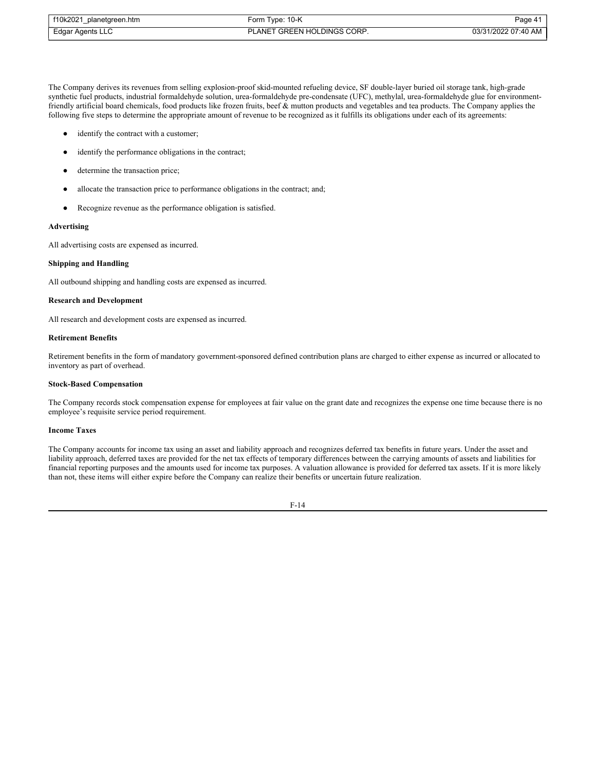| f10k2021 planetgreen.htm | Form Type: 10-K             | Page 41             |
|--------------------------|-----------------------------|---------------------|
| Edgar Agents LLC         | PLANET GREEN HOLDINGS CORP. | 03/31/2022 07:40 AM |

The Company derives its revenues from selling explosion-proof skid-mounted refueling device, SF double-layer buried oil storage tank, high-grade synthetic fuel products, industrial formaldehyde solution, urea-formaldehyde pre-condensate (UFC), methylal, urea-formaldehyde glue for environmentfriendly artificial board chemicals, food products like frozen fruits, beef & mutton products and vegetables and tea products. The Company applies the following five steps to determine the appropriate amount of revenue to be recognized as it fulfills its obligations under each of its agreements:

- identify the contract with a customer;
- identify the performance obligations in the contract;
- determine the transaction price;
- allocate the transaction price to performance obligations in the contract; and;
- Recognize revenue as the performance obligation is satisfied.

#### **Advertising**

All advertising costs are expensed as incurred.

### **Shipping and Handling**

All outbound shipping and handling costs are expensed as incurred.

### **Research and Development**

All research and development costs are expensed as incurred.

### **Retirement Benefits**

Retirement benefits in the form of mandatory government-sponsored defined contribution plans are charged to either expense as incurred or allocated to inventory as part of overhead.

#### **Stock-Based Compensation**

The Company records stock compensation expense for employees at fair value on the grant date and recognizes the expense one time because there is no employee's requisite service period requirement.

#### **Income Taxes**

The Company accounts for income tax using an asset and liability approach and recognizes deferred tax benefits in future years. Under the asset and liability approach, deferred taxes are provided for the net tax effects of temporary differences between the carrying amounts of assets and liabilities for financial reporting purposes and the amounts used for income tax purposes. A valuation allowance is provided for deferred tax assets. If it is more likely than not, these items will either expire before the Company can realize their benefits or uncertain future realization.

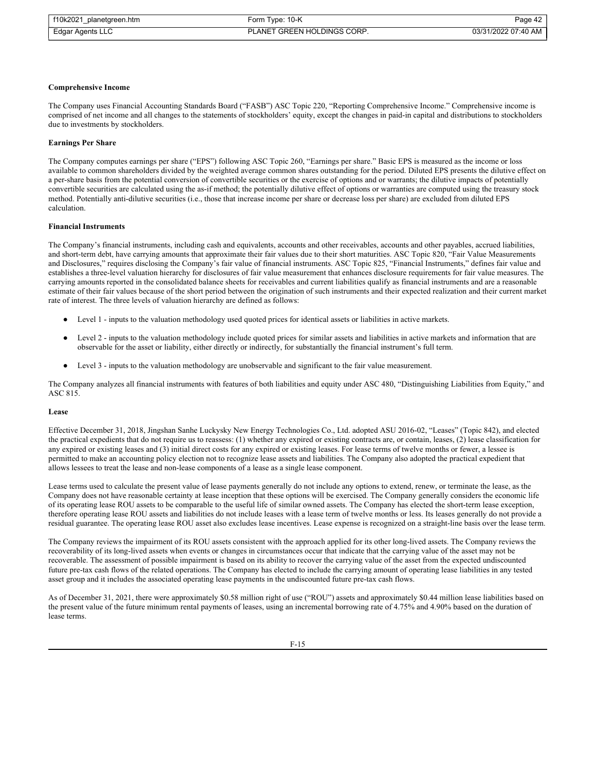| f10k2021 planetgreen.htm | Form Type: 10-K             | Page 42             |
|--------------------------|-----------------------------|---------------------|
| Edgar Agents LLC         | PLANET GREEN HOLDINGS CORP. | 03/31/2022 07:40 AM |

#### **Comprehensive Income**

The Company uses Financial Accounting Standards Board ("FASB") ASC Topic 220, "Reporting Comprehensive Income." Comprehensive income is comprised of net income and all changes to the statements of stockholders' equity, except the changes in paid-in capital and distributions to stockholders due to investments by stockholders.

### **Earnings Per Share**

The Company computes earnings per share ("EPS") following ASC Topic 260, "Earnings per share." Basic EPS is measured as the income or loss available to common shareholders divided by the weighted average common shares outstanding for the period. Diluted EPS presents the dilutive effect on a per-share basis from the potential conversion of convertible securities or the exercise of options and or warrants; the dilutive impacts of potentially convertible securities are calculated using the as-if method; the potentially dilutive effect of options or warranties are computed using the treasury stock method. Potentially anti-dilutive securities (i.e., those that increase income per share or decrease loss per share) are excluded from diluted EPS calculation.

### **Financial Instruments**

The Company's financial instruments, including cash and equivalents, accounts and other receivables, accounts and other payables, accrued liabilities, and short-term debt, have carrying amounts that approximate their fair values due to their short maturities. ASC Topic 820, "Fair Value Measurements and Disclosures," requires disclosing the Company's fair value of financial instruments. ASC Topic 825, "Financial Instruments," defines fair value and establishes a three-level valuation hierarchy for disclosures of fair value measurement that enhances disclosure requirements for fair value measures. The carrying amounts reported in the consolidated balance sheets for receivables and current liabilities qualify as financial instruments and are a reasonable estimate of their fair values because of the short period between the origination of such instruments and their expected realization and their current market rate of interest. The three levels of valuation hierarchy are defined as follows:

- Level 1 inputs to the valuation methodology used quoted prices for identical assets or liabilities in active markets.
- Level 2 inputs to the valuation methodology include quoted prices for similar assets and liabilities in active markets and information that are observable for the asset or liability, either directly or indirectly, for substantially the financial instrument's full term.
- Level 3 inputs to the valuation methodology are unobservable and significant to the fair value measurement.

The Company analyzes all financial instruments with features of both liabilities and equity under ASC 480, "Distinguishing Liabilities from Equity," and ASC 815.

#### **Lease**

Effective December 31, 2018, Jingshan Sanhe Luckysky New Energy Technologies Co., Ltd. adopted ASU 2016-02, "Leases" (Topic 842), and elected the practical expedients that do not require us to reassess: (1) whether any expired or existing contracts are, or contain, leases, (2) lease classification for any expired or existing leases and (3) initial direct costs for any expired or existing leases. For lease terms of twelve months or fewer, a lessee is permitted to make an accounting policy election not to recognize lease assets and liabilities. The Company also adopted the practical expedient that allows lessees to treat the lease and non-lease components of a lease as a single lease component.

Lease terms used to calculate the present value of lease payments generally do not include any options to extend, renew, or terminate the lease, as the Company does not have reasonable certainty at lease inception that these options will be exercised. The Company generally considers the economic life of its operating lease ROU assets to be comparable to the useful life of similar owned assets. The Company has elected the short-term lease exception, therefore operating lease ROU assets and liabilities do not include leases with a lease term of twelve months or less. Its leases generally do not provide a residual guarantee. The operating lease ROU asset also excludes lease incentives. Lease expense is recognized on a straight-line basis over the lease term.

The Company reviews the impairment of its ROU assets consistent with the approach applied for its other long-lived assets. The Company reviews the recoverability of its long-lived assets when events or changes in circumstances occur that indicate that the carrying value of the asset may not be recoverable. The assessment of possible impairment is based on its ability to recover the carrying value of the asset from the expected undiscounted future pre-tax cash flows of the related operations. The Company has elected to include the carrying amount of operating lease liabilities in any tested asset group and it includes the associated operating lease payments in the undiscounted future pre-tax cash flows.

As of December 31, 2021, there were approximately \$0.58 million right of use ("ROU") assets and approximately \$0.44 million lease liabilities based on the present value of the future minimum rental payments of leases, using an incremental borrowing rate of 4.75% and 4.90% based on the duration of lease terms.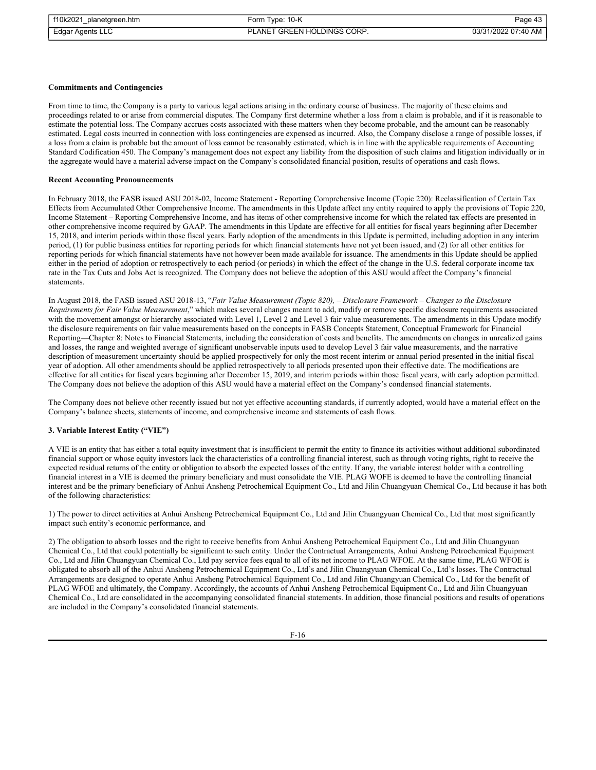| f10k2021 planetgreen.htm | Form Type: 10-K             | Page 43             |
|--------------------------|-----------------------------|---------------------|
| Edgar Agents LLC         | PLANET GREEN HOLDINGS CORP. | 03/31/2022 07:40 AM |

#### **Commitments and Contingencies**

From time to time, the Company is a party to various legal actions arising in the ordinary course of business. The majority of these claims and proceedings related to or arise from commercial disputes. The Company first determine whether a loss from a claim is probable, and if it is reasonable to estimate the potential loss. The Company accrues costs associated with these matters when they become probable, and the amount can be reasonably estimated. Legal costs incurred in connection with loss contingencies are expensed as incurred. Also, the Company disclose a range of possible losses, if a loss from a claim is probable but the amount of loss cannot be reasonably estimated, which is in line with the applicable requirements of Accounting Standard Codification 450. The Company's management does not expect any liability from the disposition of such claims and litigation individually or in the aggregate would have a material adverse impact on the Company's consolidated financial position, results of operations and cash flows.

## **Recent Accounting Pronouncements**

In February 2018, the FASB issued ASU 2018-02, Income Statement - Reporting Comprehensive Income (Topic 220): Reclassification of Certain Tax Effects from Accumulated Other Comprehensive Income. The amendments in this Update affect any entity required to apply the provisions of Topic 220, Income Statement – Reporting Comprehensive Income, and has items of other comprehensive income for which the related tax effects are presented in other comprehensive income required by GAAP. The amendments in this Update are effective for all entities for fiscal years beginning after December 15, 2018, and interim periods within those fiscal years. Early adoption of the amendments in this Update is permitted, including adoption in any interim period, (1) for public business entities for reporting periods for which financial statements have not yet been issued, and (2) for all other entities for reporting periods for which financial statements have not however been made available for issuance. The amendments in this Update should be applied either in the period of adoption or retrospectively to each period (or periods) in which the effect of the change in the U.S. federal corporate income tax rate in the Tax Cuts and Jobs Act is recognized. The Company does not believe the adoption of this ASU would affect the Company's financial statements.

In August 2018, the FASB issued ASU 2018-13, "*Fair Value Measurement (Topic 820), – Disclosure Framework – Changes to the Disclosure Requirements for Fair Value Measurement*," which makes several changes meant to add, modify or remove specific disclosure requirements associated with the movement amongst or hierarchy associated with Level 1, Level 2 and Level 3 fair value measurements. The amendments in this Update modify the disclosure requirements on fair value measurements based on the concepts in FASB Concepts Statement, Conceptual Framework for Financial Reporting—Chapter 8: Notes to Financial Statements, including the consideration of costs and benefits. The amendments on changes in unrealized gains and losses, the range and weighted average of significant unobservable inputs used to develop Level 3 fair value measurements, and the narrative description of measurement uncertainty should be applied prospectively for only the most recent interim or annual period presented in the initial fiscal year of adoption. All other amendments should be applied retrospectively to all periods presented upon their effective date. The modifications are effective for all entities for fiscal years beginning after December 15, 2019, and interim periods within those fiscal years, with early adoption permitted. The Company does not believe the adoption of this ASU would have a material effect on the Company's condensed financial statements.

The Company does not believe other recently issued but not yet effective accounting standards, if currently adopted, would have a material effect on the Company's balance sheets, statements of income, and comprehensive income and statements of cash flows.

## **3. Variable Interest Entity ("VIE")**

A VIE is an entity that has either a total equity investment that is insufficient to permit the entity to finance its activities without additional subordinated financial support or whose equity investors lack the characteristics of a controlling financial interest, such as through voting rights, right to receive the expected residual returns of the entity or obligation to absorb the expected losses of the entity. If any, the variable interest holder with a controlling financial interest in a VIE is deemed the primary beneficiary and must consolidate the VIE. PLAG WOFE is deemed to have the controlling financial interest and be the primary beneficiary of Anhui Ansheng Petrochemical Equipment Co., Ltd and Jilin Chuangyuan Chemical Co., Ltd because it has both of the following characteristics:

1) The power to direct activities at Anhui Ansheng Petrochemical Equipment Co., Ltd and Jilin Chuangyuan Chemical Co., Ltd that most significantly impact such entity's economic performance, and

2) The obligation to absorb losses and the right to receive benefits from Anhui Ansheng Petrochemical Equipment Co., Ltd and Jilin Chuangyuan Chemical Co., Ltd that could potentially be significant to such entity. Under the Contractual Arrangements, Anhui Ansheng Petrochemical Equipment Co., Ltd and Jilin Chuangyuan Chemical Co., Ltd pay service fees equal to all of its net income to PLAG WFOE. At the same time, PLAG WFOE is obligated to absorb all of the Anhui Ansheng Petrochemical Equipment Co., Ltd's and Jilin Chuangyuan Chemical Co., Ltd's losses. The Contractual Arrangements are designed to operate Anhui Ansheng Petrochemical Equipment Co., Ltd and Jilin Chuangyuan Chemical Co., Ltd for the benefit of PLAG WFOE and ultimately, the Company. Accordingly, the accounts of Anhui Ansheng Petrochemical Equipment Co., Ltd and Jilin Chuangyuan Chemical Co., Ltd are consolidated in the accompanying consolidated financial statements. In addition, those financial positions and results of operations are included in the Company's consolidated financial statements.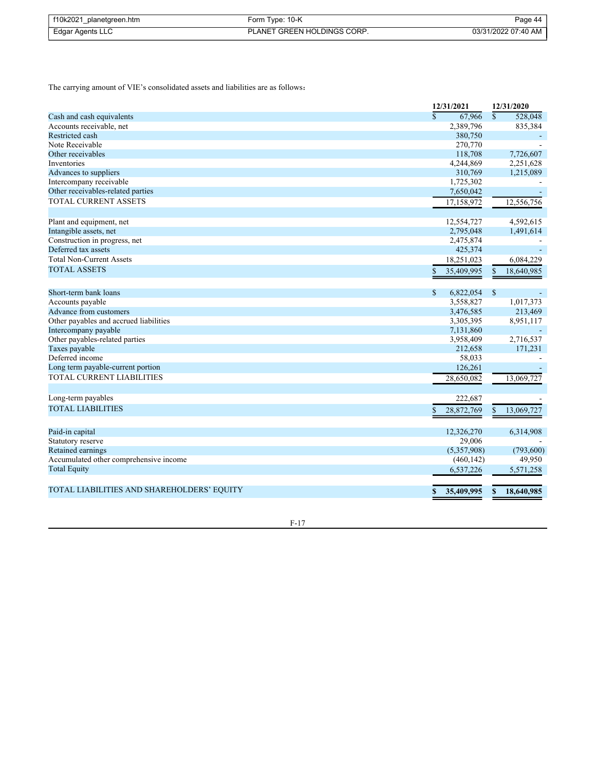| f10k2021_planetgreen.htm | Form Type: 10-K             | Page 44             |
|--------------------------|-----------------------------|---------------------|
| Edgar Agents LLC         | PLANET GREEN HOLDINGS CORP. | 03/31/2022 07:40 AM |

The carrying amount of VIE's consolidated assets and liabilities are as follows:

|                                            |                         | 12/31/2021  |               | 12/31/2020 |  |
|--------------------------------------------|-------------------------|-------------|---------------|------------|--|
| Cash and cash equivalents                  | $\overline{\mathbb{S}}$ | 67.966      | $\mathbb{S}$  | 528,048    |  |
| Accounts receivable, net                   |                         | 2,389,796   |               | 835,384    |  |
| Restricted cash                            |                         | 380,750     |               |            |  |
| Note Receivable                            |                         | 270,770     |               |            |  |
| Other receivables                          |                         | 118,708     |               | 7,726,607  |  |
| Inventories                                |                         | 4,244,869   |               | 2,251,628  |  |
| Advances to suppliers                      |                         | 310,769     |               | 1,215,089  |  |
| Intercompany receivable                    |                         | 1,725,302   |               |            |  |
| Other receivables-related parties          |                         | 7,650,042   |               |            |  |
| <b>TOTAL CURRENT ASSETS</b>                |                         | 17,158,972  |               | 12,556,756 |  |
|                                            |                         |             |               |            |  |
| Plant and equipment, net                   |                         | 12,554,727  |               | 4,592,615  |  |
| Intangible assets, net                     |                         | 2,795,048   |               | 1,491,614  |  |
| Construction in progress, net              |                         | 2,475,874   |               |            |  |
| Deferred tax assets                        |                         | 425,374     |               |            |  |
| <b>Total Non-Current Assets</b>            |                         | 18,251,023  |               | 6,084,229  |  |
| <b>TOTAL ASSETS</b>                        | S                       | 35,409,995  | \$            | 18,640,985 |  |
|                                            |                         |             |               |            |  |
| Short-term bank loans                      | \$                      | 6,822,054   | $\mathcal{S}$ |            |  |
| Accounts payable                           |                         | 3,558,827   |               | 1,017,373  |  |
| Advance from customers                     |                         | 3,476,585   |               | 213,469    |  |
| Other payables and accrued liabilities     |                         | 3,305,395   |               | 8,951,117  |  |
| Intercompany payable                       |                         | 7,131,860   |               |            |  |
| Other payables-related parties             |                         | 3,958,409   |               | 2,716,537  |  |
| Taxes payable                              |                         | 212,658     |               | 171,231    |  |
| Deferred income                            |                         | 58,033      |               |            |  |
| Long term payable-current portion          |                         | 126,261     |               |            |  |
| TOTAL CURRENT LIABILITIES                  |                         | 28,650,082  |               | 13,069,727 |  |
| Long-term payables                         |                         |             |               |            |  |
|                                            |                         | 222,687     |               |            |  |
| <b>TOTAL LIABILITIES</b>                   |                         | 28,872,769  | <sup>S</sup>  | 13,069,727 |  |
| Paid-in capital                            |                         | 12,326,270  |               | 6,314,908  |  |
| Statutory reserve                          |                         | 29,006      |               |            |  |
| Retained earnings                          |                         | (5,357,908) |               | (793,600)  |  |
| Accumulated other comprehensive income     |                         | (460, 142)  |               | 49,950     |  |
| <b>Total Equity</b>                        |                         | 6,537,226   |               | 5,571,258  |  |
|                                            |                         |             |               |            |  |
| TOTAL LIABILITIES AND SHAREHOLDERS' EQUITY | \$                      | 35,409,995  | \$            | 18,640,985 |  |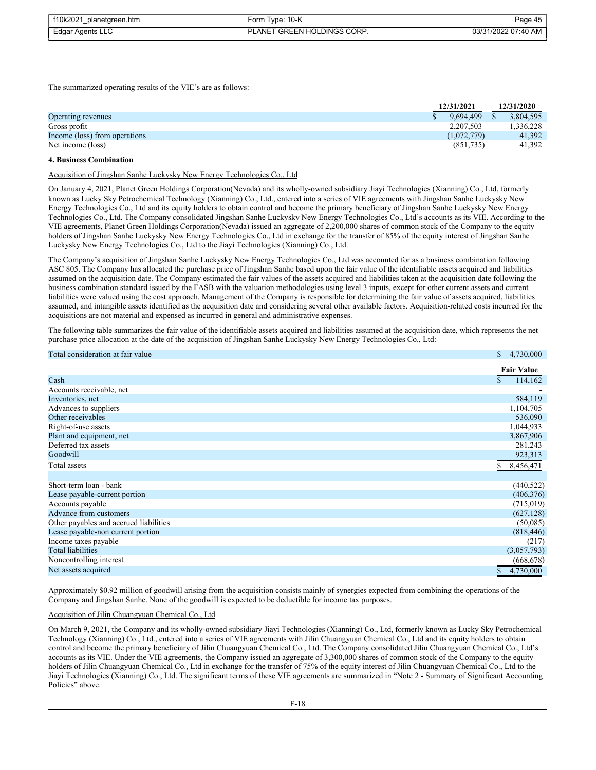| f10k2021 planetgreen.htm | Form Type: 10-K             | Page 45             |
|--------------------------|-----------------------------|---------------------|
| Edgar Agents LLC         | PLANET GREEN HOLDINGS CORP. | 03/31/2022 07:40 AM |

The summarized operating results of the VIE's are as follows:

|                               | 12/31/2021  | 12/31/2020 |
|-------------------------------|-------------|------------|
| Operating revenues            | 9.694.499   | 3,804,595  |
| Gross profit                  | 2.207.503   | 1,336,228  |
| Income (loss) from operations | (1,072,779) | 41,392     |
| Net income (loss)             | (851,735)   | 41,392     |

## **4. Business Combination**

Acquisition of Jingshan Sanhe Luckysky New Energy Technologies Co., Ltd

On January 4, 2021, Planet Green Holdings Corporation(Nevada) and its wholly-owned subsidiary Jiayi Technologies (Xianning) Co., Ltd, formerly known as Lucky Sky Petrochemical Technology (Xianning) Co., Ltd., entered into a series of VIE agreements with Jingshan Sanhe Luckysky New Energy Technologies Co., Ltd and its equity holders to obtain control and become the primary beneficiary of Jingshan Sanhe Luckysky New Energy Technologies Co., Ltd. The Company consolidated Jingshan Sanhe Luckysky New Energy Technologies Co., Ltd's accounts as its VIE. According to the VIE agreements, Planet Green Holdings Corporation(Nevada) issued an aggregate of 2,200,000 shares of common stock of the Company to the equity holders of Jingshan Sanhe Luckysky New Energy Technologies Co., Ltd in exchange for the transfer of 85% of the equity interest of Jingshan Sanhe Luckysky New Energy Technologies Co., Ltd to the Jiayi Technologies (Xianning) Co., Ltd.

The Company's acquisition of Jingshan Sanhe Luckysky New Energy Technologies Co., Ltd was accounted for as a business combination following ASC 805. The Company has allocated the purchase price of Jingshan Sanhe based upon the fair value of the identifiable assets acquired and liabilities assumed on the acquisition date. The Company estimated the fair values of the assets acquired and liabilities taken at the acquisition date following the business combination standard issued by the FASB with the valuation methodologies using level 3 inputs, except for other current assets and current liabilities were valued using the cost approach. Management of the Company is responsible for determining the fair value of assets acquired, liabilities assumed, and intangible assets identified as the acquisition date and considering several other available factors. Acquisition-related costs incurred for the acquisitions are not material and expensed as incurred in general and administrative expenses.

The following table summarizes the fair value of the identifiable assets acquired and liabilities assumed at the acquisition date, which represents the net purchase price allocation at the date of the acquisition of Jingshan Sanhe Luckysky New Energy Technologies Co., Ltd:

| Total consideration at fair value      | $\mathbb{S}$<br>4,730,000 |
|----------------------------------------|---------------------------|
|                                        | <b>Fair Value</b>         |
| Cash                                   | 114,162<br>\$             |
| Accounts receivable, net               |                           |
| Inventories, net                       | 584,119                   |
| Advances to suppliers                  | 1,104,705                 |
| Other receivables                      | 536,090                   |
| Right-of-use assets                    | 1,044,933                 |
| Plant and equipment, net               | 3,867,906                 |
| Deferred tax assets                    | 281,243                   |
| Goodwill                               | 923,313                   |
| Total assets                           | 8,456,471<br>\$           |
|                                        |                           |
| Short-term loan - bank                 | (440, 522)                |
| Lease payable-current portion          | (406, 376)                |
| Accounts payable                       | (715,019)                 |
| Advance from customers                 | (627, 128)                |
| Other payables and accrued liabilities | (50,085)                  |
| Lease payable-non current portion      | (818, 446)                |
| Income taxes payable                   | (217)                     |
| <b>Total liabilities</b>               | (3,057,793)               |
| Noncontrolling interest                | (668, 678)                |
| Net assets acquired                    | 4,730,000                 |

Approximately \$0.92 million of goodwill arising from the acquisition consists mainly of synergies expected from combining the operations of the Company and Jingshan Sanhe. None of the goodwill is expected to be deductible for income tax purposes.

#### Acquisition of Jilin Chuangyuan Chemical Co., Ltd

On March 9, 2021, the Company and its wholly-owned subsidiary Jiayi Technologies (Xianning) Co., Ltd, formerly known as Lucky Sky Petrochemical Technology (Xianning) Co., Ltd., entered into a series of VIE agreements with Jilin Chuangyuan Chemical Co., Ltd and its equity holders to obtain control and become the primary beneficiary of Jilin Chuangyuan Chemical Co., Ltd. The Company consolidated Jilin Chuangyuan Chemical Co., Ltd's accounts as its VIE. Under the VIE agreements, the Company issued an aggregate of 3,300,000 shares of common stock of the Company to the equity holders of Jilin Chuangyuan Chemical Co., Ltd in exchange for the transfer of 75% of the equity interest of Jilin Chuangyuan Chemical Co., Ltd to the Jiayi Technologies (Xianning) Co., Ltd. The significant terms of these VIE agreements are summarized in "Note 2 - Summary of Significant Accounting Policies" above.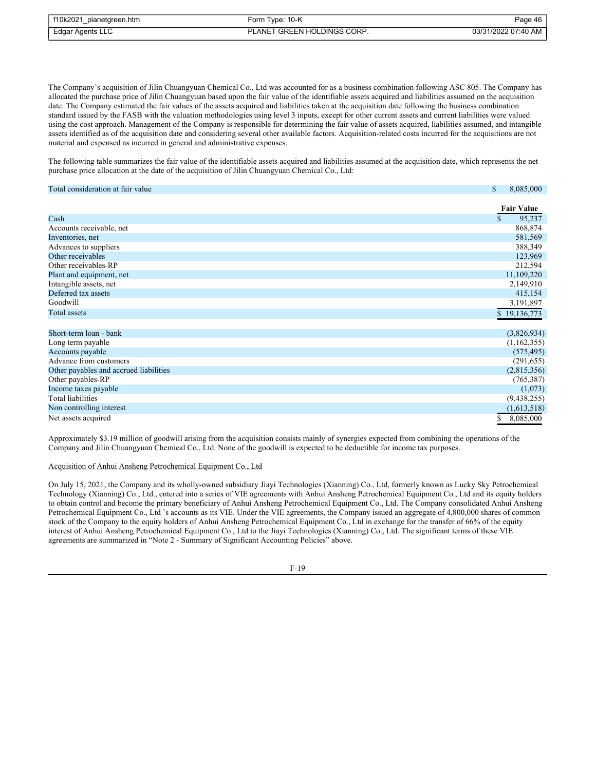| f10k2021 planetgreen.htm | Form Type: 10-K             | Page 46             |
|--------------------------|-----------------------------|---------------------|
| Edgar Agents LLC         | PLANET GREEN HOLDINGS CORP. | 03/31/2022 07:40 AM |

The Company's acquisition of Jilin Chuangyuan Chemical Co., Ltd was accounted for as a business combination following ASC 805. The Company has allocated the purchase price of Jilin Chuangyuan based upon the fair value of the identifiable assets acquired and liabilities assumed on the acquisition date. The Company estimated the fair values of the assets acquired and liabilities taken at the acquisition date following the business combination standard issued by the FASB with the valuation methodologies using level 3 inputs, except for other current assets and current liabilities were valued using the cost approach. Management of the Company is responsible for determining the fair value of assets acquired, liabilities assumed, and intangible assets identified as of the acquisition date and considering several other available factors. Acquisition-related costs incurred for the acquisitions are not material and expensed as incurred in general and administrative expenses.

The following table summarizes the fair value of the identifiable assets acquired and liabilities assumed at the acquisition date, which represents the net purchase price allocation at the date of the acquisition of Jilin Chuangyuan Chemical Co., Ltd:

| Total consideration at fair value      | $\mathbb{S}$ | 8,085,000         |
|----------------------------------------|--------------|-------------------|
|                                        |              |                   |
|                                        |              | <b>Fair Value</b> |
| Cash                                   | \$           | 95,237            |
| Accounts receivable, net               |              | 868,874           |
| Inventories, net                       |              | 581,569           |
| Advances to suppliers                  |              | 388,349           |
| Other receivables                      |              | 123,969           |
| Other receivables-RP                   |              | 212,594           |
| Plant and equipment, net               |              | 11,109,220        |
| Intangible assets, net                 |              | 2,149,910         |
| Deferred tax assets                    |              | 415,154           |
| Goodwill                               |              | 3,191,897         |
| Total assets                           |              | \$19,136,773      |
|                                        |              |                   |
| Short-term loan - bank                 |              | (3,826,934)       |
| Long term payable                      |              | (1,162,355)       |
| Accounts payable                       |              | (575, 495)        |
| Advance from customers                 |              | (291, 655)        |
| Other payables and accrued liabilities |              | (2,815,356)       |
| Other payables-RP                      |              | (765, 387)        |
| Income taxes payable                   |              | (1,073)           |
| Total liabilities                      |              | (9, 438, 255)     |
| Non controlling interest               |              | (1,613,518)       |
| Net assets acquired                    | \$           | 8,085,000         |

Approximately \$3.19 million of goodwill arising from the acquisition consists mainly of synergies expected from combining the operations of the Company and Jilin Chuangyuan Chemical Co., Ltd. None of the goodwill is expected to be deductible for income tax purposes.

#### Acquisition of Anhui Ansheng Petrochemical Equipment Co., Ltd

On July 15, 2021, the Company and its wholly-owned subsidiary Jiayi Technologies (Xianning) Co., Ltd, formerly known as Lucky Sky Petrochemical Technology (Xianning) Co., Ltd., entered into a series of VIE agreements with Anhui Ansheng Petrochemical Equipment Co., Ltd and its equity holders to obtain control and become the primary beneficiary of Anhui Ansheng Petrochemical Equipment Co., Ltd. The Company consolidated Anhui Ansheng Petrochemical Equipment Co., Ltd 's accounts as its VIE. Under the VIE agreements, the Company issued an aggregate of 4,800,000 shares of common stock of the Company to the equity holders of Anhui Ansheng Petrochemical Equipment Co., Ltd in exchange for the transfer of 66% of the equity interest of Anhui Ansheng Petrochemical Equipment Co., Ltd to the Jiayi Technologies (Xianning) Co., Ltd. The significant terms of these VIE agreements are summarized in "Note 2 - Summary of Significant Accounting Policies" above.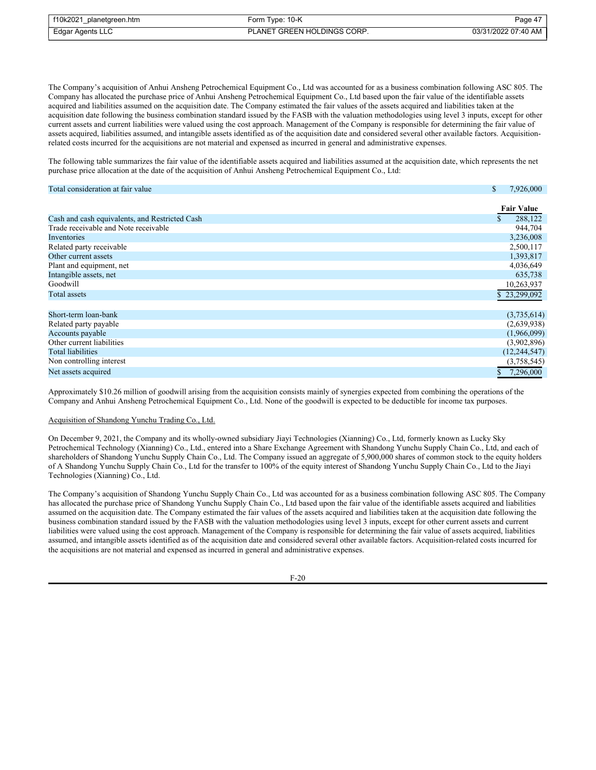| f10k2021 planetgreen.htm | Form Type: 10-K             | Page 47             |
|--------------------------|-----------------------------|---------------------|
| Edgar Agents LLC         | PLANET GREEN HOLDINGS CORP. | 03/31/2022 07:40 AM |

The Company's acquisition of Anhui Ansheng Petrochemical Equipment Co., Ltd was accounted for as a business combination following ASC 805. The Company has allocated the purchase price of Anhui Ansheng Petrochemical Equipment Co., Ltd based upon the fair value of the identifiable assets acquired and liabilities assumed on the acquisition date. The Company estimated the fair values of the assets acquired and liabilities taken at the acquisition date following the business combination standard issued by the FASB with the valuation methodologies using level 3 inputs, except for other current assets and current liabilities were valued using the cost approach. Management of the Company is responsible for determining the fair value of assets acquired, liabilities assumed, and intangible assets identified as of the acquisition date and considered several other available factors. Acquisitionrelated costs incurred for the acquisitions are not material and expensed as incurred in general and administrative expenses.

The following table summarizes the fair value of the identifiable assets acquired and liabilities assumed at the acquisition date, which represents the net purchase price allocation at the date of the acquisition of Anhui Ansheng Petrochemical Equipment Co., Ltd:

| Total consideration at fair value              | \$ | 7,926,000         |
|------------------------------------------------|----|-------------------|
|                                                |    |                   |
|                                                |    | <b>Fair Value</b> |
| Cash and cash equivalents, and Restricted Cash | \$ | 288,122           |
| Trade receivable and Note receivable           |    | 944,704           |
| Inventories                                    |    | 3,236,008         |
| Related party receivable                       |    | 2,500,117         |
| Other current assets                           |    | 1,393,817         |
| Plant and equipment, net                       |    | 4,036,649         |
| Intangible assets, net                         |    | 635,738           |
| Goodwill                                       |    | 10,263,937        |
| Total assets                                   |    | \$23,299,092      |
|                                                |    |                   |
| Short-term loan-bank                           |    | (3,735,614)       |
| Related party payable                          |    | (2,639,938)       |
| Accounts payable                               |    | (1,966,099)       |
| Other current liabilities                      |    | (3,902,896)       |
| <b>Total liabilities</b>                       |    | (12, 244, 547)    |
| Non controlling interest                       |    | (3,758,545)       |
| Net assets acquired                            | \$ | 7,296,000         |

Approximately \$10.26 million of goodwill arising from the acquisition consists mainly of synergies expected from combining the operations of the Company and Anhui Ansheng Petrochemical Equipment Co., Ltd. None of the goodwill is expected to be deductible for income tax purposes.

#### Acquisition of Shandong Yunchu Trading Co., Ltd.

On December 9, 2021, the Company and its wholly-owned subsidiary Jiayi Technologies (Xianning) Co., Ltd, formerly known as Lucky Sky Petrochemical Technology (Xianning) Co., Ltd., entered into a Share Exchange Agreement with Shandong Yunchu Supply Chain Co., Ltd, and each of shareholders of Shandong Yunchu Supply Chain Co., Ltd. The Company issued an aggregate of 5,900,000 shares of common stock to the equity holders of A Shandong Yunchu Supply Chain Co., Ltd for the transfer to 100% of the equity interest of Shandong Yunchu Supply Chain Co., Ltd to the Jiayi Technologies (Xianning) Co., Ltd.

The Company's acquisition of Shandong Yunchu Supply Chain Co., Ltd was accounted for as a business combination following ASC 805. The Company has allocated the purchase price of Shandong Yunchu Supply Chain Co., Ltd based upon the fair value of the identifiable assets acquired and liabilities assumed on the acquisition date. The Company estimated the fair values of the assets acquired and liabilities taken at the acquisition date following the business combination standard issued by the FASB with the valuation methodologies using level 3 inputs, except for other current assets and current liabilities were valued using the cost approach. Management of the Company is responsible for determining the fair value of assets acquired, liabilities assumed, and intangible assets identified as of the acquisition date and considered several other available factors. Acquisition-related costs incurred for the acquisitions are not material and expensed as incurred in general and administrative expenses.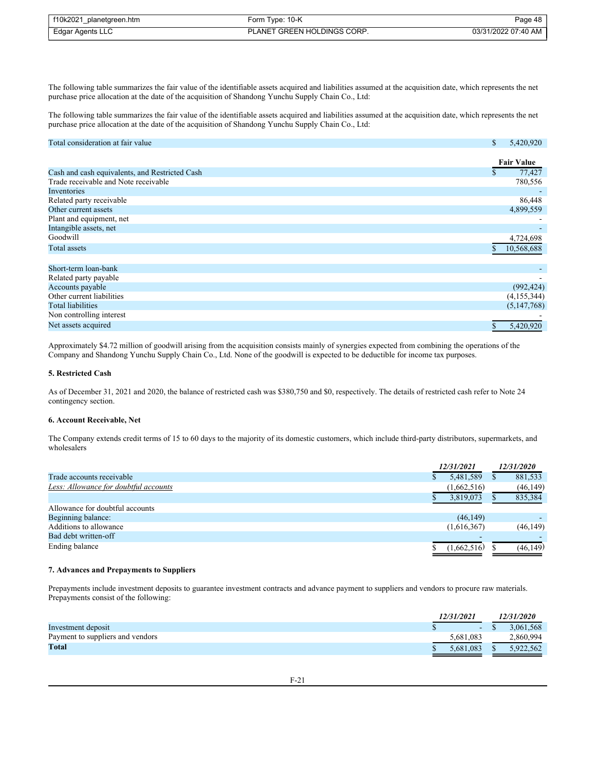| f10k2021_planetgreen.htm | Form Type: 10-K             | Page 48             |
|--------------------------|-----------------------------|---------------------|
| Edgar Agents LLC         | PLANET GREEN HOLDINGS CORP. | 03/31/2022 07:40 AM |

The following table summarizes the fair value of the identifiable assets acquired and liabilities assumed at the acquisition date, which represents the net purchase price allocation at the date of the acquisition of Shandong Yunchu Supply Chain Co., Ltd:

The following table summarizes the fair value of the identifiable assets acquired and liabilities assumed at the acquisition date, which represents the net purchase price allocation at the date of the acquisition of Shandong Yunchu Supply Chain Co., Ltd:

| Total consideration at fair value              | \$<br>5,420,920   |
|------------------------------------------------|-------------------|
|                                                | <b>Fair Value</b> |
| Cash and cash equivalents, and Restricted Cash | 77,427            |
| Trade receivable and Note receivable           | 780,556           |
| Inventories                                    |                   |
| Related party receivable                       | 86,448            |
| Other current assets                           | 4,899,559         |
| Plant and equipment, net                       |                   |
| Intangible assets, net                         |                   |
| Goodwill                                       | 4,724,698         |
| Total assets                                   | 10,568,688        |
|                                                |                   |
| Short-term loan-bank                           |                   |
| Related party payable                          |                   |
| Accounts payable                               | (992, 424)        |
| Other current liabilities                      | (4, 155, 344)     |
| Total liabilities                              | (5, 147, 768)     |
| Non controlling interest                       |                   |
| Net assets acquired                            | 5,420,920         |

Approximately \$4.72 million of goodwill arising from the acquisition consists mainly of synergies expected from combining the operations of the Company and Shandong Yunchu Supply Chain Co., Ltd. None of the goodwill is expected to be deductible for income tax purposes.

#### **5. Restricted Cash**

As of December 31, 2021 and 2020, the balance of restricted cash was \$380,750 and \$0, respectively. The details of restricted cash refer to Note 24 contingency section.

### **6. Account Receivable, Net**

The Company extends credit terms of 15 to 60 days to the majority of its domestic customers, which include third-party distributors, supermarkets, and wholesalers

|                                              | 12/31/2021  | 12/31/2020 |
|----------------------------------------------|-------------|------------|
| Trade accounts receivable                    | 5,481,589   | 881,533    |
| <b>Less: Allowance for doubtful accounts</b> | (1,662,516) | (46, 149)  |
|                                              | 3,819,073   | 835,384    |
| Allowance for doubtful accounts              |             |            |
| Beginning balance:                           | (46, 149)   |            |
| Additions to allowance                       | (1,616,367) | (46, 149)  |
| Bad debt written-off                         |             |            |
| Ending balance                               | (1,662,516) | (46, 149)  |

#### **7. Advances and Prepayments to Suppliers**

Prepayments include investment deposits to guarantee investment contracts and advance payment to suppliers and vendors to procure raw materials. Prepayments consist of the following:

|                                  | 12/31/2021 |     | <i><b>12/31/2020</b></i> |
|----------------------------------|------------|-----|--------------------------|
| Investment deposit               |            |     | 3.061.568                |
| Payment to suppliers and vendors | 5.681.083  |     | 2,860,994                |
| Total                            | 5.681.083  | JD. | 5.922.562                |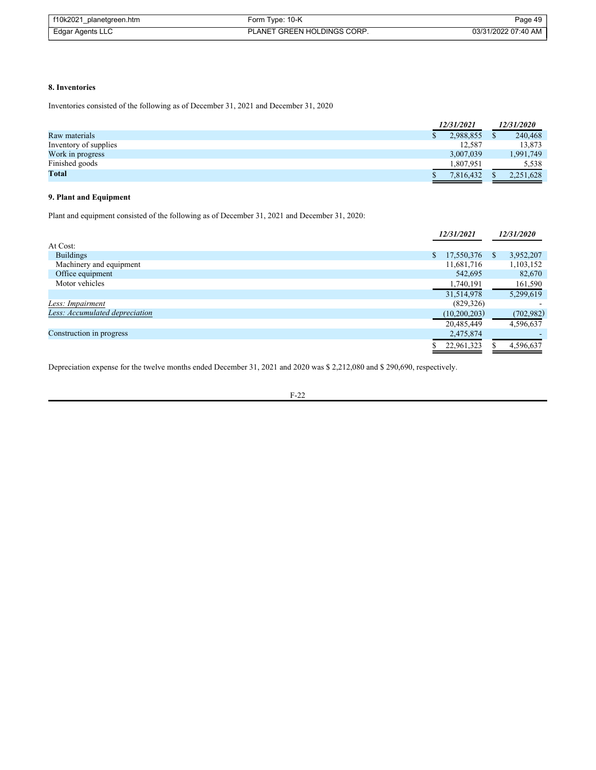| f10k2021_planetgreen.htm | Form Type: 10-K             | Page 49             |
|--------------------------|-----------------------------|---------------------|
| Edgar Agents LLC         | PLANET GREEN HOLDINGS CORP. | 03/31/2022 07:40 AM |

## **8. Inventories**

Inventories consisted of the following as of December 31, 2021 and December 31, 2020

|                       | 12/31/2021 | <i><b>12/31/2020</b></i> |
|-----------------------|------------|--------------------------|
| Raw materials         | 2,988,855  | 240,468                  |
| Inventory of supplies | 12.587     | 13,873                   |
| Work in progress      | 3,007,039  | 1,991,749                |
| Finished goods        | 1,807,951  | 5,538                    |
| Total                 | 7,816,432  | 2,251,628                |

## **9. Plant and Equipment**

Plant and equipment consisted of the following as of December 31, 2021 and December 31, 2020:

|                                | 12/31/2021   | 12/31/2020                |
|--------------------------------|--------------|---------------------------|
| At Cost:                       |              |                           |
| <b>Buildings</b>               | 17,550,376   | 3,952,207<br><sup>S</sup> |
| Machinery and equipment        | 11,681,716   | 1,103,152                 |
| Office equipment               | 542,695      | 82,670                    |
| Motor vehicles                 | 1,740,191    | 161,590                   |
|                                | 31,514,978   | 5,299,619                 |
| Less: Impairment               | (829, 326)   |                           |
| Less: Accumulated depreciation | (10,200,203) | (702, 982)                |
|                                | 20,485,449   | 4,596,637                 |
| Construction in progress       | 2,475,874    |                           |
|                                | 22,961,323   | 4,596,637                 |

Depreciation expense for the twelve months ended December 31, 2021 and 2020 was \$ 2,212,080 and \$ 290,690, respectively.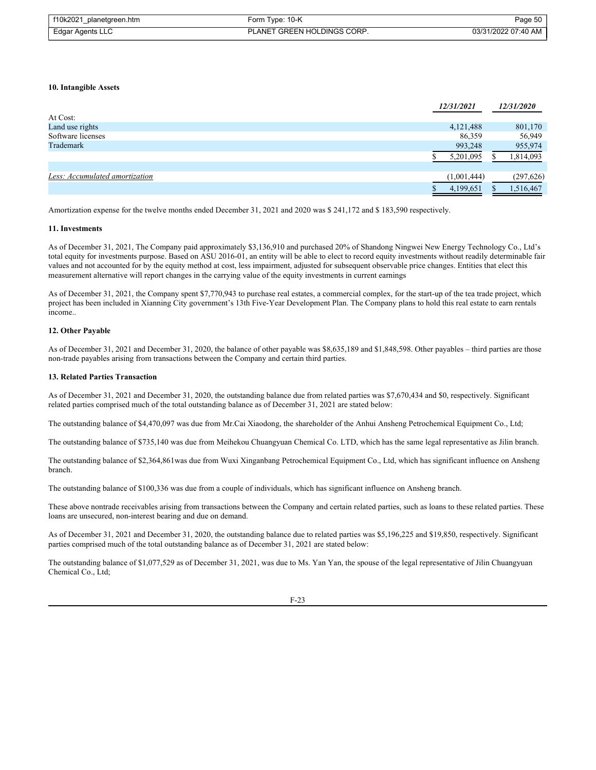| f10k2021 planetgreen.htm | Form Type: 10-K             | Page 50             |
|--------------------------|-----------------------------|---------------------|
| Edgar Agents LLC         | PLANET GREEN HOLDINGS CORP. | 03/31/2022 07:40 AM |

#### **10. Intangible Assets**

|                                | 12/31/2021  | 12/31/2020 |
|--------------------------------|-------------|------------|
| At Cost:                       |             |            |
| Land use rights                | 4,121,488   | 801,170    |
| Software licenses              | 86,359      | 56,949     |
| Trademark                      | 993,248     | 955,974    |
|                                | 5,201,095   | 1,814,093  |
|                                |             |            |
| Less: Accumulated amortization | (1,001,444) | (297, 626) |
|                                | 4,199,651   | 1,516,467  |
|                                |             |            |

Amortization expense for the twelve months ended December 31, 2021 and 2020 was \$ 241,172 and \$ 183,590 respectively.

## **11. Investments**

As of December 31, 2021, The Company paid approximately \$3,136,910 and purchased 20% of Shandong Ningwei New Energy Technology Co., Ltd's total equity for investments purpose. Based on ASU 2016-01, an entity will be able to elect to record equity investments without readily determinable fair values and not accounted for by the equity method at cost, less impairment, adjusted for subsequent observable price changes. Entities that elect this measurement alternative will report changes in the carrying value of the equity investments in current earnings

As of December 31, 2021, the Company spent \$7,770,943 to purchase real estates, a commercial complex, for the start-up of the tea trade project, which project has been included in Xianning City government's 13th Five-Year Development Plan. The Company plans to hold this real estate to earn rentals income..

### **12. Other Payable**

As of December 31, 2021 and December 31, 2020, the balance of other payable was \$8,635,189 and \$1,848,598. Other payables – third parties are those non-trade payables arising from transactions between the Company and certain third parties.

### **13. Related Parties Transaction**

As of December 31, 2021 and December 31, 2020, the outstanding balance due from related parties was \$7,670,434 and \$0, respectively. Significant related parties comprised much of the total outstanding balance as of December 31, 2021 are stated below:

The outstanding balance of \$4,470,097 was due from Mr.Cai Xiaodong, the shareholder of the Anhui Ansheng Petrochemical Equipment Co., Ltd;

The outstanding balance of \$735,140 was due from Meihekou Chuangyuan Chemical Co. LTD, which has the same legal representative as Jilin branch.

The outstanding balance of \$2,364,861was due from Wuxi Xinganbang Petrochemical Equipment Co., Ltd, which has significant influence on Ansheng branch.

The outstanding balance of \$100,336 was due from a couple of individuals, which has significant influence on Ansheng branch.

These above nontrade receivables arising from transactions between the Company and certain related parties, such as loans to these related parties. These loans are unsecured, non-interest bearing and due on demand.

As of December 31, 2021 and December 31, 2020, the outstanding balance due to related parties was \$5,196,225 and \$19,850, respectively. Significant parties comprised much of the total outstanding balance as of December 31, 2021 are stated below:

The outstanding balance of \$1,077,529 as of December 31, 2021, was due to Ms. Yan Yan, the spouse of the legal representative of Jilin Chuangyuan Chemical Co., Ltd;

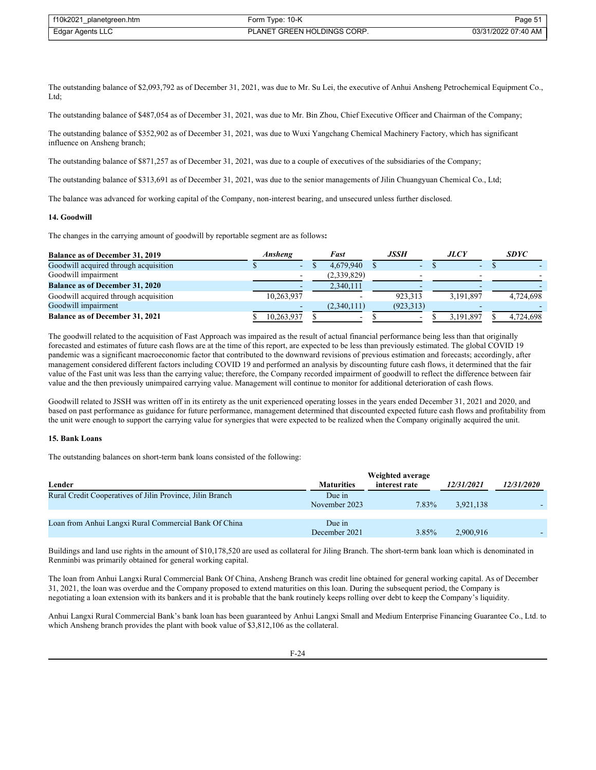| f10k2021 planetgreen.htm | Form Type: 10-K             | Page 51             |
|--------------------------|-----------------------------|---------------------|
| Edgar Agents LLC         | PLANET GREEN HOLDINGS CORP. | 03/31/2022 07:40 AM |

The outstanding balance of \$2,093,792 as of December 31, 2021, was due to Mr. Su Lei, the executive of Anhui Ansheng Petrochemical Equipment Co., Ltd;

The outstanding balance of \$487,054 as of December 31, 2021, was due to Mr. Bin Zhou, Chief Executive Officer and Chairman of the Company;

The outstanding balance of \$352,902 as of December 31, 2021, was due to Wuxi Yangchang Chemical Machinery Factory, which has significant influence on Ansheng branch;

The outstanding balance of \$871,257 as of December 31, 2021, was due to a couple of executives of the subsidiaries of the Company;

The outstanding balance of \$313,691 as of December 31, 2021, was due to the senior managements of Jilin Chuangyuan Chemical Co., Ltd;

The balance was advanced for working capital of the Company, non-interest bearing, and unsecured unless further disclosed.

### **14. Goodwill**

The changes in the carrying amount of goodwill by reportable segment are as follows**:** 

| <b>Balance as of December 31, 2019</b> | Ansheng    | Fast        | JSSH       | <b>JLCY</b> | <i>SDYC</i> |
|----------------------------------------|------------|-------------|------------|-------------|-------------|
| Goodwill acquired through acquisition  | ٠          | 4,679,940   |            | ۰.          |             |
| Goodwill impairment                    |            | (2,339,829) |            |             |             |
| <b>Balance as of December 31, 2020</b> |            | 2,340,111   |            |             |             |
| Goodwill acquired through acquisition  | 10,263,937 |             | 923.313    | 3.191.897   | 4,724,698   |
| Goodwill impairment                    |            | (2,340,111) | (923, 313) |             |             |
| <b>Balance as of December 31, 2021</b> | 10.263.937 | -           |            | 3.191.897   | 4,724,698   |

The goodwill related to the acquisition of Fast Approach was impaired as the result of actual financial performance being less than that originally forecasted and estimates of future cash flows are at the time of this report, are expected to be less than previously estimated. The global COVID 19 pandemic was a significant macroeconomic factor that contributed to the downward revisions of previous estimation and forecasts; accordingly, after management considered different factors including COVID 19 and performed an analysis by discounting future cash flows, it determined that the fair value of the Fast unit was less than the carrying value; therefore, the Company recorded impairment of goodwill to reflect the difference between fair value and the then previously unimpaired carrying value. Management will continue to monitor for additional deterioration of cash flows.

Goodwill related to JSSH was written off in its entirety as the unit experienced operating losses in the years ended December 31, 2021 and 2020, and based on past performance as guidance for future performance, management determined that discounted expected future cash flows and profitability from the unit were enough to support the carrying value for synergies that were expected to be realized when the Company originally acquired the unit.

### **15. Bank Loans**

The outstanding balances on short-term bank loans consisted of the following:

|                                                           | Weighted average  |               |            |            |
|-----------------------------------------------------------|-------------------|---------------|------------|------------|
| Lender                                                    | <b>Maturities</b> | interest rate | 12/31/2021 | 12/31/2020 |
| Rural Credit Cooperatives of Jilin Province, Jilin Branch | Due in            |               |            |            |
|                                                           | November 2023     | 7.83%         | 3.921.138  |            |
|                                                           |                   |               |            |            |
| Loan from Anhui Langxi Rural Commercial Bank Of China     | Due in            |               |            |            |
|                                                           | December 2021     | 3.85%         | 2.900.916  |            |

Buildings and land use rights in the amount of \$10,178,520 are used as collateral for Jiling Branch. The short-term bank loan which is denominated in Renminbi was primarily obtained for general working capital.

The loan from Anhui Langxi Rural Commercial Bank Of China, Ansheng Branch was credit line obtained for general working capital. As of December 31, 2021, the loan was overdue and the Company proposed to extend maturities on this loan. During the subsequent period, the Company is negotiating a loan extension with its bankers and it is probable that the bank routinely keeps rolling over debt to keep the Company's liquidity.

Anhui Langxi Rural Commercial Bank's bank loan has been guaranteed by Anhui Langxi Small and Medium Enterprise Financing Guarantee Co., Ltd. to which Ansheng branch provides the plant with book value of \$3,812,106 as the collateral.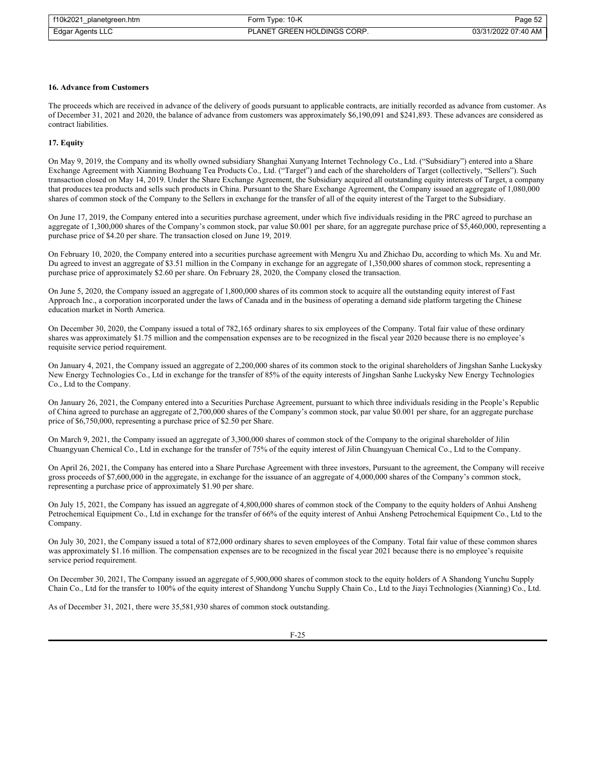| f10k2021 planetgreen.htm | Form Type: 10-K             | Page 52             |
|--------------------------|-----------------------------|---------------------|
| Edgar Agents LLC         | PLANET GREEN HOLDINGS CORP. | 03/31/2022 07:40 AM |

### **16. Advance from Customers**

The proceeds which are received in advance of the delivery of goods pursuant to applicable contracts, are initially recorded as advance from customer. As of December 31, 2021 and 2020, the balance of advance from customers was approximately \$6,190,091 and \$241,893. These advances are considered as contract liabilities.

## **17. Equity**

On May 9, 2019, the Company and its wholly owned subsidiary Shanghai Xunyang Internet Technology Co., Ltd. ("Subsidiary") entered into a Share Exchange Agreement with Xianning Bozhuang Tea Products Co., Ltd. ("Target") and each of the shareholders of Target (collectively, "Sellers"). Such transaction closed on May 14, 2019. Under the Share Exchange Agreement, the Subsidiary acquired all outstanding equity interests of Target, a company that produces tea products and sells such products in China. Pursuant to the Share Exchange Agreement, the Company issued an aggregate of 1,080,000 shares of common stock of the Company to the Sellers in exchange for the transfer of all of the equity interest of the Target to the Subsidiary.

On June 17, 2019, the Company entered into a securities purchase agreement, under which five individuals residing in the PRC agreed to purchase an aggregate of 1,300,000 shares of the Company's common stock, par value \$0.001 per share, for an aggregate purchase price of \$5,460,000, representing a purchase price of \$4.20 per share. The transaction closed on June 19, 2019.

On February 10, 2020, the Company entered into a securities purchase agreement with Mengru Xu and Zhichao Du, according to which Ms. Xu and Mr. Du agreed to invest an aggregate of \$3.51 million in the Company in exchange for an aggregate of 1,350,000 shares of common stock, representing a purchase price of approximately \$2.60 per share. On February 28, 2020, the Company closed the transaction.

On June 5, 2020, the Company issued an aggregate of 1,800,000 shares of its common stock to acquire all the outstanding equity interest of Fast Approach Inc., a corporation incorporated under the laws of Canada and in the business of operating a demand side platform targeting the Chinese education market in North America.

On December 30, 2020, the Company issued a total of 782,165 ordinary shares to six employees of the Company. Total fair value of these ordinary shares was approximately \$1.75 million and the compensation expenses are to be recognized in the fiscal year 2020 because there is no employee's requisite service period requirement.

On January 4, 2021, the Company issued an aggregate of 2,200,000 shares of its common stock to the original shareholders of Jingshan Sanhe Luckysky New Energy Technologies Co., Ltd in exchange for the transfer of 85% of the equity interests of Jingshan Sanhe Luckysky New Energy Technologies Co., Ltd to the Company.

On January 26, 2021, the Company entered into a Securities Purchase Agreement, pursuant to which three individuals residing in the People's Republic of China agreed to purchase an aggregate of 2,700,000 shares of the Company's common stock, par value \$0.001 per share, for an aggregate purchase price of \$6,750,000, representing a purchase price of \$2.50 per Share.

On March 9, 2021, the Company issued an aggregate of 3,300,000 shares of common stock of the Company to the original shareholder of Jilin Chuangyuan Chemical Co., Ltd in exchange for the transfer of 75% of the equity interest of Jilin Chuangyuan Chemical Co., Ltd to the Company.

On April 26, 2021, the Company has entered into a Share Purchase Agreement with three investors, Pursuant to the agreement, the Company will receive gross proceeds of \$7,600,000 in the aggregate, in exchange for the issuance of an aggregate of 4,000,000 shares of the Company's common stock, representing a purchase price of approximately \$1.90 per share.

On July 15, 2021, the Company has issued an aggregate of 4,800,000 shares of common stock of the Company to the equity holders of Anhui Ansheng Petrochemical Equipment Co., Ltd in exchange for the transfer of 66% of the equity interest of Anhui Ansheng Petrochemical Equipment Co., Ltd to the Company.

On July 30, 2021, the Company issued a total of 872,000 ordinary shares to seven employees of the Company. Total fair value of these common shares was approximately \$1.16 million. The compensation expenses are to be recognized in the fiscal year 2021 because there is no employee's requisite service period requirement.

On December 30, 2021, The Company issued an aggregate of 5,900,000 shares of common stock to the equity holders of A Shandong Yunchu Supply Chain Co., Ltd for the transfer to 100% of the equity interest of Shandong Yunchu Supply Chain Co., Ltd to the Jiayi Technologies (Xianning) Co., Ltd.

As of December 31, 2021, there were 35,581,930 shares of common stock outstanding.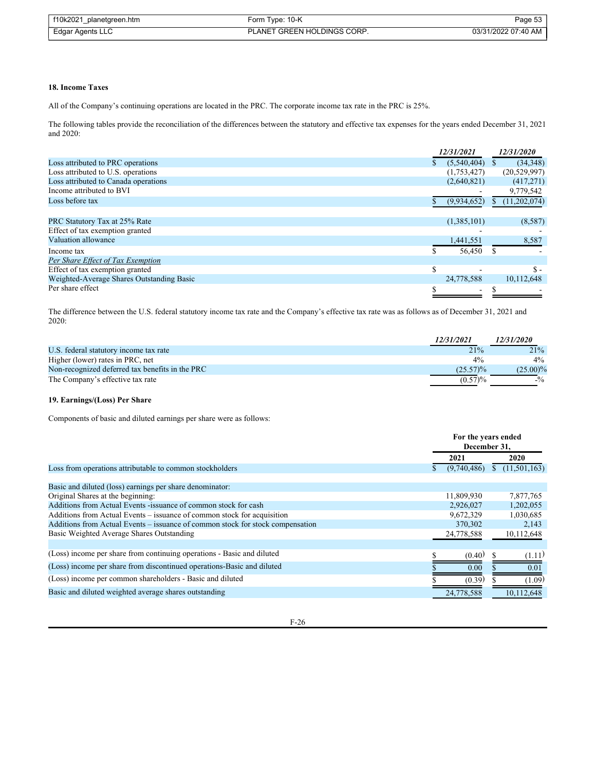| f10k2021 planetgreen.htm | Form Type: 10-K             | Page 53             |
|--------------------------|-----------------------------|---------------------|
| Edgar Agents LLC         | PLANET GREEN HOLDINGS CORP. | 03/31/2022 07:40 AM |

## **18. Income Taxes**

All of the Company's continuing operations are located in the PRC. The corporate income tax rate in the PRC is 25%.

The following tables provide the reconciliation of the differences between the statutory and effective tax expenses for the years ended December 31, 2021 and 2020:

|                                           |   | 12/31/2021  | 12/31/2020     |
|-------------------------------------------|---|-------------|----------------|
| Loss attributed to PRC operations         |   | (5,540,404) | (34,348)       |
| Loss attributed to U.S. operations        |   | (1,753,427) | (20,529,997)   |
| Loss attributed to Canada operations      |   | (2,640,821) | (417,271)      |
| Income attributed to BVI                  |   |             | 9,779,542      |
| Loss before tax                           |   | (9,934,652) | (11,202,074)   |
|                                           |   |             |                |
| PRC Statutory Tax at 25% Rate             |   | (1,385,101) | (8,587)        |
| Effect of tax exemption granted           |   |             |                |
| Valuation allowance                       |   | 1,441,551   | 8,587          |
| Income tax                                |   | 56.450      |                |
| Per Share Effect of Tax Exemption         |   |             |                |
| Effect of tax exemption granted           | S |             | $\mathbf{s}$ . |
| Weighted-Average Shares Outstanding Basic |   | 24,778,588  | 10,112,648     |
| Per share effect                          |   |             |                |

The difference between the U.S. federal statutory income tax rate and the Company's effective tax rate was as follows as of December 31, 2021 and 2020:

|                                                 | 12/31/2021  | 12/31/2020  |
|-------------------------------------------------|-------------|-------------|
| U.S. federal statutory income tax rate          | 21%         | 21%         |
| Higher (lower) rates in PRC, net                | $4\%$       | $4\%$       |
| Non-recognized deferred tax benefits in the PRC | $(25.57)\%$ | $(25.00)\%$ |
| The Company's effective tax rate                | $(0.57)\%$  | $-9/6$      |

## **19. Earnings/(Loss) Per Share**

Components of basic and diluted earnings per share were as follows:

|                                                                                | For the years ended<br>December 31, |              |  |
|--------------------------------------------------------------------------------|-------------------------------------|--------------|--|
|                                                                                | 2021                                | 2020         |  |
| Loss from operations attributable to common stockholders                       | (9,740,486)                         | (11,501,163) |  |
| Basic and diluted (loss) earnings per share denominator:                       |                                     |              |  |
| Original Shares at the beginning:                                              | 11,809,930                          | 7,877,765    |  |
| Additions from Actual Events -issuance of common stock for cash                | 2,926,027                           | 1,202,055    |  |
| Additions from Actual Events – issuance of common stock for acquisition        | 9,672,329                           | 1,030,685    |  |
| Additions from Actual Events – issuance of common stock for stock compensation | 370,302                             | 2,143        |  |
| Basic Weighted Average Shares Outstanding                                      | 24,778,588                          | 10,112,648   |  |
|                                                                                |                                     |              |  |
| (Loss) income per share from continuing operations - Basic and diluted         | (0.40)                              | (1.11)       |  |
| (Loss) income per share from discontinued operations-Basic and diluted         | 0.00                                | 0.01         |  |
| (Loss) income per common shareholders - Basic and diluted                      | (0.39)                              | (1.09)       |  |
| Basic and diluted weighted average shares outstanding                          | 24,778,588                          | 10,112,648   |  |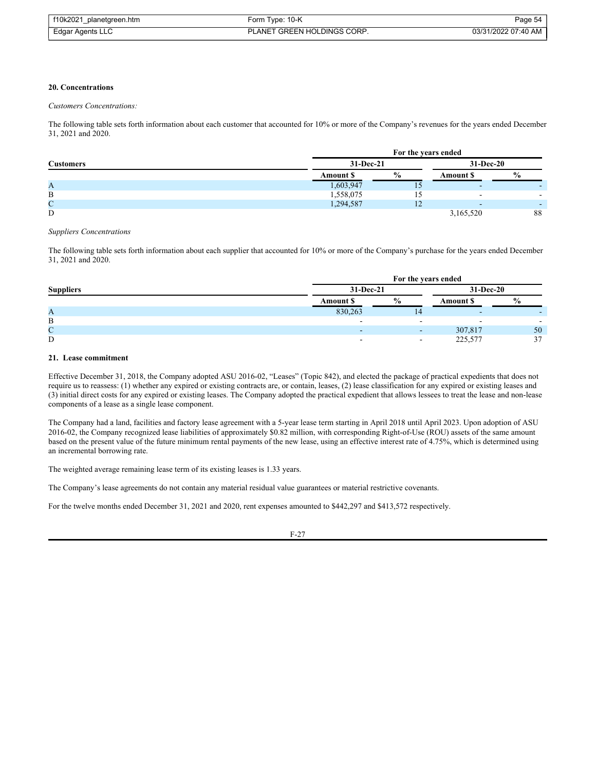| f10k2021 planetgreen.htm | Form Type: 10-K             | Page 54             |
|--------------------------|-----------------------------|---------------------|
| Edgar Agents LLC         | PLANET GREEN HOLDINGS CORP. | 03/31/2022 07:40 AM |

## **20. Concentrations**

## *Customers Concentrations:*

The following table sets forth information about each customer that accounted for 10% or more of the Company's revenues for the years ended December 31, 2021 and 2020.

|                  |                 | For the years ended |                 |               |
|------------------|-----------------|---------------------|-----------------|---------------|
| <b>Customers</b> |                 | 31-Dec-21           |                 |               |
|                  | <b>Amount S</b> | $\frac{0}{0}$       | <b>Amount S</b> | $\frac{6}{6}$ |
| A                | 1,603,947       |                     |                 |               |
| B                | 1,558,075       |                     | -               |               |
| $\mathbf C$      | 1,294,587       | 12                  | -               |               |
| D                |                 |                     | 3,165,520       | 88            |

### *Suppliers Concentrations*

The following table sets forth information about each supplier that accounted for 10% or more of the Company's purchase for the years ended December 31, 2021 and 2020.

|                  | For the years ended      |                            |                 |               |
|------------------|--------------------------|----------------------------|-----------------|---------------|
| <b>Suppliers</b> |                          | 31-Dec-21<br>$31 - Dec-20$ |                 |               |
|                  | <b>Amount S</b>          | $\frac{0}{0}$              | <b>Amount S</b> | $\frac{0}{0}$ |
| A                | 830,263                  | 14                         | -               |               |
| B                |                          |                            |                 |               |
| C                | $\overline{\phantom{0}}$ | ٠                          | 307,817         | 50            |
| D                | $\overline{\phantom{a}}$ | -                          | 225,577         | 37            |

## **21. Lease commitment**

Effective December 31, 2018, the Company adopted ASU 2016-02, "Leases" (Topic 842), and elected the package of practical expedients that does not require us to reassess: (1) whether any expired or existing contracts are, or contain, leases, (2) lease classification for any expired or existing leases and (3) initial direct costs for any expired or existing leases. The Company adopted the practical expedient that allows lessees to treat the lease and non-lease components of a lease as a single lease component.

The Company had a land, facilities and factory lease agreement with a 5-year lease term starting in April 2018 until April 2023. Upon adoption of ASU 2016-02, the Company recognized lease liabilities of approximately \$0.82 million, with corresponding Right-of-Use (ROU) assets of the same amount based on the present value of the future minimum rental payments of the new lease, using an effective interest rate of 4.75%, which is determined using an incremental borrowing rate.

The weighted average remaining lease term of its existing leases is 1.33 years.

The Company's lease agreements do not contain any material residual value guarantees or material restrictive covenants.

For the twelve months ended December 31, 2021 and 2020, rent expenses amounted to \$442,297 and \$413,572 respectively.

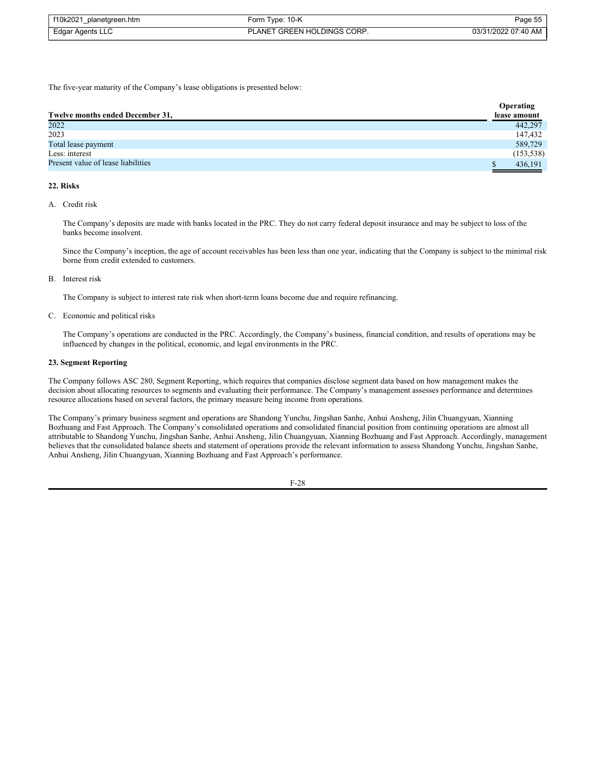| f10k2021 planetgreen.htm | Form Type: 10-K             | Page 55             |
|--------------------------|-----------------------------|---------------------|
| Edgar Agents LLC         | PLANET GREEN HOLDINGS CORP. | 03/31/2022 07:40 AM |

The five-year maturity of the Company's lease obligations is presented below:

|                                    | Operating    |
|------------------------------------|--------------|
| Twelve months ended December 31,   | lease amount |
| 2022                               | 442,297      |
| 2023                               | 147,432      |
| Total lease payment                | 589,729      |
| Less: interest                     | (153, 538)   |
| Present value of lease liabilities | 436,191      |

## **22. Risks**

## A. Credit risk

The Company's deposits are made with banks located in the PRC. They do not carry federal deposit insurance and may be subject to loss of the banks become insolvent.

Since the Company's inception, the age of account receivables has been less than one year, indicating that the Company is subject to the minimal risk borne from credit extended to customers.

## B. Interest risk

The Company is subject to interest rate risk when short-term loans become due and require refinancing.

## C. Economic and political risks

The Company's operations are conducted in the PRC. Accordingly, the Company's business, financial condition, and results of operations may be influenced by changes in the political, economic, and legal environments in the PRC.

## **23. Segment Reporting**

The Company follows ASC 280, Segment Reporting, which requires that companies disclose segment data based on how management makes the decision about allocating resources to segments and evaluating their performance. The Company's management assesses performance and determines resource allocations based on several factors, the primary measure being income from operations.

The Company's primary business segment and operations are Shandong Yunchu, Jingshan Sanhe, Anhui Ansheng, Jilin Chuangyuan, Xianning Bozhuang and Fast Approach. The Company's consolidated operations and consolidated financial position from continuing operations are almost all attributable to Shandong Yunchu, Jingshan Sanhe, Anhui Ansheng, Jilin Chuangyuan, Xianning Bozhuang and Fast Approach. Accordingly, management believes that the consolidated balance sheets and statement of operations provide the relevant information to assess Shandong Yunchu, Jingshan Sanhe, Anhui Ansheng, Jilin Chuangyuan, Xianning Bozhuang and Fast Approach's performance.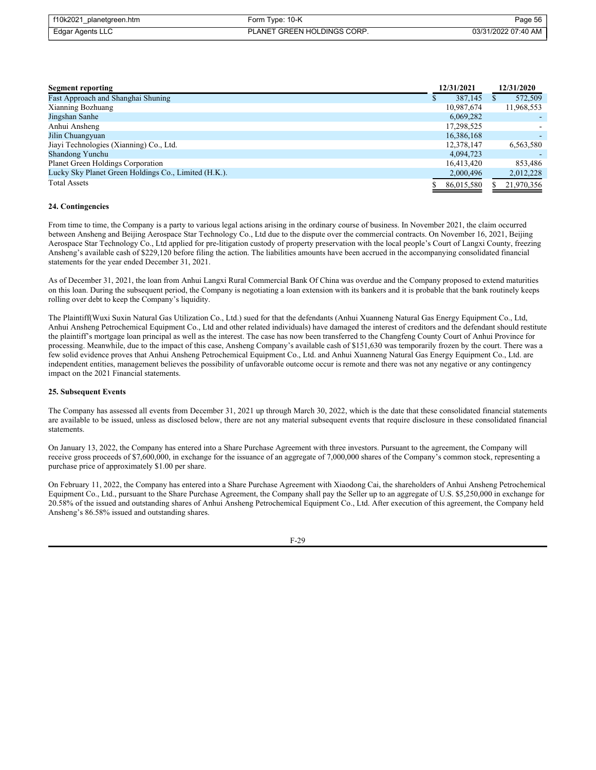| f10k2021<br>planetgreen.htm | Form Type: 10-K             | Page 56             |
|-----------------------------|-----------------------------|---------------------|
| Edgar Agents LLC            | PLANET GREEN HOLDINGS CORP. | 03/31/2022 07:40 AM |

| <b>Segment reporting</b>                             | 12/31/2021 | 12/31/2020 |
|------------------------------------------------------|------------|------------|
| Fast Approach and Shanghai Shuning                   | 387,145    | 572,509    |
| Xianning Bozhuang                                    | 10,987,674 | 11,968,553 |
| Jingshan Sanhe                                       | 6,069,282  |            |
| Anhui Ansheng                                        | 17,298,525 |            |
| Jilin Chuangyuan                                     | 16,386,168 |            |
| Jiayi Technologies (Xianning) Co., Ltd.              | 12,378,147 | 6,563,580  |
| Shandong Yunchu                                      | 4,094,723  |            |
| Planet Green Holdings Corporation                    | 16,413,420 | 853,486    |
| Lucky Sky Planet Green Holdings Co., Limited (H.K.). | 2,000,496  | 2,012,228  |
| <b>Total Assets</b>                                  | 86,015,580 | 21,970,356 |

### **24. Contingencies**

From time to time, the Company is a party to various legal actions arising in the ordinary course of business. In November 2021, the claim occurred between Ansheng and Beijing Aerospace Star Technology Co., Ltd due to the dispute over the commercial contracts. On November 16, 2021, Beijing Aerospace Star Technology Co., Ltd applied for pre-litigation custody of property preservation with the local people's Court of Langxi County, freezing Ansheng's available cash of \$229,120 before filing the action. The liabilities amounts have been accrued in the accompanying consolidated financial statements for the year ended December 31, 2021.

As of December 31, 2021, the loan from Anhui Langxi Rural Commercial Bank Of China was overdue and the Company proposed to extend maturities on this loan. During the subsequent period, the Company is negotiating a loan extension with its bankers and it is probable that the bank routinely keeps rolling over debt to keep the Company's liquidity.

The Plaintiff(Wuxi Suxin Natural Gas Utilization Co., Ltd.) sued for that the defendants (Anhui Xuanneng Natural Gas Energy Equipment Co., Ltd, Anhui Ansheng Petrochemical Equipment Co., Ltd and other related individuals) have damaged the interest of creditors and the defendant should restitute the plaintiff's mortgage loan principal as well as the interest. The case has now been transferred to the Changfeng County Court of Anhui Province for processing. Meanwhile, due to the impact of this case, Ansheng Company's available cash of \$151,630 was temporarily frozen by the court. There was a few solid evidence proves that Anhui Ansheng Petrochemical Equipment Co., Ltd. and Anhui Xuanneng Natural Gas Energy Equipment Co., Ltd. are independent entities, management believes the possibility of unfavorable outcome occur is remote and there was not any negative or any contingency impact on the 2021 Financial statements.

#### **25. Subsequent Events**

The Company has assessed all events from December 31, 2021 up through March 30, 2022, which is the date that these consolidated financial statements are available to be issued, unless as disclosed below, there are not any material subsequent events that require disclosure in these consolidated financial statements.

On January 13, 2022, the Company has entered into a Share Purchase Agreement with three investors. Pursuant to the agreement, the Company will receive gross proceeds of \$7,600,000, in exchange for the issuance of an aggregate of 7,000,000 shares of the Company's common stock, representing a purchase price of approximately \$1.00 per share.

On February 11, 2022, the Company has entered into a Share Purchase Agreement with Xiaodong Cai, the shareholders of Anhui Ansheng Petrochemical Equipment Co., Ltd., pursuant to the Share Purchase Agreement, the Company shall pay the Seller up to an aggregate of U.S. \$5,250,000 in exchange for 20.58% of the issued and outstanding shares of Anhui Ansheng Petrochemical Equipment Co., Ltd. After execution of this agreement, the Company held Ansheng's 86.58% issued and outstanding shares.

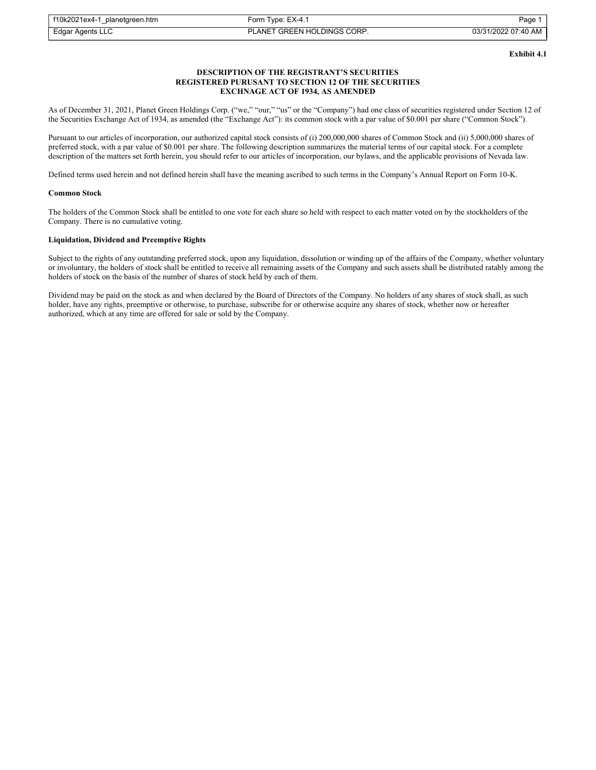| f10k2021ex4-1_planetgreen.htm | Form Type: EX-4.1           | Page                |
|-------------------------------|-----------------------------|---------------------|
| Edgar Agents LLC              | PLANET GREEN HOLDINGS CORP. | 03/31/2022 07:40 AM |

**Exhibit 4.1**

## **DESCRIPTION OF THE REGISTRANT'S SECURITIES REGISTERED PURUSANT TO SECTION 12 OF THE SECURITIES EXCHNAGE ACT OF 1934, AS AMENDED**

As of December 31, 2021, Planet Green Holdings Corp. ("we," "our," "us" or the "Company") had one class of securities registered under Section 12 of the Securities Exchange Act of 1934, as amended (the "Exchange Act"): its common stock with a par value of \$0.001 per share ("Common Stock").

Pursuant to our articles of incorporation, our authorized capital stock consists of (i) 200,000,000 shares of Common Stock and (ii) 5,000,000 shares of preferred stock, with a par value of \$0.001 per share. The following description summarizes the material terms of our capital stock. For a complete description of the matters set forth herein, you should refer to our articles of incorporation, our bylaws, and the applicable provisions of Nevada law.

Defined terms used herein and not defined herein shall have the meaning ascribed to such terms in the Company's Annual Report on Form 10-K.

### **Common Stock**

The holders of the Common Stock shall be entitled to one vote for each share so held with respect to each matter voted on by the stockholders of the Company. There is no cumulative voting.

## **Liquidation, Dividend and Preemptive Rights**

Subject to the rights of any outstanding preferred stock, upon any liquidation, dissolution or winding up of the affairs of the Company, whether voluntary or involuntary, the holders of stock shall be entitled to receive all remaining assets of the Company and such assets shall be distributed ratably among the holders of stock on the basis of the number of shares of stock held by each of them.

Dividend may be paid on the stock as and when declared by the Board of Directors of the Company. No holders of any shares of stock shall, as such holder, have any rights, preemptive or otherwise, to purchase, subscribe for or otherwise acquire any shares of stock, whether now or hereafter authorized, which at any time are offered for sale or sold by the Company.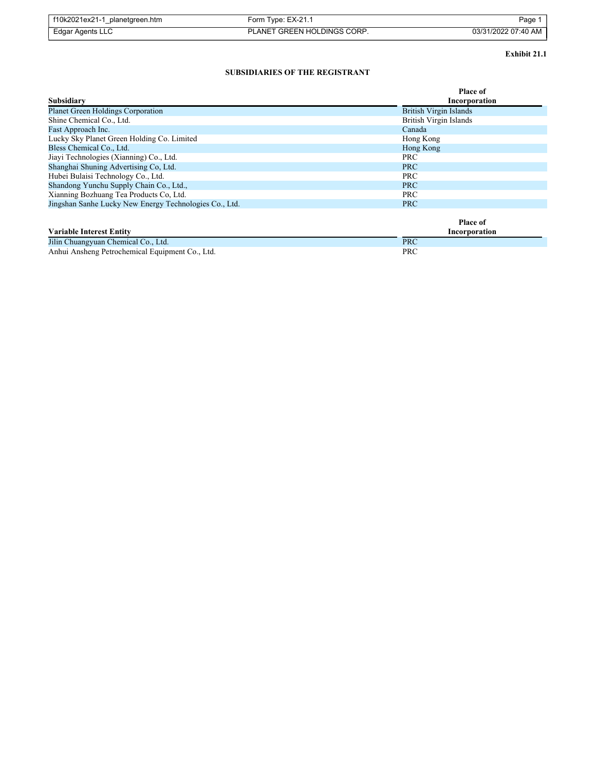| f10k2021ex21-1<br><sup>1</sup> planetqreen.htm | Form Type: EX-21.1                           | Page                |
|------------------------------------------------|----------------------------------------------|---------------------|
| Edgar Agents LLC                               | 「 GREEN HOLDINGS CORP<br>PI ANF <sup>-</sup> | 03/31/2022 07:40 AM |

**Exhibit 21.1**

## **SUBSIDIARIES OF THE REGISTRANT**

|                                                        | Place of               |
|--------------------------------------------------------|------------------------|
| Subsidiary                                             | Incorporation          |
| <b>Planet Green Holdings Corporation</b>               | British Virgin Islands |
| Shine Chemical Co., Ltd.                               | British Virgin Islands |
| Fast Approach Inc.                                     | Canada                 |
| Lucky Sky Planet Green Holding Co. Limited             | Hong Kong              |
| Bless Chemical Co., Ltd.                               | Hong Kong              |
| Jiayi Technologies (Xianning) Co., Ltd.                | <b>PRC</b>             |
| Shanghai Shuning Advertising Co, Ltd.                  | <b>PRC</b>             |
| Hubei Bulaisi Technology Co., Ltd.                     | <b>PRC</b>             |
| Shandong Yunchu Supply Chain Co., Ltd.,                | <b>PRC</b>             |
| Xianning Bozhuang Tea Products Co, Ltd.                | <b>PRC</b>             |
| Jingshan Sanhe Lucky New Energy Technologies Co., Ltd. | <b>PRC</b>             |
|                                                        |                        |
|                                                        | <b>Place of</b>        |

| <b>Variable Interest Entity</b>                 | .<br>Incorporation |
|-------------------------------------------------|--------------------|
| Jilin Chuangyuan Chemical Co., Ltd.             | PRC                |
| Anhui Ansheng Petrochemical Equipment Co., Ltd. | PRC                |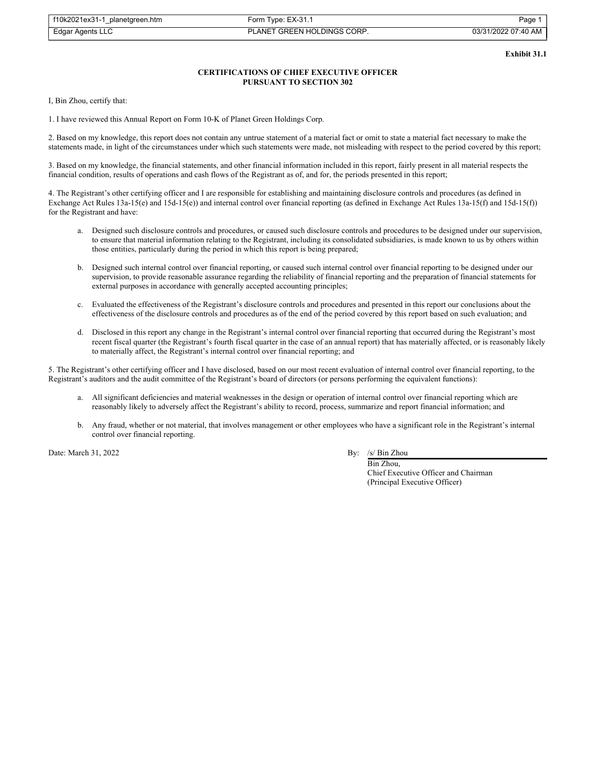| f10k2021ex31-1 planetgreen.htm | Form Type: EX-31.1          | Page                |
|--------------------------------|-----------------------------|---------------------|
| Edgar Agents LLC               | PLANET GREEN HOLDINGS CORP. | 03/31/2022 07:40 AM |

**Exhibit 31.1**

## **CERTIFICATIONS OF CHIEF EXECUTIVE OFFICER PURSUANT TO SECTION 302**

I, Bin Zhou, certify that:

1. I have reviewed this Annual Report on Form 10-K of Planet Green Holdings Corp.

2. Based on my knowledge, this report does not contain any untrue statement of a material fact or omit to state a material fact necessary to make the statements made, in light of the circumstances under which such statements were made, not misleading with respect to the period covered by this report;

3. Based on my knowledge, the financial statements, and other financial information included in this report, fairly present in all material respects the financial condition, results of operations and cash flows of the Registrant as of, and for, the periods presented in this report;

4. The Registrant's other certifying officer and I are responsible for establishing and maintaining disclosure controls and procedures (as defined in Exchange Act Rules 13a-15(e) and 15d-15(e)) and internal control over financial reporting (as defined in Exchange Act Rules 13a-15(f) and 15d-15(f)) for the Registrant and have:

- a. Designed such disclosure controls and procedures, or caused such disclosure controls and procedures to be designed under our supervision, to ensure that material information relating to the Registrant, including its consolidated subsidiaries, is made known to us by others within those entities, particularly during the period in which this report is being prepared;
- b. Designed such internal control over financial reporting, or caused such internal control over financial reporting to be designed under our supervision, to provide reasonable assurance regarding the reliability of financial reporting and the preparation of financial statements for external purposes in accordance with generally accepted accounting principles;
- c. Evaluated the effectiveness of the Registrant's disclosure controls and procedures and presented in this report our conclusions about the effectiveness of the disclosure controls and procedures as of the end of the period covered by this report based on such evaluation; and
- d. Disclosed in this report any change in the Registrant's internal control over financial reporting that occurred during the Registrant's most recent fiscal quarter (the Registrant's fourth fiscal quarter in the case of an annual report) that has materially affected, or is reasonably likely to materially affect, the Registrant's internal control over financial reporting; and

5. The Registrant's other certifying officer and I have disclosed, based on our most recent evaluation of internal control over financial reporting, to the Registrant's auditors and the audit committee of the Registrant's board of directors (or persons performing the equivalent functions):

- a. All significant deficiencies and material weaknesses in the design or operation of internal control over financial reporting which are reasonably likely to adversely affect the Registrant's ability to record, process, summarize and report financial information; and
- b. Any fraud, whether or not material, that involves management or other employees who have a significant role in the Registrant's internal control over financial reporting.

Date: March 31, 2022 By: /s/ Bin Zhou

Bin Zhou, Chief Executive Officer and Chairman (Principal Executive Officer)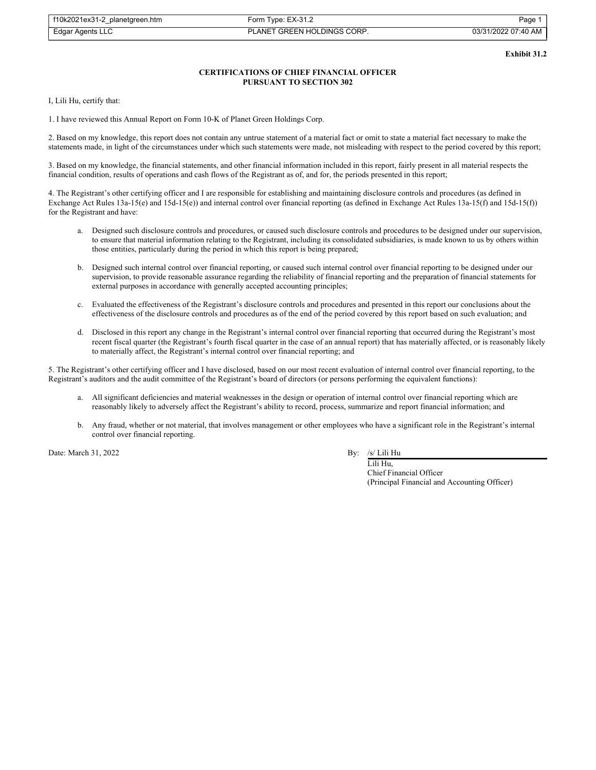| f10k2021ex31-2 planetgreen.htm | Form Type: EX-31.2          | Page                |
|--------------------------------|-----------------------------|---------------------|
| Edgar Agents LLC               | PLANET GREEN HOLDINGS CORP. | 03/31/2022 07:40 AM |

**Exhibit 31.2**

## **CERTIFICATIONS OF CHIEF FINANCIAL OFFICER PURSUANT TO SECTION 302**

I, Lili Hu, certify that:

1. I have reviewed this Annual Report on Form 10-K of Planet Green Holdings Corp.

2. Based on my knowledge, this report does not contain any untrue statement of a material fact or omit to state a material fact necessary to make the statements made, in light of the circumstances under which such statements were made, not misleading with respect to the period covered by this report;

3. Based on my knowledge, the financial statements, and other financial information included in this report, fairly present in all material respects the financial condition, results of operations and cash flows of the Registrant as of, and for, the periods presented in this report;

4. The Registrant's other certifying officer and I are responsible for establishing and maintaining disclosure controls and procedures (as defined in Exchange Act Rules 13a-15(e) and 15d-15(e)) and internal control over financial reporting (as defined in Exchange Act Rules 13a-15(f) and 15d-15(f)) for the Registrant and have:

- a. Designed such disclosure controls and procedures, or caused such disclosure controls and procedures to be designed under our supervision, to ensure that material information relating to the Registrant, including its consolidated subsidiaries, is made known to us by others within those entities, particularly during the period in which this report is being prepared;
- b. Designed such internal control over financial reporting, or caused such internal control over financial reporting to be designed under our supervision, to provide reasonable assurance regarding the reliability of financial reporting and the preparation of financial statements for external purposes in accordance with generally accepted accounting principles;
- c. Evaluated the effectiveness of the Registrant's disclosure controls and procedures and presented in this report our conclusions about the effectiveness of the disclosure controls and procedures as of the end of the period covered by this report based on such evaluation; and
- d. Disclosed in this report any change in the Registrant's internal control over financial reporting that occurred during the Registrant's most recent fiscal quarter (the Registrant's fourth fiscal quarter in the case of an annual report) that has materially affected, or is reasonably likely to materially affect, the Registrant's internal control over financial reporting; and

5. The Registrant's other certifying officer and I have disclosed, based on our most recent evaluation of internal control over financial reporting, to the Registrant's auditors and the audit committee of the Registrant's board of directors (or persons performing the equivalent functions):

- a. All significant deficiencies and material weaknesses in the design or operation of internal control over financial reporting which are reasonably likely to adversely affect the Registrant's ability to record, process, summarize and report financial information; and
- b. Any fraud, whether or not material, that involves management or other employees who have a significant role in the Registrant's internal control over financial reporting.

Date: March 31, 2022 By: /s/ Lili Hu

Lili Hu, Chief Financial Officer (Principal Financial and Accounting Officer)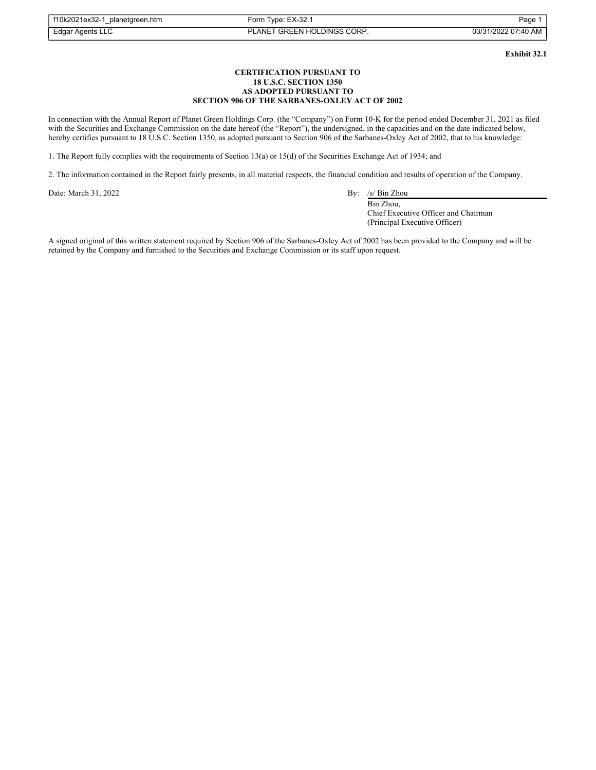| f10k2021ex32-1 planetgreen.htm | Form Type: EX-32.1         | Page                |
|--------------------------------|----------------------------|---------------------|
| Edgar Agents LLC               | PLANET GREEN HOLDINGS CORP | 03/31/2022 07:40 AM |

**Exhibit 32.1**

## **CERTIFICATION PURSUANT TO 18 U.S.C. SECTION 1350 AS ADOPTED PURSUANT TO SECTION 906 OF THE SARBANES-OXLEY ACT OF 2002**

In connection with the Annual Report of Planet Green Holdings Corp. (the "Company") on Form 10-K for the period ended December 31, 2021 as filed with the Securities and Exchange Commission on the date hereof (the "Report"), the undersigned, in the capacities and on the date indicated below, hereby certifies pursuant to 18 U.S.C. Section 1350, as adopted pursuant to Section 906 of the Sarbanes-Oxley Act of 2002, that to his knowledge:

1. The Report fully complies with the requirements of Section 13(a) or 15(d) of the Securities Exchange Act of 1934; and

2. The information contained in the Report fairly presents, in all material respects, the financial condition and results of operation of the Company.

Date: March 31, 2022 By: /s/ Bin Zhou

Bin Zhou, Chief Executive Officer and Chairman (Principal Executive Officer)

A signed original of this written statement required by Section 906 of the Sarbanes-Oxley Act of 2002 has been provided to the Company and will be retained by the Company and furnished to the Securities and Exchange Commission or its staff upon request.